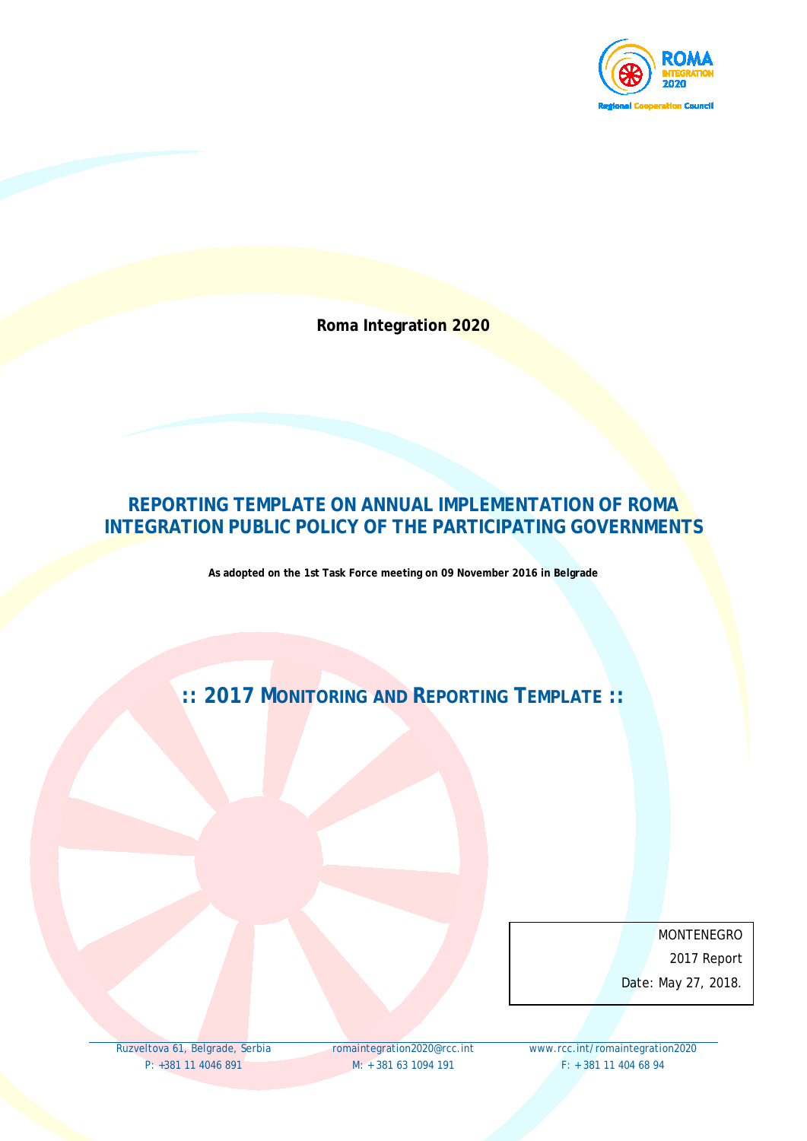

**Roma Integration 2020**

### **REPORTING TEMPLATE ON ANNUAL IMPLEMENTATION OF ROMA INTEGRATION PUBLIC POLICY OF THE PARTICIPATING GOVERNMENTS**

**As adopted on the 1st Task Force meeting on 09 November 2016 in Belgrade**

# **:: 2017 MONITORING AND REPORTING TEMPLATE ::**

MONTENEGRO 2017 Report Date: May 27, 2018.

P: +381 11 4046 891 M: + 381 63 1094 191 F: + 381 11 404 68 94

Ruzveltova 61, Belgrade, Serbia [romaintegration2020@rcc.int](mailto:romaintegration2020@rcc.int) [www.rcc.int/romaintegration2020](http://www.rcc.int/romaintegration2020)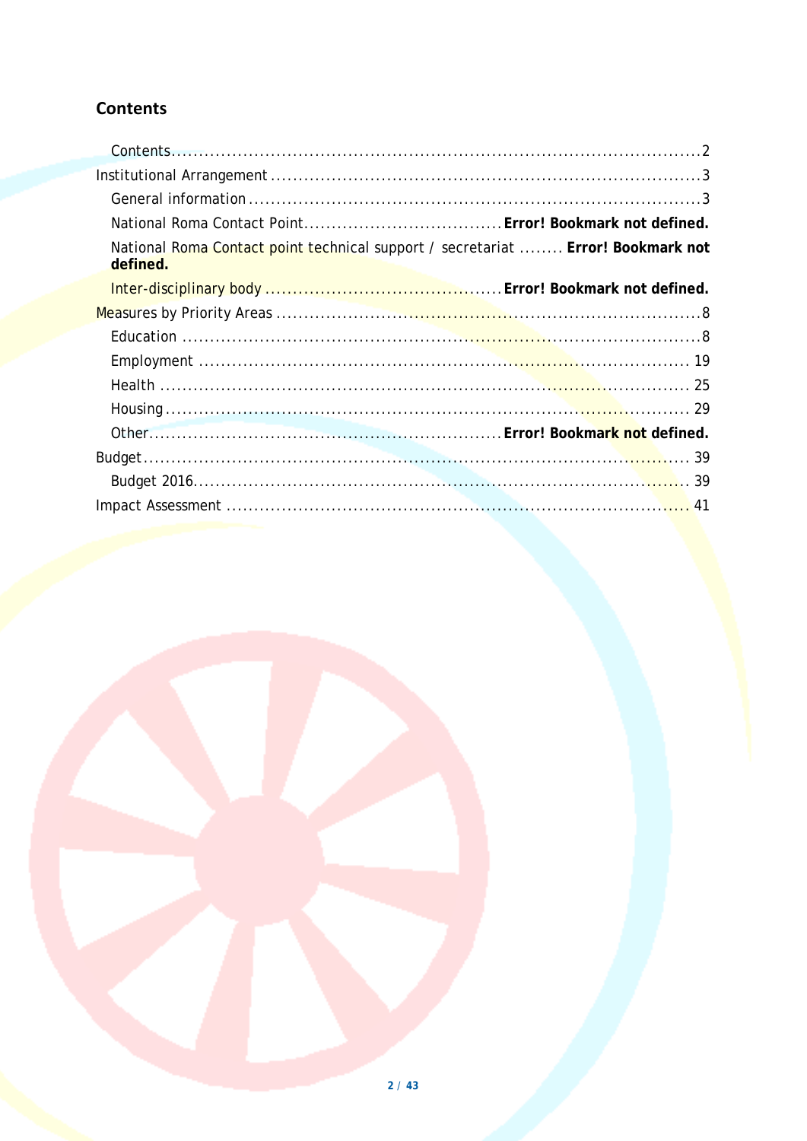## <span id="page-1-0"></span>**Contents**

| National Roma Contact point technical support / secretariat  Error! Bookmark not<br>defined. |  |
|----------------------------------------------------------------------------------------------|--|
|                                                                                              |  |
|                                                                                              |  |
|                                                                                              |  |
|                                                                                              |  |
|                                                                                              |  |
|                                                                                              |  |
|                                                                                              |  |
|                                                                                              |  |
|                                                                                              |  |
|                                                                                              |  |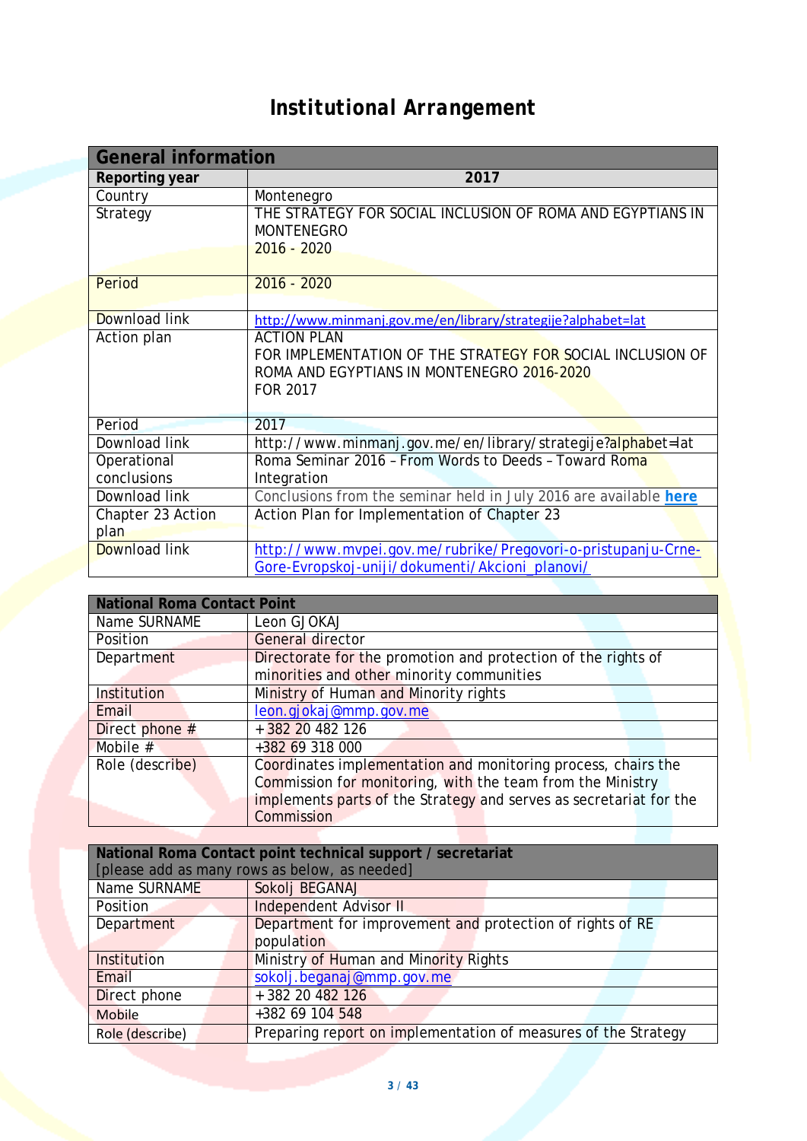# *Institutional Arrangement*

<span id="page-2-1"></span><span id="page-2-0"></span>

| <b>General information</b> |                                                                                                                                            |  |  |  |
|----------------------------|--------------------------------------------------------------------------------------------------------------------------------------------|--|--|--|
| Reporting year             | 2017                                                                                                                                       |  |  |  |
| Country                    | Montenegro                                                                                                                                 |  |  |  |
| Strategy                   | THE STRATEGY FOR SOCIAL INCLUSION OF ROMA AND EGYPTIANS IN<br><b>MONTENEGRO</b>                                                            |  |  |  |
|                            | $2016 - 2020$                                                                                                                              |  |  |  |
| Period                     | $2016 - 2020$                                                                                                                              |  |  |  |
| Download link              | http://www.minmanj.gov.me/en/library/strategije?alphabet=lat                                                                               |  |  |  |
| Action plan                | <b>ACTION PLAN</b><br>FOR IMPLEMENTATION OF THE STRATEGY FOR SOCIAL INCLUSION OF<br>ROMA AND EGYPTIANS IN MONTENEGRO 2016-2020<br>FOR 2017 |  |  |  |
| Period                     | 2017                                                                                                                                       |  |  |  |
| Download link              | http://www.minmanj.gov.me/en/library/strategije?alphabet=lat                                                                               |  |  |  |
| Operational                | Roma Seminar 2016 - From Words to Deeds - Toward Roma                                                                                      |  |  |  |
| conclusions                | Integration                                                                                                                                |  |  |  |
| Download link              | Conclusions from the seminar held in July 2016 are available here                                                                          |  |  |  |
| Chapter 23 Action<br>plan  | Action Plan for Implementation of Chapter 23                                                                                               |  |  |  |
| Download link              | http://www.mvpei.gov.me/rubrike/Pregovori-o-pristupanju-Crne-<br>Gore-Evropskoj-uniji/dokumenti/Akcioni_planovi/                           |  |  |  |

| <b>National Roma Contact Point</b> |                                                                    |  |  |
|------------------------------------|--------------------------------------------------------------------|--|--|
| Name SURNAME                       | Leon GJOKAJ                                                        |  |  |
| Position                           | <b>General director</b>                                            |  |  |
| Department                         | Directorate for the promotion and protection of the rights of      |  |  |
|                                    | minorities and other minority communities                          |  |  |
| Institution                        | Ministry of Human and Minority rights                              |  |  |
| Email                              | leon.gjokaj@mmp.gov.me                                             |  |  |
| Direct phone #                     | + 382 20 482 126                                                   |  |  |
| Mobile #                           | +382 69 318 000                                                    |  |  |
| Role (describe)                    | Coordinates implementation and monitoring process, chairs the      |  |  |
|                                    | Commission for monitoring, with the team from the Ministry         |  |  |
|                                    | implements parts of the Strategy and serves as secretariat for the |  |  |
|                                    | Commission                                                         |  |  |

| National Roma Contact point technical support / secretariat |                                                                |  |  |  |
|-------------------------------------------------------------|----------------------------------------------------------------|--|--|--|
| [please add as many rows as below, as needed]               |                                                                |  |  |  |
| Name SURNAME                                                | Sokolj BEGANAJ                                                 |  |  |  |
| Position                                                    | <b>Independent Advisor II</b>                                  |  |  |  |
| Department                                                  | Department for improvement and protection of rights of RE      |  |  |  |
|                                                             | population                                                     |  |  |  |
| Institution                                                 | Ministry of Human and Minority Rights                          |  |  |  |
| Email                                                       | sokolj.beganaj@mmp.gov.me                                      |  |  |  |
| Direct phone                                                | + 382 20 482 126                                               |  |  |  |
| Mobile                                                      | +382 69 104 548                                                |  |  |  |
| Role (describe)                                             | Preparing report on implementation of measures of the Strategy |  |  |  |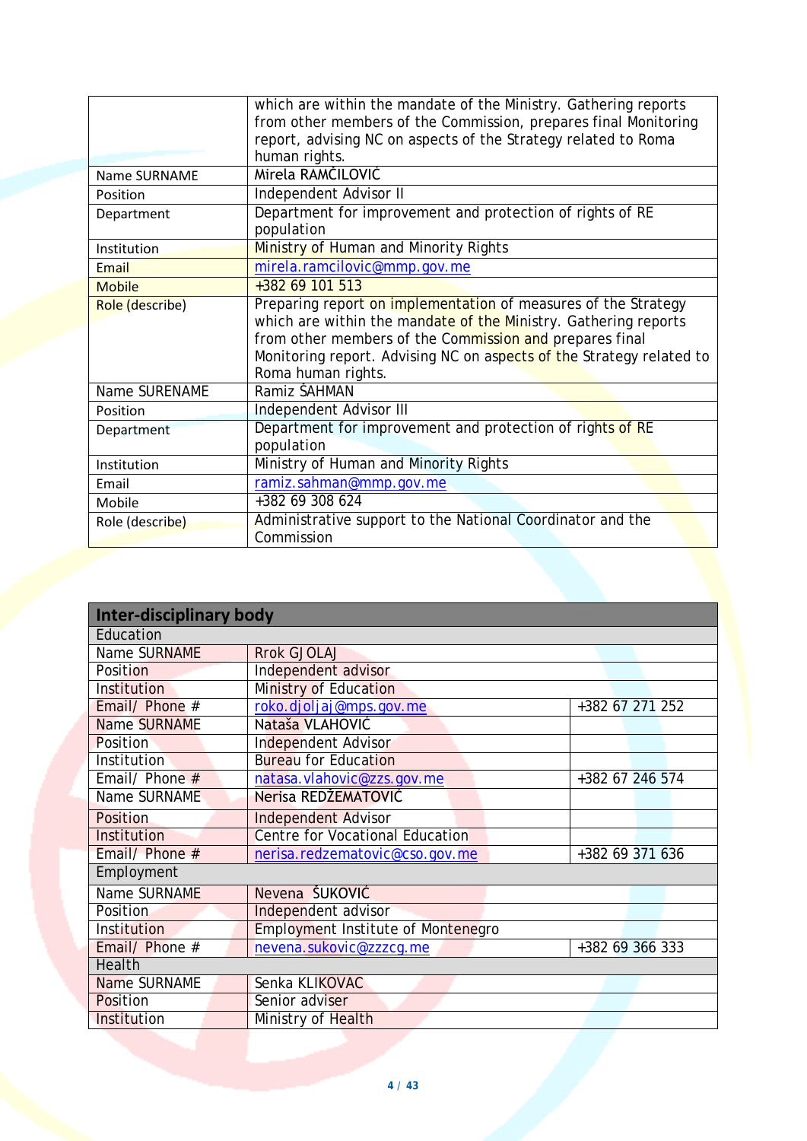|                 | which are within the mandate of the Ministry. Gathering reports<br>from other members of the Commission, prepares final Monitoring<br>report, advising NC on aspects of the Strategy related to Roma                                                                                       |  |
|-----------------|--------------------------------------------------------------------------------------------------------------------------------------------------------------------------------------------------------------------------------------------------------------------------------------------|--|
|                 | human rights.                                                                                                                                                                                                                                                                              |  |
| Name SURNAME    | Mirela RAMČILOVIĆ                                                                                                                                                                                                                                                                          |  |
| Position        | Independent Advisor II                                                                                                                                                                                                                                                                     |  |
| Department      | Department for improvement and protection of rights of RE                                                                                                                                                                                                                                  |  |
|                 | population                                                                                                                                                                                                                                                                                 |  |
| Institution     | <b>Ministry of Human and Minority Rights</b>                                                                                                                                                                                                                                               |  |
| Email           | mirela.ramcilovic@mmp.gov.me                                                                                                                                                                                                                                                               |  |
| Mobile          | +382 69 101 513                                                                                                                                                                                                                                                                            |  |
| Role (describe) | Preparing report on implementation of measures of the Strategy<br>which are within the mandate of the Ministry. Gathering reports<br>from other members of the Commission and prepares final<br>Monitoring report. Advising NC on aspects of the Strategy related to<br>Roma human rights. |  |
| Name SURENAME   | Ramiz ŠAHMAN                                                                                                                                                                                                                                                                               |  |
| Position        | Independent Advisor III                                                                                                                                                                                                                                                                    |  |
| Department      | Department for improvement and protection of rights of RE                                                                                                                                                                                                                                  |  |
|                 | population                                                                                                                                                                                                                                                                                 |  |
| Institution     | Ministry of Human and Minority Rights                                                                                                                                                                                                                                                      |  |
| Email           | ramiz.sahman@mmp.gov.me                                                                                                                                                                                                                                                                    |  |
| Mobile          | +382 69 308 624                                                                                                                                                                                                                                                                            |  |
| Role (describe) | Administrative support to the National Coordinator and the                                                                                                                                                                                                                                 |  |
|                 | Commission                                                                                                                                                                                                                                                                                 |  |

| <b>Inter-disciplinary body</b> |                                            |                 |  |  |
|--------------------------------|--------------------------------------------|-----------------|--|--|
| Education                      |                                            |                 |  |  |
| Name SURNAME                   | <b>Rrok GJOLAJ</b>                         |                 |  |  |
| <b>Position</b>                | Independent advisor                        |                 |  |  |
| Institution                    | Ministry of Education                      |                 |  |  |
| Email/ Phone #                 | roko.djoljaj@mps.gov.me                    | +382 67 271 252 |  |  |
| <b>Name SURNAME</b>            | Nataša VLAHOVIĆ                            |                 |  |  |
| <b>Position</b>                | Independent Advisor                        |                 |  |  |
| <b>Institution</b>             | <b>Bureau for Education</b>                |                 |  |  |
| Email/ Phone #                 | natasa.vlahovic@zzs.gov.me                 | +382 67 246 574 |  |  |
| Name SURNAME                   | Nerisa REDŽEMATOVIĆ                        |                 |  |  |
| <b>Position</b>                | <b>Independent Advisor</b>                 |                 |  |  |
| Institution                    | Centre for Vocational Education            |                 |  |  |
| Email/ Phone #                 | nerisa.redzematovic@cso.gov.me             | +382 69 371 636 |  |  |
| Employment                     |                                            |                 |  |  |
| Name SURNAME                   | Nevena ŠUKOVIĆ                             |                 |  |  |
| Position                       | Independent advisor                        |                 |  |  |
| Institution                    | <b>Employment Institute of Montenegro</b>  |                 |  |  |
| Email/ Phone #                 | nevena.sukovic@zzzcq.me<br>+382 69 366 333 |                 |  |  |
| Health                         |                                            |                 |  |  |
| <b>Name SURNAME</b>            | Senka KLIKOVAC                             |                 |  |  |
| Position                       | Senior adviser                             |                 |  |  |
| Institution                    | Ministry of Health                         |                 |  |  |
|                                |                                            |                 |  |  |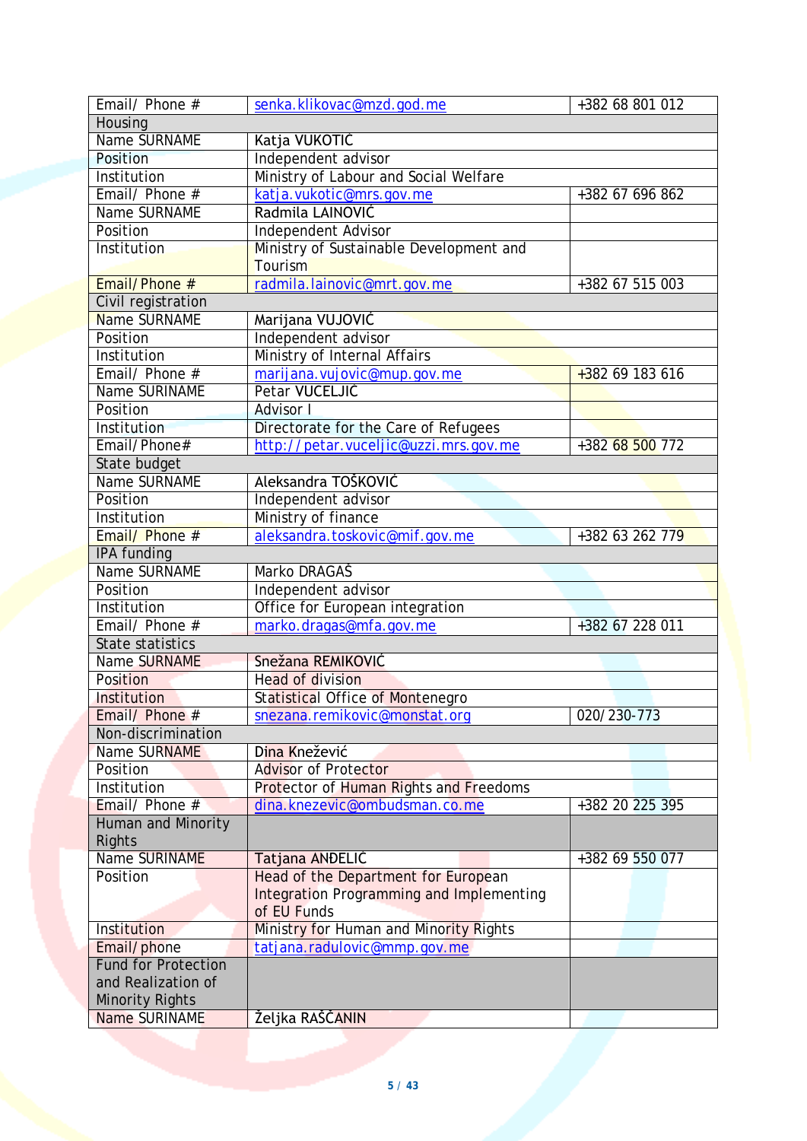| Email/ Phone #                                       | senka.klikovac@mzd.god.me                                                     | +382 68 801 012 |  |  |
|------------------------------------------------------|-------------------------------------------------------------------------------|-----------------|--|--|
| Housing                                              |                                                                               |                 |  |  |
| Name SURNAME                                         |                                                                               |                 |  |  |
| Position                                             | Katja VUKOTIĆ<br>Independent advisor                                          |                 |  |  |
| Institution                                          | Ministry of Labour and Social Welfare                                         |                 |  |  |
| Email/ Phone #                                       | katja.vukotic@mrs.gov.me                                                      | +382 67 696 862 |  |  |
| Name SURNAME                                         | Radmila LAINOVIĆ                                                              |                 |  |  |
| Position                                             | <b>Independent Advisor</b>                                                    |                 |  |  |
| Institution                                          | Ministry of Sustainable Development and                                       |                 |  |  |
|                                                      | Tourism                                                                       |                 |  |  |
| Email/Phone #                                        | radmila.lainovic@mrt.gov.me                                                   | +382 67 515 003 |  |  |
| Civil registration                                   |                                                                               |                 |  |  |
| Name SURNAME                                         | Marijana VUJOVIĆ                                                              |                 |  |  |
| Position                                             | Independent advisor                                                           |                 |  |  |
| Institution                                          | Ministry of Internal Affairs                                                  |                 |  |  |
| Email/ Phone #                                       | marijana.vujovic@mup.gov.me                                                   | $+38269183616$  |  |  |
| Name SURINAME                                        | Petar VUCELJIĆ                                                                |                 |  |  |
| Position                                             | Advisor I                                                                     |                 |  |  |
| Institution                                          | Directorate for the Care of Refugees                                          |                 |  |  |
| Email/Phone#                                         | http://petar.vuceljic@uzzi.mrs.gov.me                                         | +382 68 500 772 |  |  |
| State budget                                         |                                                                               |                 |  |  |
| Name SURNAME                                         | Aleksandra TOŠKOVIĆ                                                           |                 |  |  |
| Position                                             | Independent advisor                                                           |                 |  |  |
| Institution                                          | Ministry of finance                                                           |                 |  |  |
| Email/ Phone #                                       | +382 63 262 779                                                               |                 |  |  |
| aleksandra.toskovic@mif.gov.me<br><b>IPA funding</b> |                                                                               |                 |  |  |
| Name SURNAME<br>Marko DRAGAŠ                         |                                                                               |                 |  |  |
| Position<br>Independent advisor                      |                                                                               |                 |  |  |
| Institution                                          |                                                                               |                 |  |  |
| Email/Phone #                                        | Office for European integration<br>marko.dragas@mfa.gov.me<br>+382 67 228 011 |                 |  |  |
| <b>State statistics</b>                              |                                                                               |                 |  |  |
| Name SURNAME                                         | Snežana REMIKOVIĆ                                                             |                 |  |  |
| Position                                             | <b>Head of division</b>                                                       |                 |  |  |
| Institution                                          | Statistical Office of Montenegro                                              |                 |  |  |
| Email/ Phone #                                       | snezana.remikovic@monstat.org                                                 | 020/230-773     |  |  |
| Non-discrimination                                   |                                                                               |                 |  |  |
| Name SURNAME                                         | Dina Knežević                                                                 |                 |  |  |
| Position                                             | <b>Advisor of Protector</b>                                                   |                 |  |  |
| Institution                                          |                                                                               |                 |  |  |
| Email/ Phone #                                       | Protector of Human Rights and Freedoms<br>dina.knezevic@ombudsman.co.me       | +382 20 225 395 |  |  |
|                                                      |                                                                               |                 |  |  |
| Human and Minority                                   |                                                                               |                 |  |  |
| Rights<br><b>Name SURINAME</b>                       |                                                                               | +382 69 550 077 |  |  |
| Position                                             | Tatjana ANDELIĆ<br>Head of the Department for European                        |                 |  |  |
|                                                      | <b>Integration Programming and Implementing</b>                               |                 |  |  |
|                                                      |                                                                               |                 |  |  |
| of EU Funds<br>Institution                           |                                                                               |                 |  |  |
| Email/phone                                          | Ministry for Human and Minority Rights<br>tatjana.radulovic@mmp.gov.me        |                 |  |  |
| <b>Fund for Protection</b>                           |                                                                               |                 |  |  |
| and Realization of                                   |                                                                               |                 |  |  |
|                                                      |                                                                               |                 |  |  |
|                                                      |                                                                               |                 |  |  |
| <b>Minority Rights</b><br>Name SURINAME              | Željka RAŠČANIN                                                               |                 |  |  |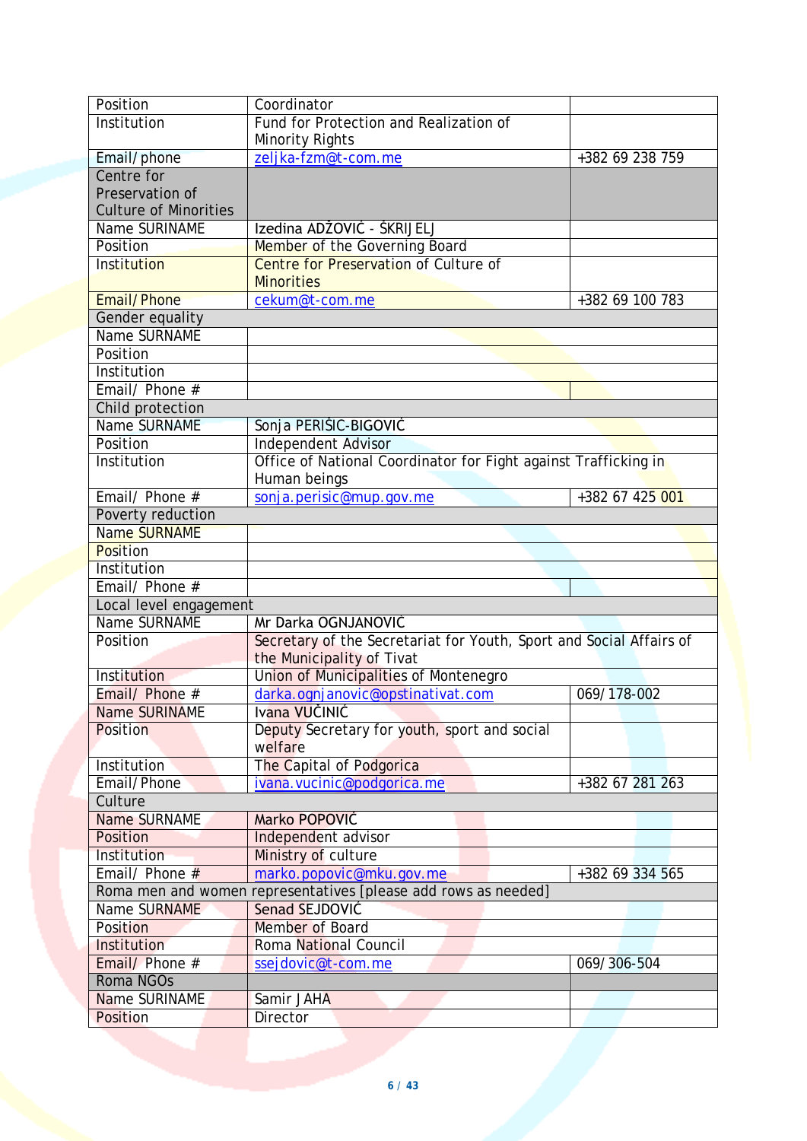| Position                     | Coordinator                                                         |                 |
|------------------------------|---------------------------------------------------------------------|-----------------|
| Institution                  | Fund for Protection and Realization of                              |                 |
|                              | <b>Minority Rights</b>                                              |                 |
| Email/phone                  | zeljka-fzm@t-com.me                                                 | +382 69 238 759 |
| Centre for                   |                                                                     |                 |
| Preservation of              |                                                                     |                 |
| <b>Culture of Minorities</b> |                                                                     |                 |
| Name SURINAME                | Izedina ADŽOVIĆ - ŠKRIJELJ                                          |                 |
| Position                     | Member of the Governing Board                                       |                 |
| Institution                  | Centre for Preservation of Culture of                               |                 |
|                              | <b>Minorities</b>                                                   |                 |
| Email/Phone                  | cekum@t-com.me                                                      | +382 69 100 783 |
| Gender equality              |                                                                     |                 |
| Name SURNAME                 |                                                                     |                 |
| Position                     |                                                                     |                 |
| Institution                  |                                                                     |                 |
| Email/ Phone #               |                                                                     |                 |
| Child protection             |                                                                     |                 |
| Name SURNAME                 | Sonja PERIŠIC-BIGOVIĆ                                               |                 |
| Position                     | <b>Independent Advisor</b>                                          |                 |
| Institution                  | Office of National Coordinator for Fight against Trafficking in     |                 |
|                              | Human beings                                                        |                 |
| Email/Phone #                | sonja.perisic@mup.gov.me                                            | +382 67 425 001 |
| Poverty reduction            |                                                                     |                 |
| Name SURNAME                 |                                                                     |                 |
| Position                     |                                                                     |                 |
|                              |                                                                     |                 |
|                              |                                                                     |                 |
| Institution                  |                                                                     |                 |
| Email/ Phone #               |                                                                     |                 |
| Local level engagement       |                                                                     |                 |
| Name SURNAME                 | Mr Darka OGNJANOVIĆ                                                 |                 |
| Position                     | Secretary of the Secretariat for Youth, Sport and Social Affairs of |                 |
|                              | the Municipality of Tivat                                           |                 |
| Institution                  | Union of Municipalities of Montenegro                               |                 |
| Email/ Phone #               | darka.ognjanovic@opstinativat.com                                   | 069/178-002     |
| <b>Name SURINAME</b>         | Ivana VUCINIC                                                       |                 |
| Position                     | Deputy Secretary for youth, sport and social                        |                 |
|                              | welfare                                                             |                 |
| Institution                  | The Capital of Podgorica                                            |                 |
| Email/Phone                  | ivana.vucinic@podgorica.me                                          | +382 67 281 263 |
| Culture                      |                                                                     |                 |
| <b>Name SURNAME</b>          | Marko POPOVIĆ                                                       |                 |
| Position                     | Independent advisor                                                 |                 |
| Institution                  | Ministry of culture                                                 |                 |
| Email/ Phone #               | marko.popovic@mku.gov.me                                            | +382 69 334 565 |
|                              | Roma men and women representatives [please add rows as needed]      |                 |
| Name SURNAME                 | Senad SEJDOVIĆ                                                      |                 |
| Position                     | Member of Board                                                     |                 |
| Institution                  | Roma National Council                                               |                 |
| Email/Phone #                | ssejdovic@t-com.me                                                  | 069/306-504     |
| Roma NGOs                    |                                                                     |                 |
| Name SURINAME<br>Position    | Samir JAHA<br>Director                                              |                 |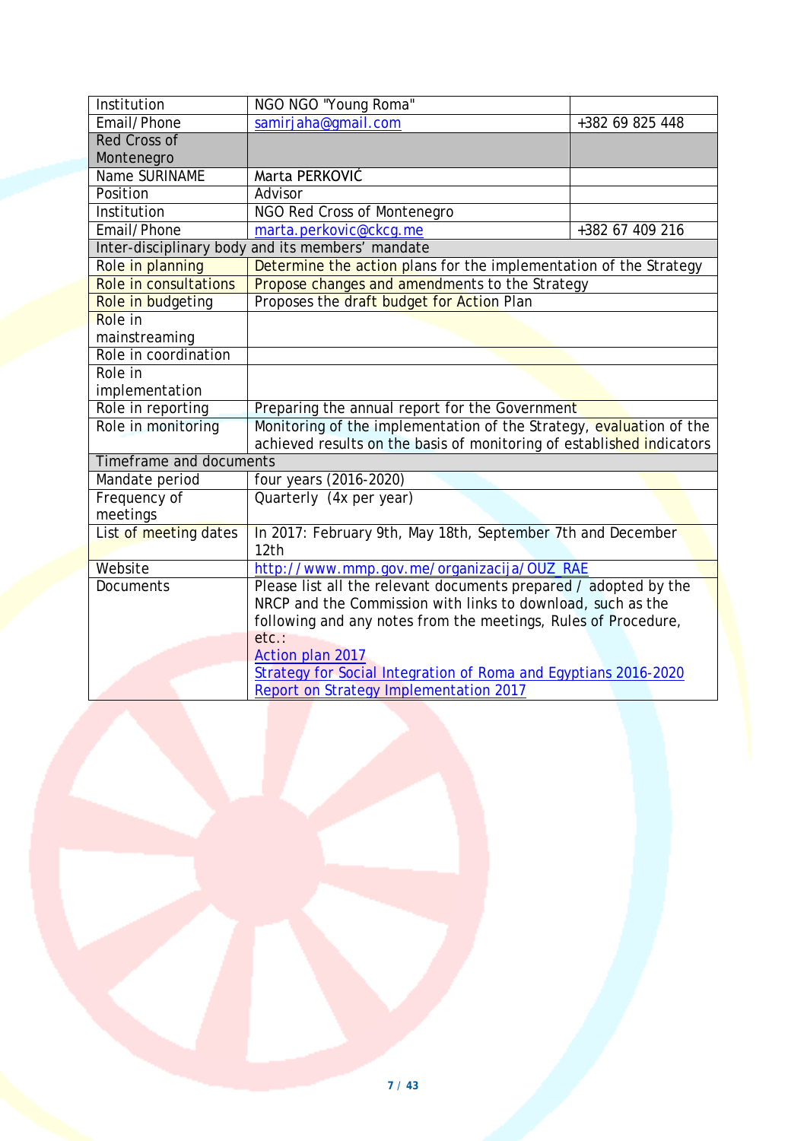| Institution                  | NGO NGO "Young Roma"                                                  |                 |  |  |
|------------------------------|-----------------------------------------------------------------------|-----------------|--|--|
| Email/Phone                  | samirjaha@gmail.com                                                   | +382 69 825 448 |  |  |
| <b>Red Cross of</b>          |                                                                       |                 |  |  |
| Montenegro                   |                                                                       |                 |  |  |
| Name SURINAME                | Marta PERKOVIĆ                                                        |                 |  |  |
| Position                     | Advisor                                                               |                 |  |  |
| Institution                  | <b>NGO Red Cross of Montenegro</b>                                    |                 |  |  |
| Email/Phone                  | marta.perkovic@ckcq.me                                                | +382 67 409 216 |  |  |
|                              | Inter-disciplinary body and its members' mandate                      |                 |  |  |
| Role in planning             | Determine the action plans for the implementation of the Strategy     |                 |  |  |
| <b>Role in consultations</b> | Propose changes and amendments to the Strategy                        |                 |  |  |
| Role in budgeting            | Proposes the draft budget for Action Plan                             |                 |  |  |
| Role in                      |                                                                       |                 |  |  |
| mainstreaming                |                                                                       |                 |  |  |
| Role in coordination         |                                                                       |                 |  |  |
| Role in                      |                                                                       |                 |  |  |
| implementation               |                                                                       |                 |  |  |
| Role in reporting            | Preparing the annual report for the Government                        |                 |  |  |
| Role in monitoring           | Monitoring of the implementation of the Strategy, evaluation of the   |                 |  |  |
|                              | achieved results on the basis of monitoring of established indicators |                 |  |  |
| Timeframe and documents      |                                                                       |                 |  |  |
| Mandate period               | four years (2016-2020)                                                |                 |  |  |
| Frequency of                 | Quarterly (4x per year)                                               |                 |  |  |
| meetings                     |                                                                       |                 |  |  |
| List of meeting dates        | In 2017: February 9th, May 18th, September 7th and December           |                 |  |  |
|                              | 12th                                                                  |                 |  |  |
| Website                      | http://www.mmp.gov.me/organizacija/OUZ_RAE                            |                 |  |  |
| Documents                    | Please list all the relevant documents prepared / adopted by the      |                 |  |  |
|                              | NRCP and the Commission with links to download, such as the           |                 |  |  |
|                              | following and any notes from the meetings, Rules of Procedure,        |                 |  |  |
|                              | etc.:                                                                 |                 |  |  |
|                              | Action plan 2017                                                      |                 |  |  |
|                              | Strategy for Social Integration of Roma and Egyptians 2016-2020       |                 |  |  |
|                              | <b>Report on Strategy Implementation 2017</b>                         |                 |  |  |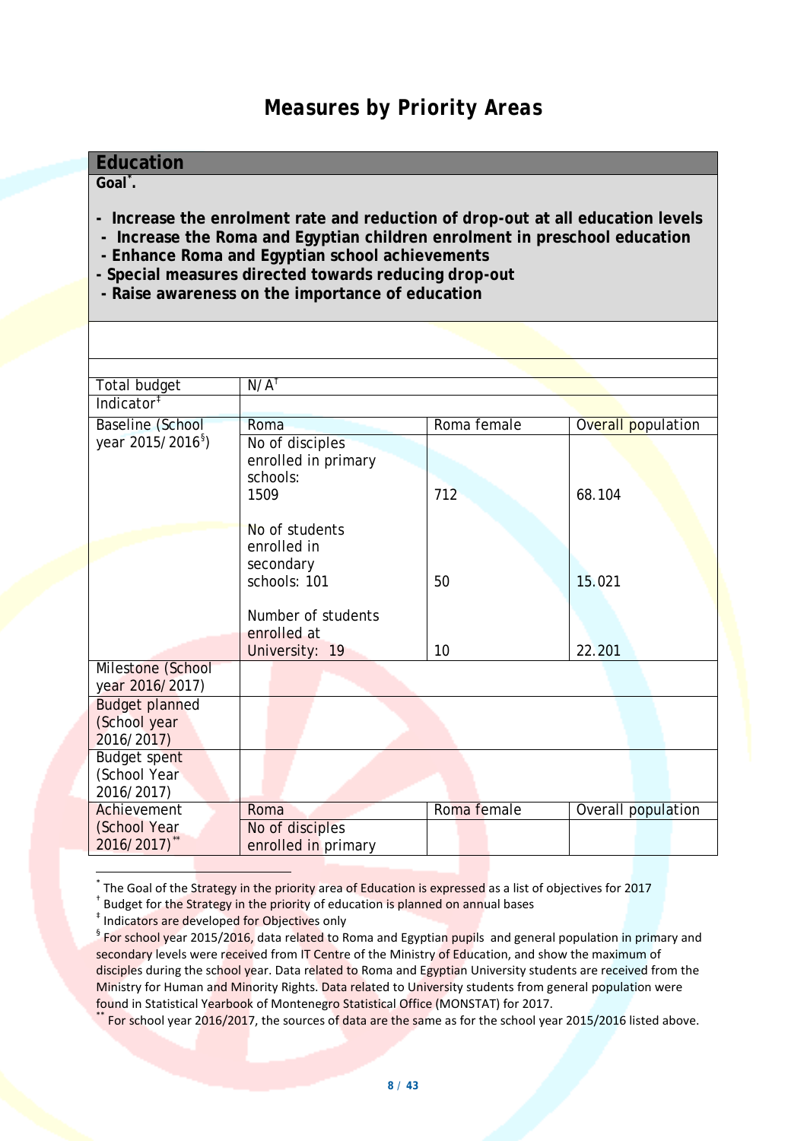## *Measures by Priority Areas*

#### <span id="page-7-1"></span><span id="page-7-0"></span>**Education**

**Goal[\\*](#page-7-2) .**

- **Increase the enrolment rate and reduction of** *drop-out* **at all education levels**
- **Increase the Roma and Egyptian children enrolment in preschool education**
- **- Enhance Roma and Egyptian school achievements**
- **- Special measures directed towards reducing** *drop-out*
- **- Raise awareness on the importance of education**

| Total budget                                        | $N/A^{\dagger}$                                                                                                   |             |                    |  |
|-----------------------------------------------------|-------------------------------------------------------------------------------------------------------------------|-------------|--------------------|--|
| Indicator <sup>#</sup>                              |                                                                                                                   |             |                    |  |
| Baseline (School                                    | Roma                                                                                                              | Roma female | Overall population |  |
| year 2015/2016 <sup>§</sup> )                       | No of disciples<br>enrolled in primary<br>schools:<br>1509                                                        | 712         | 68.104             |  |
|                                                     | No of students<br>enrolled in<br>secondary<br>schools: 101<br>Number of students<br>enrolled at<br>University: 19 | 50<br>10    | 15.021<br>22.201   |  |
| Milestone (School<br>year 2016/2017)                |                                                                                                                   |             |                    |  |
| <b>Budget planned</b><br>(School year<br>2016/2017) |                                                                                                                   |             |                    |  |
| <b>Budget spent</b><br>(School Year<br>2016/2017)   |                                                                                                                   |             |                    |  |
| Achievement                                         | Roma                                                                                                              | Roma female | Overall population |  |
| (School Year<br>2016/2017)                          | No of disciples<br>enrolled in primary                                                                            |             |                    |  |

<span id="page-7-2"></span> $^*$  The Goal of the Strategy in the priority area of Education is expressed as a list of objectives for 2017  $^+$ <br>Budget for the Strategy in the priority of education is planned on annual bases

<span id="page-7-3"></span>

<span id="page-7-4"></span><sup>‡</sup> Indicators are developed for Objectives only

<span id="page-7-5"></span><sup>&</sup>lt;sup>§</sup> For school year 2015/2016, data related to Roma and Egyptian pupils and general population in primary and secondary levels were received from IT Centre of the Ministry of Education, and show the maximum of disciples during the school year. Data related to Roma and Egyptian University students are received from the Ministry for Human and Minority Rights. Data related to University students from general population were found in Statistical Yearbook of Montenegro Statistical Office (MONSTAT) for 2017.

<span id="page-7-6"></span>For school year 2016/2017, the sources of data are the same as for the school year 2015/2016 listed above.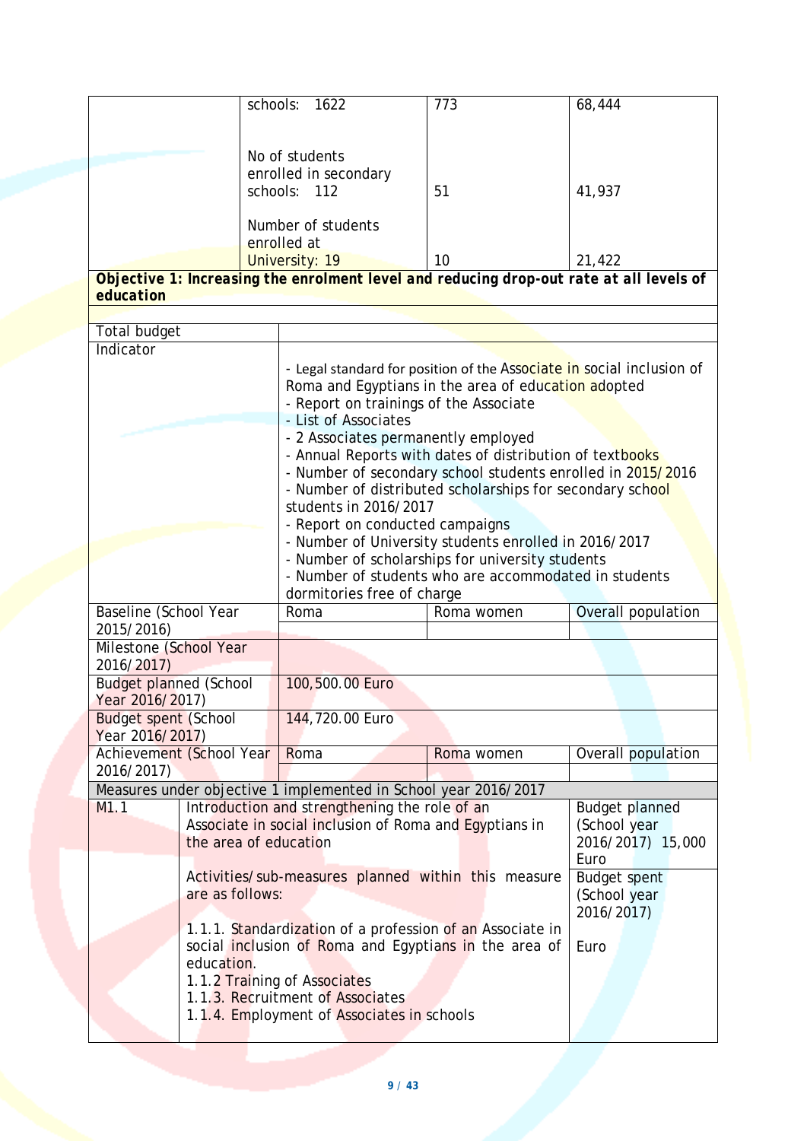|                               |                          | 1622<br>schools:                                                                        | 773                                                                   | 68,444                |  |
|-------------------------------|--------------------------|-----------------------------------------------------------------------------------------|-----------------------------------------------------------------------|-----------------------|--|
|                               |                          |                                                                                         |                                                                       |                       |  |
|                               |                          |                                                                                         |                                                                       |                       |  |
|                               |                          | No of students                                                                          |                                                                       |                       |  |
|                               |                          | enrolled in secondary                                                                   |                                                                       |                       |  |
|                               |                          | schools: 112                                                                            | 51                                                                    | 41,937                |  |
|                               |                          |                                                                                         |                                                                       |                       |  |
|                               |                          | Number of students                                                                      |                                                                       |                       |  |
|                               |                          |                                                                                         |                                                                       |                       |  |
|                               |                          | enrolled at                                                                             |                                                                       |                       |  |
|                               |                          | University: 19                                                                          | 10                                                                    | 21,422                |  |
|                               |                          | Objective 1: Increasing the enrolment level and reducing drop-out rate at all levels of |                                                                       |                       |  |
| education                     |                          |                                                                                         |                                                                       |                       |  |
|                               |                          |                                                                                         |                                                                       |                       |  |
| Total budget                  |                          |                                                                                         |                                                                       |                       |  |
| Indicator                     |                          |                                                                                         |                                                                       |                       |  |
|                               |                          |                                                                                         | - Legal standard for position of the Associate in social inclusion of |                       |  |
|                               |                          |                                                                                         | Roma and Egyptians in the area of education adopted                   |                       |  |
|                               |                          | - Report on trainings of the Associate                                                  |                                                                       |                       |  |
|                               |                          | - List of Associates                                                                    |                                                                       |                       |  |
|                               |                          | - 2 Associates permanently employed                                                     |                                                                       |                       |  |
|                               |                          |                                                                                         | - Annual Reports with dates of distribution of textbooks              |                       |  |
|                               |                          |                                                                                         |                                                                       |                       |  |
|                               |                          |                                                                                         | - Number of secondary school students enrolled in 2015/2016           |                       |  |
|                               |                          |                                                                                         | - Number of distributed scholarships for secondary school             |                       |  |
|                               |                          | students in 2016/2017                                                                   |                                                                       |                       |  |
|                               |                          | - Report on conducted campaigns                                                         |                                                                       |                       |  |
|                               |                          |                                                                                         | - Number of University students enrolled in 2016/2017                 |                       |  |
|                               |                          |                                                                                         | - Number of scholarships for university students                      |                       |  |
|                               |                          |                                                                                         | - Number of students who are accommodated in students                 |                       |  |
|                               |                          | dormitories free of charge                                                              |                                                                       |                       |  |
| Baseline (School Year         |                          | Roma                                                                                    | Roma women                                                            | Overall population    |  |
| 2015/2016)                    |                          |                                                                                         |                                                                       |                       |  |
| Milestone (School Year        |                          |                                                                                         |                                                                       |                       |  |
| 2016/2017)                    |                          |                                                                                         |                                                                       |                       |  |
| <b>Budget planned (School</b> |                          | 100,500.00 Euro                                                                         |                                                                       |                       |  |
| Year 2016/2017)               |                          |                                                                                         |                                                                       |                       |  |
| <b>Budget spent (School</b>   |                          | 144,720.00 Euro                                                                         |                                                                       |                       |  |
|                               |                          |                                                                                         |                                                                       |                       |  |
| Year 2016/2017)               |                          |                                                                                         |                                                                       |                       |  |
|                               | Achievement (School Year | Roma                                                                                    | Roma women                                                            | Overall population    |  |
| 2016/2017)                    |                          |                                                                                         |                                                                       |                       |  |
|                               |                          | Measures under objective 1 implemented in School year 2016/2017                         |                                                                       |                       |  |
| M <sub>1.1</sub>              |                          | Introduction and strengthening the role of an                                           |                                                                       | <b>Budget planned</b> |  |
|                               |                          | Associate in social inclusion of Roma and Egyptians in                                  |                                                                       | (School year          |  |
|                               | the area of education    |                                                                                         |                                                                       | 2016/2017) 15,000     |  |
|                               |                          |                                                                                         |                                                                       | Euro                  |  |
|                               |                          | Activities/sub-measures planned within this measure                                     |                                                                       | <b>Budget spent</b>   |  |
| are as follows:               |                          |                                                                                         |                                                                       | (School year          |  |
|                               |                          |                                                                                         |                                                                       |                       |  |
|                               |                          |                                                                                         |                                                                       |                       |  |
|                               |                          |                                                                                         |                                                                       | 2016/2017)            |  |
|                               |                          | 1.1.1. Standardization of a profession of an Associate in                               |                                                                       |                       |  |
|                               |                          | social inclusion of Roma and Egyptians in the area of                                   |                                                                       | Euro                  |  |
|                               | education.               |                                                                                         |                                                                       |                       |  |
|                               |                          | 1.1.2 Training of Associates                                                            |                                                                       |                       |  |
|                               |                          | 1.1.3. Recruitment of Associates                                                        |                                                                       |                       |  |
|                               |                          | 1.1.4. Employment of Associates in schools                                              |                                                                       |                       |  |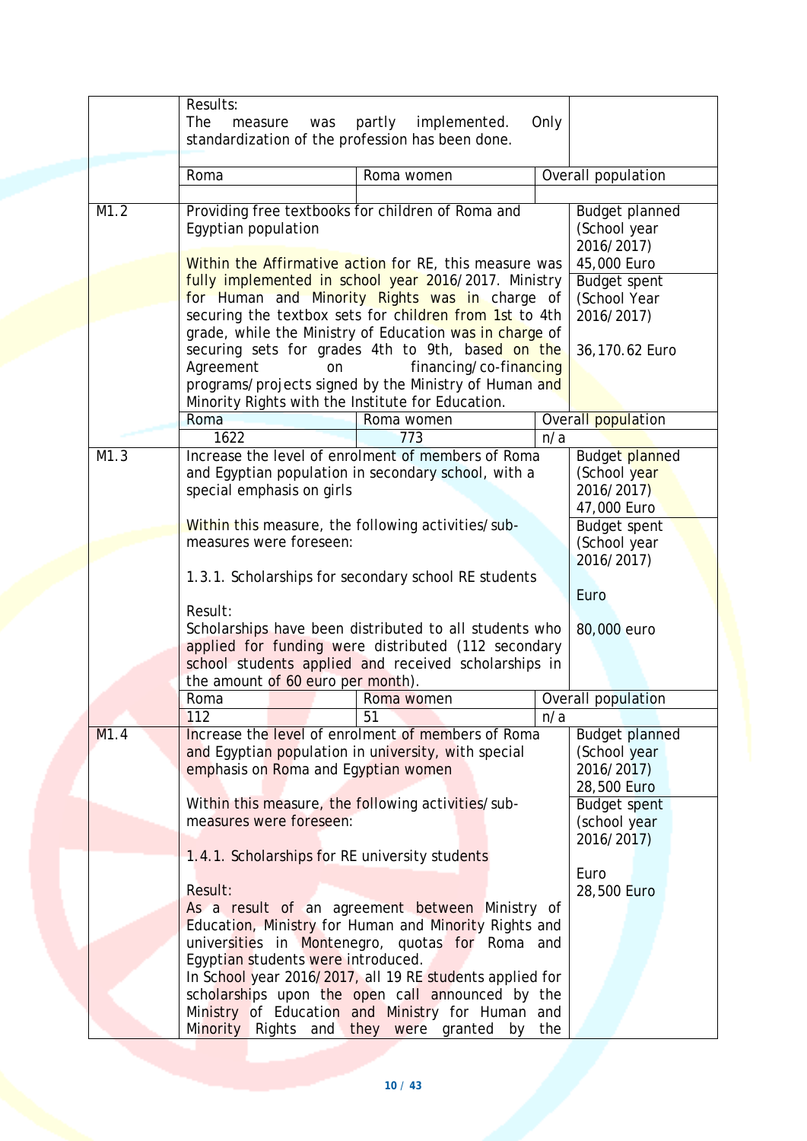|      | Results:<br><b>The</b><br>measure<br>was<br>standardization of the profession has been done. | partly implemented.                                                                                          | Only |                                |
|------|----------------------------------------------------------------------------------------------|--------------------------------------------------------------------------------------------------------------|------|--------------------------------|
|      |                                                                                              |                                                                                                              |      |                                |
|      | Roma                                                                                         | Roma women                                                                                                   |      | Overall population             |
|      |                                                                                              |                                                                                                              |      |                                |
| M1.2 | Providing free textbooks for children of Roma and<br>Egyptian population                     | Budget planned<br>(School year<br>2016/2017)                                                                 |      |                                |
|      |                                                                                              | Within the Affirmative action for RE, this measure was                                                       |      | 45,000 Euro                    |
|      |                                                                                              | fully implemented in school year 2016/2017. Ministry                                                         |      | <b>Budget spent</b>            |
|      |                                                                                              | for Human and Minority Rights was in charge of                                                               |      | (School Year                   |
|      |                                                                                              | securing the textbox sets for children from 1st to 4th                                                       |      | 2016/2017)                     |
|      |                                                                                              | grade, while the Ministry of Education was in charge of<br>securing sets for grades 4th to 9th, based on the |      | 36,170.62 Euro                 |
|      | Agreement<br>on                                                                              | financing/co-financing                                                                                       |      |                                |
|      |                                                                                              | programs/projects signed by the Ministry of Human and                                                        |      |                                |
|      | Minority Rights with the Institute for Education.                                            |                                                                                                              |      |                                |
|      | Roma                                                                                         | Roma women                                                                                                   |      | Overall population             |
|      | 1622                                                                                         | 773                                                                                                          | n/a  |                                |
| M1.3 |                                                                                              | Increase the level of enrolment of members of Roma                                                           |      | Budget planned                 |
|      |                                                                                              | and Egyptian population in secondary school, with a                                                          |      | (School year                   |
|      | special emphasis on girls                                                                    |                                                                                                              |      | 2016/2017)                     |
|      |                                                                                              |                                                                                                              |      | 47,000 Euro                    |
|      | Within this measure, the following activities/sub-                                           |                                                                                                              |      | <b>Budget spent</b>            |
|      | measures were foreseen:                                                                      |                                                                                                              |      | (School year<br>2016/2017)     |
|      | 1.3.1. Scholarships for secondary school RE students                                         |                                                                                                              |      |                                |
|      |                                                                                              |                                                                                                              |      | Euro                           |
|      | Result:                                                                                      |                                                                                                              |      |                                |
|      |                                                                                              | Scholarships have been distributed to all students who                                                       |      | 80,000 euro                    |
|      |                                                                                              | applied for funding were distributed (112 secondary                                                          |      |                                |
|      |                                                                                              | school students applied and received scholarships in                                                         |      |                                |
|      | the amount of 60 euro per month).                                                            |                                                                                                              |      |                                |
|      | Roma                                                                                         | Roma women                                                                                                   |      | Overall population             |
|      | 112                                                                                          | 51                                                                                                           | n/a  |                                |
| M1.4 |                                                                                              | Increase the level of enrolment of members of Roma<br>and Egyptian population in university, with special    |      | Budget planned<br>(School year |
|      | emphasis on Roma and Egyptian women                                                          |                                                                                                              |      | 2016/2017)                     |
|      |                                                                                              |                                                                                                              |      | 28,500 Euro                    |
|      | Within this measure, the following activities/sub-                                           |                                                                                                              |      | <b>Budget spent</b>            |
|      | measures were foreseen:                                                                      |                                                                                                              |      | (school year                   |
|      |                                                                                              |                                                                                                              |      | 2016/2017)                     |
|      | 1.4.1. Scholarships for RE university students                                               |                                                                                                              |      |                                |
|      |                                                                                              |                                                                                                              |      | Euro                           |
|      | Result:                                                                                      |                                                                                                              |      | 28,500 Euro                    |
|      |                                                                                              | As a result of an agreement between Ministry of                                                              |      |                                |
|      |                                                                                              | Education, Ministry for Human and Minority Rights and<br>universities in Montenegro, quotas for Roma and     |      |                                |
|      | Egyptian students were introduced.                                                           |                                                                                                              |      |                                |
|      |                                                                                              | In School year 2016/2017, all 19 RE students applied for                                                     |      |                                |
|      |                                                                                              | scholarships upon the open call announced by the                                                             |      |                                |
|      |                                                                                              | Ministry of Education and Ministry for Human and                                                             |      |                                |
|      | Minority Rights and they were granted                                                        | by                                                                                                           | the  |                                |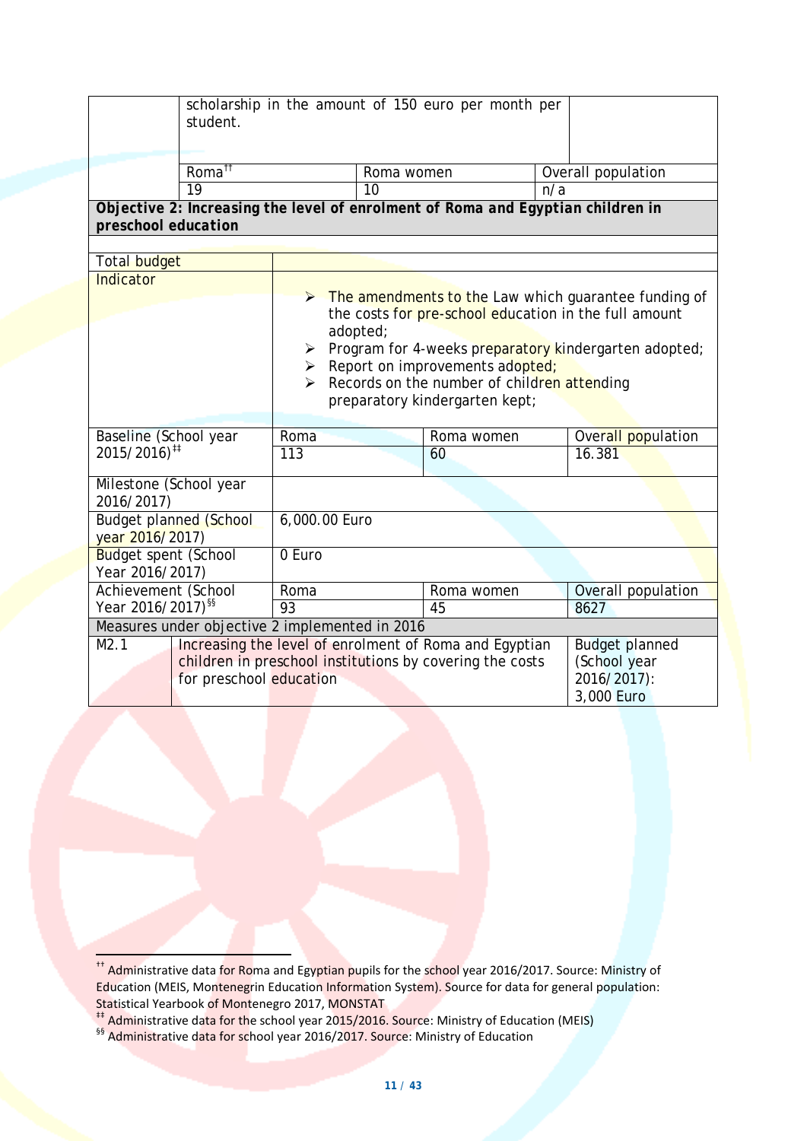|                                                | student.                                       | scholarship in the amount of 150 euro per month per                                                                                                                                                                                                 |            |                                                                                 |     |                           |  |
|------------------------------------------------|------------------------------------------------|-----------------------------------------------------------------------------------------------------------------------------------------------------------------------------------------------------------------------------------------------------|------------|---------------------------------------------------------------------------------|-----|---------------------------|--|
|                                                | Roma <sup>11</sup>                             |                                                                                                                                                                                                                                                     | Roma women |                                                                                 |     | Overall population        |  |
|                                                | 19                                             |                                                                                                                                                                                                                                                     | 10         |                                                                                 | n/a |                           |  |
| preschool education                            |                                                |                                                                                                                                                                                                                                                     |            | Objective 2: Increasing the level of enrolment of Roma and Egyptian children in |     |                           |  |
| Total budget                                   |                                                |                                                                                                                                                                                                                                                     |            |                                                                                 |     |                           |  |
| Indicator                                      |                                                |                                                                                                                                                                                                                                                     |            |                                                                                 |     |                           |  |
|                                                |                                                | The amendments to the Law which guarantee funding of<br>$\blacktriangleright$<br>the costs for pre-school education in the full amount<br>adopted;<br>Program for 4-weeks preparatory kindergarten adopted;<br>Report on improvements adopted;<br>➤ |            |                                                                                 |     |                           |  |
|                                                |                                                | Records on the number of children attending<br>$\blacktriangleright$<br>preparatory kindergarten kept;                                                                                                                                              |            |                                                                                 |     |                           |  |
| Baseline (School year                          |                                                | Roma                                                                                                                                                                                                                                                |            | Roma women                                                                      |     | Overall population        |  |
| 2015/2016) <sup>‡‡</sup>                       |                                                | 113                                                                                                                                                                                                                                                 |            | 60                                                                              |     | 16.381                    |  |
| Milestone (School year<br>2016/2017)           |                                                |                                                                                                                                                                                                                                                     |            |                                                                                 |     |                           |  |
| year 2016/2017)                                | <b>Budget planned (School</b>                  | 6,000.00 Euro                                                                                                                                                                                                                                       |            |                                                                                 |     |                           |  |
| <b>Budget spent (School</b><br>Year 2016/2017) |                                                | 0 <sub>Euro</sub>                                                                                                                                                                                                                                   |            |                                                                                 |     |                           |  |
| Achievement (School                            |                                                | Roma                                                                                                                                                                                                                                                |            | Roma women                                                                      |     | Overall population        |  |
| Year 2016/2017) <sup>§§</sup>                  |                                                | 93                                                                                                                                                                                                                                                  |            | 45                                                                              |     | 8627                      |  |
|                                                | Measures under objective 2 implemented in 2016 |                                                                                                                                                                                                                                                     |            |                                                                                 |     |                           |  |
| M2.1                                           |                                                |                                                                                                                                                                                                                                                     |            | Increasing the level of enrolment of Roma and Egyptian                          |     | <b>Budget planned</b>     |  |
|                                                |                                                |                                                                                                                                                                                                                                                     |            | children in preschool institutions by covering the costs                        |     | (School year              |  |
|                                                | for preschool education                        |                                                                                                                                                                                                                                                     |            |                                                                                 |     | 2016/2017):<br>3,000 Euro |  |
|                                                |                                                |                                                                                                                                                                                                                                                     |            |                                                                                 |     |                           |  |

<span id="page-10-0"></span><sup>&</sup>lt;sup>++</sup> Administrative data for Roma and Egyptian pupils for the school year 2016/2017. Source: Ministry of Education (MEIS, Montenegrin Education Information System). Source for data for general population:

Statistical Yearbook of Montenegro 2017, MONSTAT<br><sup>#‡</sup> Administrative data for the school year 2015/2016. Source: Ministry of Education (MEIS)

<span id="page-10-2"></span><span id="page-10-1"></span><sup>&</sup>lt;sup>§§</sup> Administrative data for school year 2016/2017. Source: Ministry of Education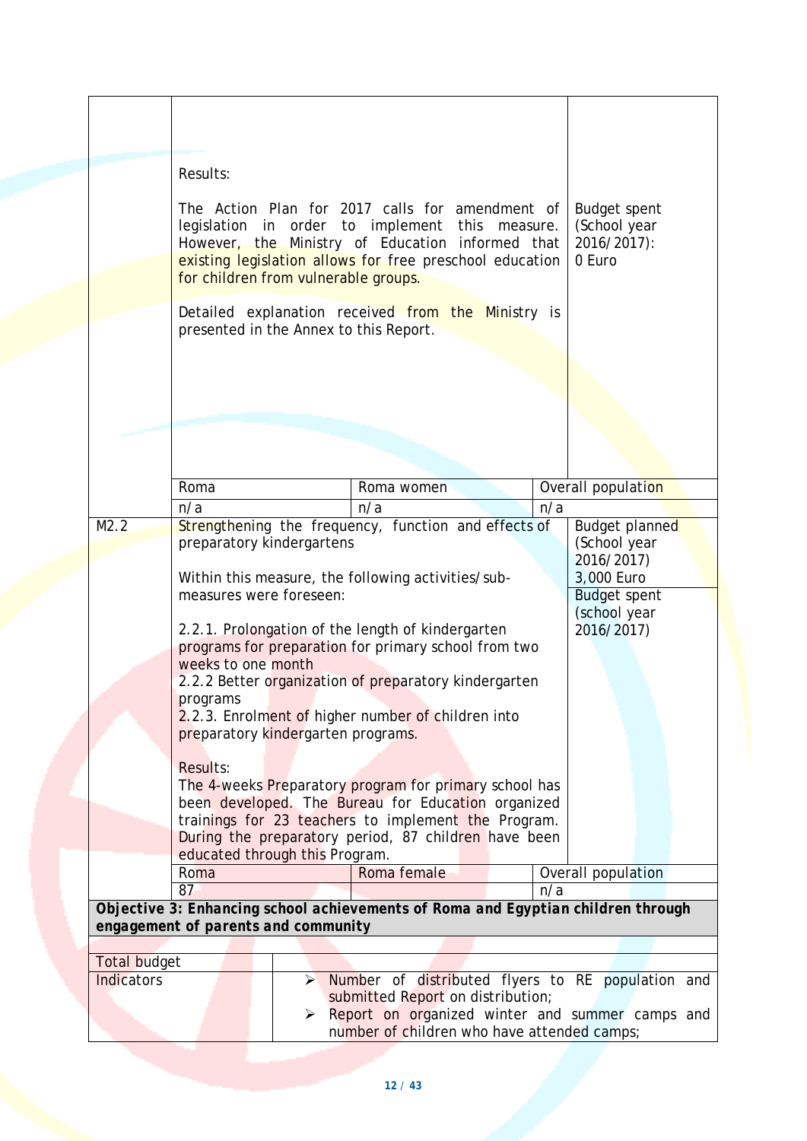|                   | Results:                                                                                                                                                                                                                                                   |   |                                                        |  |                                                              |                                                     |
|-------------------|------------------------------------------------------------------------------------------------------------------------------------------------------------------------------------------------------------------------------------------------------------|---|--------------------------------------------------------|--|--------------------------------------------------------------|-----------------------------------------------------|
|                   | The Action Plan for 2017 calls for amendment of<br>legislation in order to implement this measure.<br>However, the Ministry of Education informed that<br>existing legislation allows for free preschool education<br>for children from vulnerable groups. |   |                                                        |  | <b>Budget spent</b><br>(School year<br>2016/2017):<br>0 Euro |                                                     |
|                   | Detailed explanation received from the Ministry is<br>presented in the Annex to this Report.                                                                                                                                                               |   |                                                        |  |                                                              |                                                     |
|                   |                                                                                                                                                                                                                                                            |   |                                                        |  |                                                              |                                                     |
|                   |                                                                                                                                                                                                                                                            |   |                                                        |  |                                                              |                                                     |
|                   |                                                                                                                                                                                                                                                            |   |                                                        |  |                                                              |                                                     |
|                   | Roma                                                                                                                                                                                                                                                       |   | Roma women                                             |  |                                                              | Overall population                                  |
|                   | n/a                                                                                                                                                                                                                                                        |   | n/a                                                    |  | n/a                                                          |                                                     |
| M2.2              |                                                                                                                                                                                                                                                            |   | Strengthening the frequency, function and effects of   |  |                                                              | Budget planned                                      |
|                   | preparatory kindergartens                                                                                                                                                                                                                                  |   |                                                        |  |                                                              | (School year                                        |
|                   |                                                                                                                                                                                                                                                            |   |                                                        |  |                                                              | 2016/2017)                                          |
|                   |                                                                                                                                                                                                                                                            |   | Within this measure, the following activities/sub-     |  |                                                              | 3,000 Euro                                          |
|                   | measures were foreseen:                                                                                                                                                                                                                                    |   |                                                        |  |                                                              | <b>Budget spent</b>                                 |
|                   |                                                                                                                                                                                                                                                            |   | 2.2.1. Prolongation of the length of kindergarten      |  |                                                              | (school year<br>2016/2017)                          |
|                   |                                                                                                                                                                                                                                                            |   | programs for preparation for primary school from two   |  |                                                              |                                                     |
|                   | weeks to one month                                                                                                                                                                                                                                         |   |                                                        |  |                                                              |                                                     |
|                   |                                                                                                                                                                                                                                                            |   | 2.2.2 Better organization of preparatory kindergarten  |  |                                                              |                                                     |
|                   | programs                                                                                                                                                                                                                                                   |   |                                                        |  |                                                              |                                                     |
|                   |                                                                                                                                                                                                                                                            |   | 2.2.3. Enrolment of higher number of children into     |  |                                                              |                                                     |
|                   | preparatory kindergarten programs.                                                                                                                                                                                                                         |   |                                                        |  |                                                              |                                                     |
|                   |                                                                                                                                                                                                                                                            |   |                                                        |  |                                                              |                                                     |
|                   | <b>Results:</b>                                                                                                                                                                                                                                            |   | The 4-weeks Preparatory program for primary school has |  |                                                              |                                                     |
|                   |                                                                                                                                                                                                                                                            |   | been developed. The Bureau for Education organized     |  |                                                              |                                                     |
|                   |                                                                                                                                                                                                                                                            |   | trainings for 23 teachers to implement the Program.    |  |                                                              |                                                     |
|                   |                                                                                                                                                                                                                                                            |   | During the preparatory period, 87 children have been   |  |                                                              |                                                     |
|                   | educated through this Program.                                                                                                                                                                                                                             |   |                                                        |  |                                                              |                                                     |
|                   | Roma                                                                                                                                                                                                                                                       |   | Roma female                                            |  |                                                              | Overall population                                  |
|                   | 87                                                                                                                                                                                                                                                         |   |                                                        |  | n/a                                                          |                                                     |
|                   | Objective 3: Enhancing school achievements of Roma and Egyptian children through                                                                                                                                                                           |   |                                                        |  |                                                              |                                                     |
|                   | engagement of parents and community                                                                                                                                                                                                                        |   |                                                        |  |                                                              |                                                     |
| Total budget      |                                                                                                                                                                                                                                                            |   |                                                        |  |                                                              |                                                     |
| <b>Indicators</b> |                                                                                                                                                                                                                                                            |   |                                                        |  |                                                              | > Number of distributed flyers to RE population and |
|                   |                                                                                                                                                                                                                                                            |   | submitted Report on distribution;                      |  |                                                              |                                                     |
|                   |                                                                                                                                                                                                                                                            | ≻ |                                                        |  |                                                              | Report on organized winter and summer camps and     |
|                   |                                                                                                                                                                                                                                                            |   | number of children who have attended camps;            |  |                                                              |                                                     |
|                   |                                                                                                                                                                                                                                                            |   |                                                        |  |                                                              |                                                     |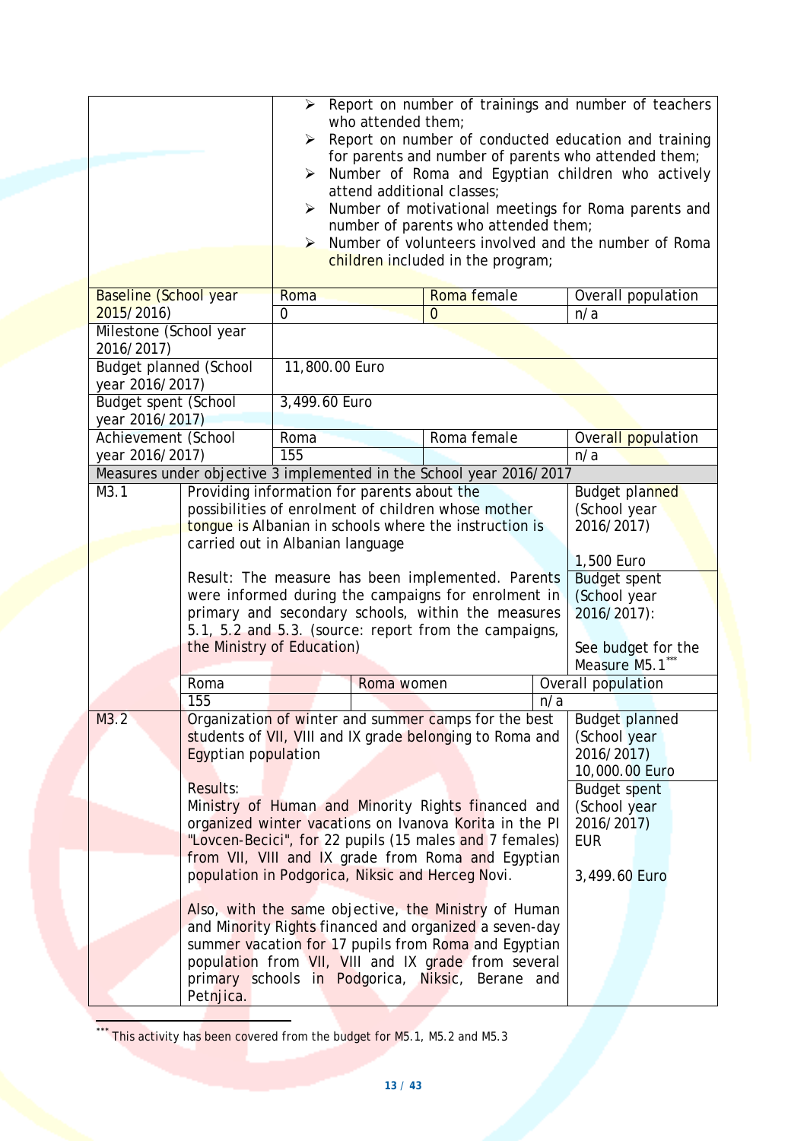|                                                  |                                                                                                                                                                                                                                                       | ➤<br>$\blacktriangleright$ | who attended them; | attend additional classes;<br>number of parents who attended them;<br>children included in the program;                                                                                                                   |                                                                                           | $\triangleright$ Report on number of trainings and number of teachers<br>$\triangleright$ Report on number of conducted education and training<br>for parents and number of parents who attended them;<br>$\triangleright$ Number of Roma and Egyptian children who actively<br>Number of motivational meetings for Roma parents and<br>Number of volunteers involved and the number of Roma |
|--------------------------------------------------|-------------------------------------------------------------------------------------------------------------------------------------------------------------------------------------------------------------------------------------------------------|----------------------------|--------------------|---------------------------------------------------------------------------------------------------------------------------------------------------------------------------------------------------------------------------|-------------------------------------------------------------------------------------------|----------------------------------------------------------------------------------------------------------------------------------------------------------------------------------------------------------------------------------------------------------------------------------------------------------------------------------------------------------------------------------------------|
| <b>Baseline (School year</b>                     |                                                                                                                                                                                                                                                       | Roma                       |                    | Roma female                                                                                                                                                                                                               |                                                                                           | Overall population                                                                                                                                                                                                                                                                                                                                                                           |
| 2015/2016)                                       |                                                                                                                                                                                                                                                       | 0                          |                    | 0                                                                                                                                                                                                                         |                                                                                           | n/a                                                                                                                                                                                                                                                                                                                                                                                          |
| Milestone (School year<br>2016/2017)             |                                                                                                                                                                                                                                                       |                            |                    |                                                                                                                                                                                                                           |                                                                                           |                                                                                                                                                                                                                                                                                                                                                                                              |
| <b>Budget planned (School</b><br>year 2016/2017) |                                                                                                                                                                                                                                                       | 11,800.00 Euro             |                    |                                                                                                                                                                                                                           |                                                                                           |                                                                                                                                                                                                                                                                                                                                                                                              |
| <b>Budget spent (School</b><br>year 2016/2017)   |                                                                                                                                                                                                                                                       | 3,499.60 Euro              |                    |                                                                                                                                                                                                                           |                                                                                           |                                                                                                                                                                                                                                                                                                                                                                                              |
| Achievement (School                              |                                                                                                                                                                                                                                                       | Roma                       |                    | Roma female                                                                                                                                                                                                               |                                                                                           | Overall population                                                                                                                                                                                                                                                                                                                                                                           |
| year 2016/2017)                                  |                                                                                                                                                                                                                                                       | 155                        |                    |                                                                                                                                                                                                                           |                                                                                           | n/a                                                                                                                                                                                                                                                                                                                                                                                          |
| M3.1                                             | Providing information for parents about the                                                                                                                                                                                                           |                            |                    | Measures under objective 3 implemented in the School year 2016/2017                                                                                                                                                       |                                                                                           | Budget planned                                                                                                                                                                                                                                                                                                                                                                               |
|                                                  | carried out in Albanian language                                                                                                                                                                                                                      |                            |                    | possibilities of enrolment of children whose mother<br>tongue is Albanian in schools where the instruction is                                                                                                             |                                                                                           | (School year<br>2016/2017)                                                                                                                                                                                                                                                                                                                                                                   |
|                                                  |                                                                                                                                                                                                                                                       |                            |                    |                                                                                                                                                                                                                           |                                                                                           | 1,500 Euro                                                                                                                                                                                                                                                                                                                                                                                   |
|                                                  | Result: The measure has been implemented. Parents<br>were informed during the campaigns for enrolment in<br>primary and secondary schools, within the measures<br>5.1, 5.2 and 5.3. (source: report from the campaigns,<br>the Ministry of Education) |                            |                    |                                                                                                                                                                                                                           | <b>Budget spent</b><br>(School year<br>2016/2017):<br>See budget for the<br>Measure M5.1" |                                                                                                                                                                                                                                                                                                                                                                                              |
|                                                  | Roma                                                                                                                                                                                                                                                  |                            | Roma women         |                                                                                                                                                                                                                           |                                                                                           | Overall population                                                                                                                                                                                                                                                                                                                                                                           |
|                                                  | 155                                                                                                                                                                                                                                                   |                            |                    |                                                                                                                                                                                                                           | n/a                                                                                       |                                                                                                                                                                                                                                                                                                                                                                                              |
| M3.2                                             | Egyptian population                                                                                                                                                                                                                                   |                            |                    | Organization of winter and summer camps for the best<br>students of VII, VIII and IX grade belonging to Roma and                                                                                                          |                                                                                           | <b>Budget planned</b><br>(School year<br>2016/2017)<br>10,000.00 Euro                                                                                                                                                                                                                                                                                                                        |
|                                                  | Results:<br>Ministry of Human and Minority Rights financed and<br>organized winter vacations on Ivanova Korita in the PI<br>"Lovcen-Becici", for 22 pupils (15 males and 7 females)<br>from VII, VIII and IX grade from Roma and Egyptian             |                            |                    | <b>Budget spent</b><br>(School year<br>2016/2017)<br><b>EUR</b>                                                                                                                                                           |                                                                                           |                                                                                                                                                                                                                                                                                                                                                                                              |
|                                                  |                                                                                                                                                                                                                                                       |                            |                    | population in Podgorica, Niksic and Herceg Novi.<br>Also, with the same objective, the Ministry of Human                                                                                                                  |                                                                                           | 3,499.60 Euro                                                                                                                                                                                                                                                                                                                                                                                |
|                                                  | Petnjica.                                                                                                                                                                                                                                             |                            |                    | and Minority Rights financed and organized a seven-day<br>summer vacation for 17 pupils from Roma and Egyptian<br>population from VII, VIII and IX grade from several<br>primary schools in Podgorica, Niksic, Berane and |                                                                                           |                                                                                                                                                                                                                                                                                                                                                                                              |

<span id="page-12-0"></span><sup>\*\*\*</sup> This activity has been covered from the budget for M5.1, M5.2 and M5.3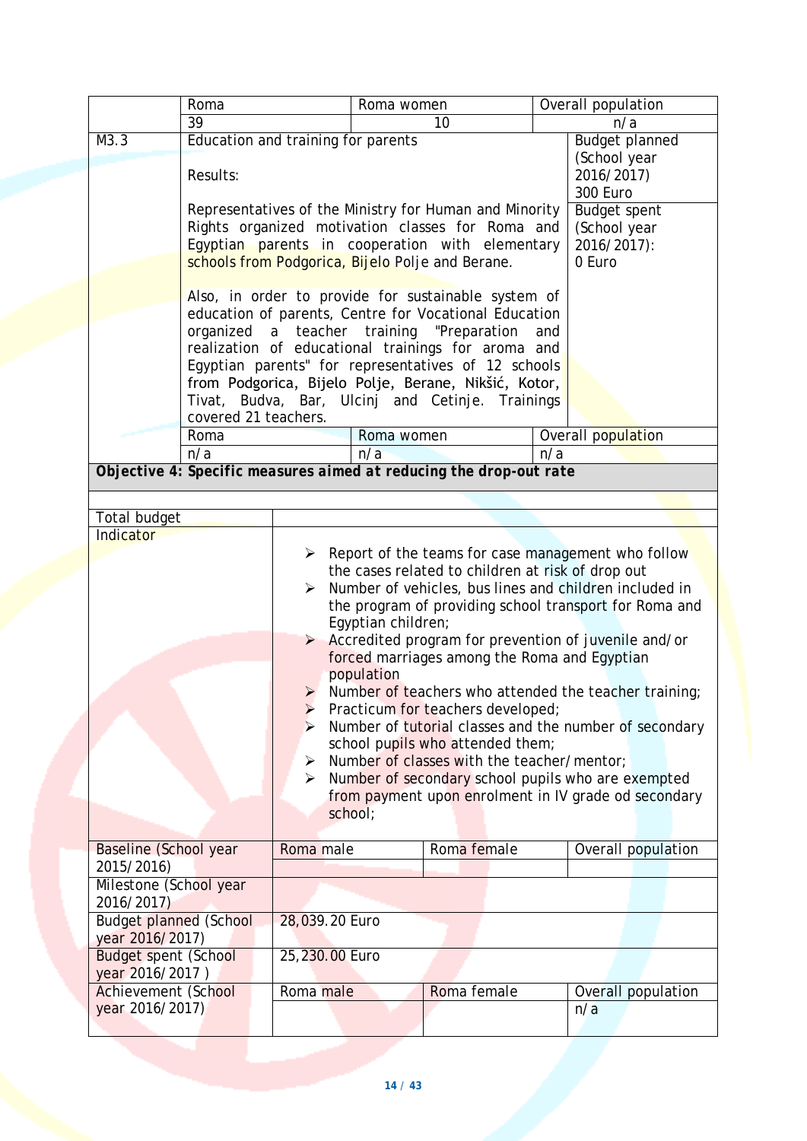| Roma                                                               |                                                                                                     | Roma women                                  |                                                                                                                                                                                                                          |     | Overall population                                                                                                                                                                                                                                                                                                                                                                                                                                                               |
|--------------------------------------------------------------------|-----------------------------------------------------------------------------------------------------|---------------------------------------------|--------------------------------------------------------------------------------------------------------------------------------------------------------------------------------------------------------------------------|-----|----------------------------------------------------------------------------------------------------------------------------------------------------------------------------------------------------------------------------------------------------------------------------------------------------------------------------------------------------------------------------------------------------------------------------------------------------------------------------------|
| 39                                                                 |                                                                                                     |                                             | 10                                                                                                                                                                                                                       |     | n/a                                                                                                                                                                                                                                                                                                                                                                                                                                                                              |
| M3.3                                                               | Education and training for parents                                                                  |                                             |                                                                                                                                                                                                                          |     | <b>Budget planned</b><br>(School year                                                                                                                                                                                                                                                                                                                                                                                                                                            |
| Results:                                                           |                                                                                                     |                                             |                                                                                                                                                                                                                          |     | 2016/2017)                                                                                                                                                                                                                                                                                                                                                                                                                                                                       |
|                                                                    |                                                                                                     |                                             |                                                                                                                                                                                                                          |     | 300 Euro                                                                                                                                                                                                                                                                                                                                                                                                                                                                         |
|                                                                    | Representatives of the Ministry for Human and Minority                                              |                                             |                                                                                                                                                                                                                          |     | <b>Budget spent</b>                                                                                                                                                                                                                                                                                                                                                                                                                                                              |
|                                                                    | Rights organized motivation classes for Roma and                                                    |                                             |                                                                                                                                                                                                                          |     | (School year                                                                                                                                                                                                                                                                                                                                                                                                                                                                     |
|                                                                    | Egyptian parents in cooperation with elementary<br>schools from Podgorica, Bijelo Polje and Berane. |                                             |                                                                                                                                                                                                                          |     | 2016/2017):<br>0 Euro                                                                                                                                                                                                                                                                                                                                                                                                                                                            |
|                                                                    |                                                                                                     |                                             |                                                                                                                                                                                                                          |     |                                                                                                                                                                                                                                                                                                                                                                                                                                                                                  |
|                                                                    | Also, in order to provide for sustainable system of                                                 |                                             |                                                                                                                                                                                                                          |     |                                                                                                                                                                                                                                                                                                                                                                                                                                                                                  |
|                                                                    | education of parents, Centre for Vocational Education                                               |                                             |                                                                                                                                                                                                                          |     |                                                                                                                                                                                                                                                                                                                                                                                                                                                                                  |
|                                                                    | organized a<br>realization of educational trainings for aroma and                                   |                                             | teacher training "Preparation                                                                                                                                                                                            | and |                                                                                                                                                                                                                                                                                                                                                                                                                                                                                  |
|                                                                    | Egyptian parents" for representatives of 12 schools                                                 |                                             |                                                                                                                                                                                                                          |     |                                                                                                                                                                                                                                                                                                                                                                                                                                                                                  |
|                                                                    | from Podgorica, Bijelo Polje, Berane, Nikšić, Kotor,                                                |                                             |                                                                                                                                                                                                                          |     |                                                                                                                                                                                                                                                                                                                                                                                                                                                                                  |
|                                                                    | Tivat, Budva, Bar, Ulcinj and Cetinje. Trainings                                                    |                                             |                                                                                                                                                                                                                          |     |                                                                                                                                                                                                                                                                                                                                                                                                                                                                                  |
|                                                                    | covered 21 teachers.                                                                                |                                             |                                                                                                                                                                                                                          |     |                                                                                                                                                                                                                                                                                                                                                                                                                                                                                  |
| Roma                                                               |                                                                                                     | Roma women                                  |                                                                                                                                                                                                                          |     | Overall population                                                                                                                                                                                                                                                                                                                                                                                                                                                               |
| n/a                                                                |                                                                                                     | n/a                                         |                                                                                                                                                                                                                          | n/a |                                                                                                                                                                                                                                                                                                                                                                                                                                                                                  |
| Objective 4: Specific measures aimed at reducing the drop-out rate |                                                                                                     |                                             |                                                                                                                                                                                                                          |     |                                                                                                                                                                                                                                                                                                                                                                                                                                                                                  |
| Total budget                                                       |                                                                                                     |                                             |                                                                                                                                                                                                                          |     |                                                                                                                                                                                                                                                                                                                                                                                                                                                                                  |
| Indicator                                                          |                                                                                                     |                                             |                                                                                                                                                                                                                          |     |                                                                                                                                                                                                                                                                                                                                                                                                                                                                                  |
|                                                                    | ≻<br>$\blacktriangleright$<br>$\blacktriangleright$<br>➤<br>⋗                                       | Egyptian children;<br>population<br>school; | the cases related to children at risk of drop out<br>forced marriages among the Roma and Egyptian<br>Practicum for teachers developed;<br>school pupils who attended them;<br>Number of classes with the teacher/mentor; |     | $\triangleright$ Report of the teams for case management who follow<br>Number of vehicles, bus lines and children included in<br>the program of providing school transport for Roma and<br>Accredited program for prevention of juvenile and/or<br>Number of teachers who attended the teacher training;<br>Number of tutorial classes and the number of secondary<br>Number of secondary school pupils who are exempted<br>from payment upon enrolment in IV grade od secondary |
| Baseline (School year<br>2015/2016)                                | Roma male                                                                                           |                                             | Roma female                                                                                                                                                                                                              |     | Overall population                                                                                                                                                                                                                                                                                                                                                                                                                                                               |
| Milestone (School year<br>2016/2017)                               |                                                                                                     |                                             |                                                                                                                                                                                                                          |     |                                                                                                                                                                                                                                                                                                                                                                                                                                                                                  |
| <b>Budget planned (School</b><br>year 2016/2017)                   | 28,039.20 Euro                                                                                      |                                             |                                                                                                                                                                                                                          |     |                                                                                                                                                                                                                                                                                                                                                                                                                                                                                  |
| <b>Budget spent (School</b><br>year 2016/2017)                     | 25, 230.00 Euro                                                                                     |                                             |                                                                                                                                                                                                                          |     |                                                                                                                                                                                                                                                                                                                                                                                                                                                                                  |
| <b>Achievement (School</b>                                         | Roma male                                                                                           |                                             | Roma female                                                                                                                                                                                                              |     | Overall population                                                                                                                                                                                                                                                                                                                                                                                                                                                               |
| year 2016/2017)                                                    |                                                                                                     |                                             |                                                                                                                                                                                                                          |     | n/a                                                                                                                                                                                                                                                                                                                                                                                                                                                                              |
|                                                                    |                                                                                                     |                                             |                                                                                                                                                                                                                          |     |                                                                                                                                                                                                                                                                                                                                                                                                                                                                                  |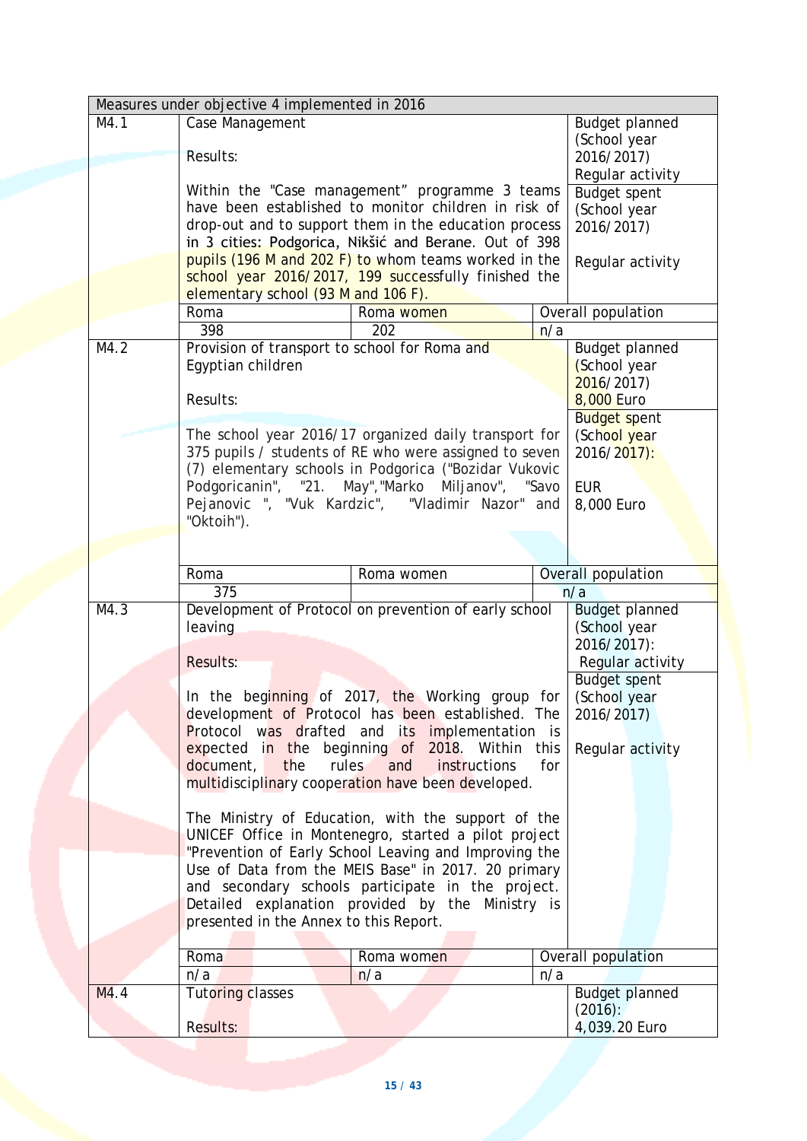|      |                                        | Measures under objective 4 implemented in 2016                                                       |     |                                     |  |  |  |
|------|----------------------------------------|------------------------------------------------------------------------------------------------------|-----|-------------------------------------|--|--|--|
| M4.1 | Case Management                        |                                                                                                      |     | <b>Budget planned</b>               |  |  |  |
|      |                                        |                                                                                                      |     | (School year                        |  |  |  |
|      | Results:                               |                                                                                                      |     | 2016/2017)                          |  |  |  |
|      |                                        |                                                                                                      |     | Regular activity                    |  |  |  |
|      |                                        | Within the "Case management" programme 3 teams                                                       |     | <b>Budget spent</b>                 |  |  |  |
|      |                                        | have been established to monitor children in risk of                                                 |     | (School year                        |  |  |  |
|      |                                        | drop-out and to support them in the education process                                                |     | 2016/2017)                          |  |  |  |
|      |                                        | in 3 cities: Podgorica, Nikšić and Berane. Out of 398                                                |     |                                     |  |  |  |
|      |                                        | pupils (196 M and 202 F) to whom teams worked in the                                                 |     | Regular activity                    |  |  |  |
|      |                                        | school year 2016/2017, 199 successfully finished the                                                 |     |                                     |  |  |  |
|      | elementary school (93 M and 106 F).    |                                                                                                      |     |                                     |  |  |  |
|      | Roma                                   | Roma women                                                                                           |     | Overall population                  |  |  |  |
|      | 398                                    | 202                                                                                                  | n/a |                                     |  |  |  |
| M4.2 |                                        | Provision of transport to school for Roma and                                                        |     | Budget planned                      |  |  |  |
|      | Egyptian children                      |                                                                                                      |     | (School year                        |  |  |  |
|      |                                        |                                                                                                      |     | 2016/2017)                          |  |  |  |
|      | Results:                               |                                                                                                      |     | 8,000 Euro                          |  |  |  |
|      |                                        |                                                                                                      |     | <b>Budget spent</b>                 |  |  |  |
|      |                                        | The school year 2016/17 organized daily transport for                                                |     | (School year                        |  |  |  |
|      |                                        | 375 pupils / students of RE who were assigned to seven                                               |     | 2016/2017):                         |  |  |  |
|      |                                        | (7) elementary schools in Podgorica ("Bozidar Vukovic                                                |     |                                     |  |  |  |
|      |                                        | Podgoricanin", "21. May", "Marko Miljanov", "Savo                                                    |     | <b>EUR</b>                          |  |  |  |
|      |                                        | Pejanovic ", "Vuk Kardzic", "Vladimir Nazor" and                                                     |     | 8,000 Euro                          |  |  |  |
|      | "Oktoih").                             |                                                                                                      |     |                                     |  |  |  |
|      |                                        |                                                                                                      |     |                                     |  |  |  |
|      |                                        |                                                                                                      |     |                                     |  |  |  |
|      |                                        |                                                                                                      |     |                                     |  |  |  |
|      | Roma                                   | Roma women                                                                                           |     | Overall population                  |  |  |  |
|      | 375                                    |                                                                                                      |     | n/a                                 |  |  |  |
| M4.3 |                                        | Development of Protocol on prevention of early school                                                |     | <b>Budget planned</b>               |  |  |  |
|      | leaving                                |                                                                                                      |     | (School year                        |  |  |  |
|      | Results:                               |                                                                                                      |     | 2016/2017):                         |  |  |  |
|      |                                        |                                                                                                      |     | Regular activity                    |  |  |  |
|      |                                        |                                                                                                      |     | <b>Budget spent</b><br>(School year |  |  |  |
|      |                                        | In the beginning of 2017, the Working group for<br>development of Protocol has been established. The |     | 2016/2017)                          |  |  |  |
|      |                                        | Protocol was drafted and its implementation is                                                       |     |                                     |  |  |  |
|      |                                        | expected in the beginning of 2018. Within this                                                       |     | Regular activity                    |  |  |  |
|      | document, the rules and                | instructions                                                                                         | for |                                     |  |  |  |
|      |                                        | multidisciplinary cooperation have been developed.                                                   |     |                                     |  |  |  |
|      |                                        |                                                                                                      |     |                                     |  |  |  |
|      |                                        | The Ministry of Education, with the support of the                                                   |     |                                     |  |  |  |
|      |                                        | UNICEF Office in Montenegro, started a pilot project                                                 |     |                                     |  |  |  |
|      |                                        | "Prevention of Early School Leaving and Improving the                                                |     |                                     |  |  |  |
|      |                                        | Use of Data from the MEIS Base" in 2017. 20 primary                                                  |     |                                     |  |  |  |
|      |                                        | and secondary schools participate in the project.                                                    |     |                                     |  |  |  |
|      |                                        | Detailed explanation provided by the Ministry is                                                     |     |                                     |  |  |  |
|      | presented in the Annex to this Report. |                                                                                                      |     |                                     |  |  |  |
|      |                                        |                                                                                                      |     |                                     |  |  |  |
|      | Roma                                   | Roma women                                                                                           |     | Overall population                  |  |  |  |
|      | n/a                                    | n/a                                                                                                  | n/a |                                     |  |  |  |
| M4.4 | <b>Tutoring classes</b>                |                                                                                                      |     | <b>Budget planned</b>               |  |  |  |
|      | <b>Results:</b>                        |                                                                                                      |     | $(2016)$ :<br>4,039.20 Euro         |  |  |  |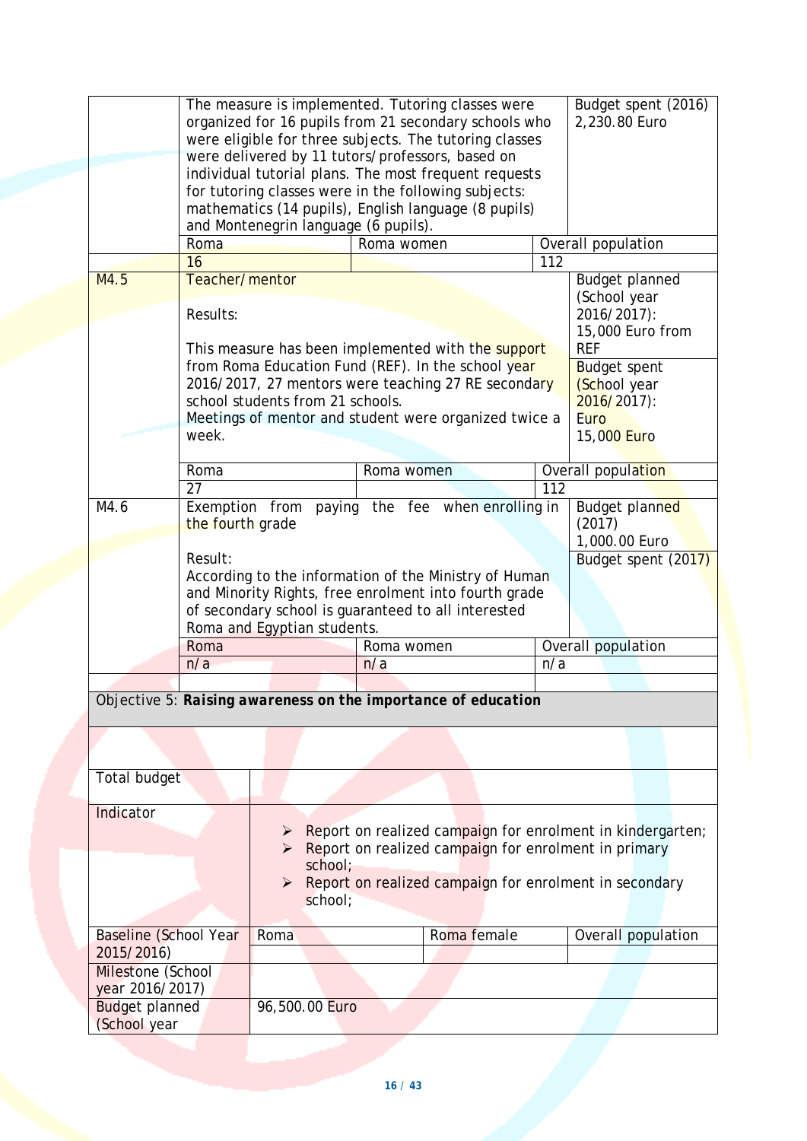|                              |                                                                                 | The measure is implemented. Tutoring classes were<br>organized for 16 pupils from 21 secondary schools who<br>were eligible for three subjects. The tutoring classes<br>were delivered by 11 tutors/professors, based on<br>individual tutorial plans. The most frequent requests<br>for tutoring classes were in the following subjects:<br>mathematics (14 pupils), English language (8 pupils) |            |                                                               |     | Budget spent (2016)<br>2,230.80 Euro                                        |
|------------------------------|---------------------------------------------------------------------------------|---------------------------------------------------------------------------------------------------------------------------------------------------------------------------------------------------------------------------------------------------------------------------------------------------------------------------------------------------------------------------------------------------|------------|---------------------------------------------------------------|-----|-----------------------------------------------------------------------------|
|                              |                                                                                 | and Montenegrin language (6 pupils).                                                                                                                                                                                                                                                                                                                                                              |            |                                                               |     |                                                                             |
|                              | Roma                                                                            |                                                                                                                                                                                                                                                                                                                                                                                                   | Roma women |                                                               |     | Overall population                                                          |
|                              | 16                                                                              |                                                                                                                                                                                                                                                                                                                                                                                                   |            |                                                               | 112 |                                                                             |
| M4.5                         | Teacher/mentor                                                                  |                                                                                                                                                                                                                                                                                                                                                                                                   |            |                                                               |     | <b>Budget planned</b>                                                       |
|                              |                                                                                 |                                                                                                                                                                                                                                                                                                                                                                                                   |            |                                                               |     | (School year                                                                |
|                              | Results:                                                                        |                                                                                                                                                                                                                                                                                                                                                                                                   |            |                                                               |     | 2016/2017):<br>15,000 Euro from                                             |
|                              |                                                                                 |                                                                                                                                                                                                                                                                                                                                                                                                   |            | This measure has been implemented with the support            |     | <b>REF</b>                                                                  |
|                              |                                                                                 |                                                                                                                                                                                                                                                                                                                                                                                                   |            | from Roma Education Fund (REF). In the school year            |     | <b>Budget spent</b>                                                         |
|                              |                                                                                 |                                                                                                                                                                                                                                                                                                                                                                                                   |            | 2016/2017, 27 mentors were teaching 27 RE secondary           |     | (School year                                                                |
|                              |                                                                                 | school students from 21 schools.                                                                                                                                                                                                                                                                                                                                                                  |            |                                                               |     | $2016/2017$ :                                                               |
|                              |                                                                                 |                                                                                                                                                                                                                                                                                                                                                                                                   |            | Meetings of mentor and student were organized twice a         |     | Euro                                                                        |
|                              | week.                                                                           |                                                                                                                                                                                                                                                                                                                                                                                                   |            |                                                               |     | 15,000 Euro                                                                 |
|                              |                                                                                 |                                                                                                                                                                                                                                                                                                                                                                                                   |            |                                                               |     |                                                                             |
|                              | Roma                                                                            |                                                                                                                                                                                                                                                                                                                                                                                                   | Roma women |                                                               |     | Overall population                                                          |
|                              | 27                                                                              |                                                                                                                                                                                                                                                                                                                                                                                                   |            |                                                               | 112 |                                                                             |
| M4.6                         | Exemption from<br>the fourth grade                                              |                                                                                                                                                                                                                                                                                                                                                                                                   |            | paying the fee when enrolling in                              |     | Budget planned<br>(2017)                                                    |
|                              | Result:                                                                         |                                                                                                                                                                                                                                                                                                                                                                                                   |            |                                                               |     | 1,000.00 Euro                                                               |
|                              |                                                                                 |                                                                                                                                                                                                                                                                                                                                                                                                   |            | According to the information of the Ministry of Human         |     | Budget spent (2017)                                                         |
|                              |                                                                                 |                                                                                                                                                                                                                                                                                                                                                                                                   |            | and Minority Rights, free enrolment into fourth grade         |     |                                                                             |
|                              |                                                                                 | of secondary school is guaranteed to all interested                                                                                                                                                                                                                                                                                                                                               |            |                                                               |     |                                                                             |
|                              |                                                                                 | Roma and Egyptian students.                                                                                                                                                                                                                                                                                                                                                                       |            |                                                               |     |                                                                             |
|                              | Roma                                                                            |                                                                                                                                                                                                                                                                                                                                                                                                   | Roma women |                                                               |     | Overall population                                                          |
|                              | n/a                                                                             |                                                                                                                                                                                                                                                                                                                                                                                                   | n/a        |                                                               | n/a |                                                                             |
|                              |                                                                                 |                                                                                                                                                                                                                                                                                                                                                                                                   |            |                                                               |     |                                                                             |
|                              |                                                                                 |                                                                                                                                                                                                                                                                                                                                                                                                   |            | Objective 5: Raising awareness on the importance of education |     |                                                                             |
|                              |                                                                                 |                                                                                                                                                                                                                                                                                                                                                                                                   |            |                                                               |     |                                                                             |
| Total budget                 |                                                                                 |                                                                                                                                                                                                                                                                                                                                                                                                   |            |                                                               |     |                                                                             |
| Indicator                    |                                                                                 |                                                                                                                                                                                                                                                                                                                                                                                                   |            |                                                               |     |                                                                             |
|                              |                                                                                 |                                                                                                                                                                                                                                                                                                                                                                                                   |            |                                                               |     | $\triangleright$ Report on realized campaign for enrolment in kindergarten; |
|                              |                                                                                 |                                                                                                                                                                                                                                                                                                                                                                                                   |            | Report on realized campaign for enrolment in primary          |     |                                                                             |
|                              |                                                                                 | school;                                                                                                                                                                                                                                                                                                                                                                                           |            |                                                               |     |                                                                             |
|                              | Report on realized campaign for enrolment in secondary<br>$\blacktriangleright$ |                                                                                                                                                                                                                                                                                                                                                                                                   |            |                                                               |     |                                                                             |
|                              | school;                                                                         |                                                                                                                                                                                                                                                                                                                                                                                                   |            |                                                               |     |                                                                             |
| <b>Baseline (School Year</b> |                                                                                 | Roma                                                                                                                                                                                                                                                                                                                                                                                              |            | Roma female                                                   |     | Overall population                                                          |
| 2015/2016)                   |                                                                                 |                                                                                                                                                                                                                                                                                                                                                                                                   |            |                                                               |     |                                                                             |
| Milestone (School            |                                                                                 |                                                                                                                                                                                                                                                                                                                                                                                                   |            |                                                               |     |                                                                             |
| year 2016/2017)              |                                                                                 |                                                                                                                                                                                                                                                                                                                                                                                                   |            |                                                               |     |                                                                             |
| <b>Budget planned</b>        |                                                                                 | 96,500.00 Euro                                                                                                                                                                                                                                                                                                                                                                                    |            |                                                               |     |                                                                             |
| (School year                 |                                                                                 |                                                                                                                                                                                                                                                                                                                                                                                                   |            |                                                               |     |                                                                             |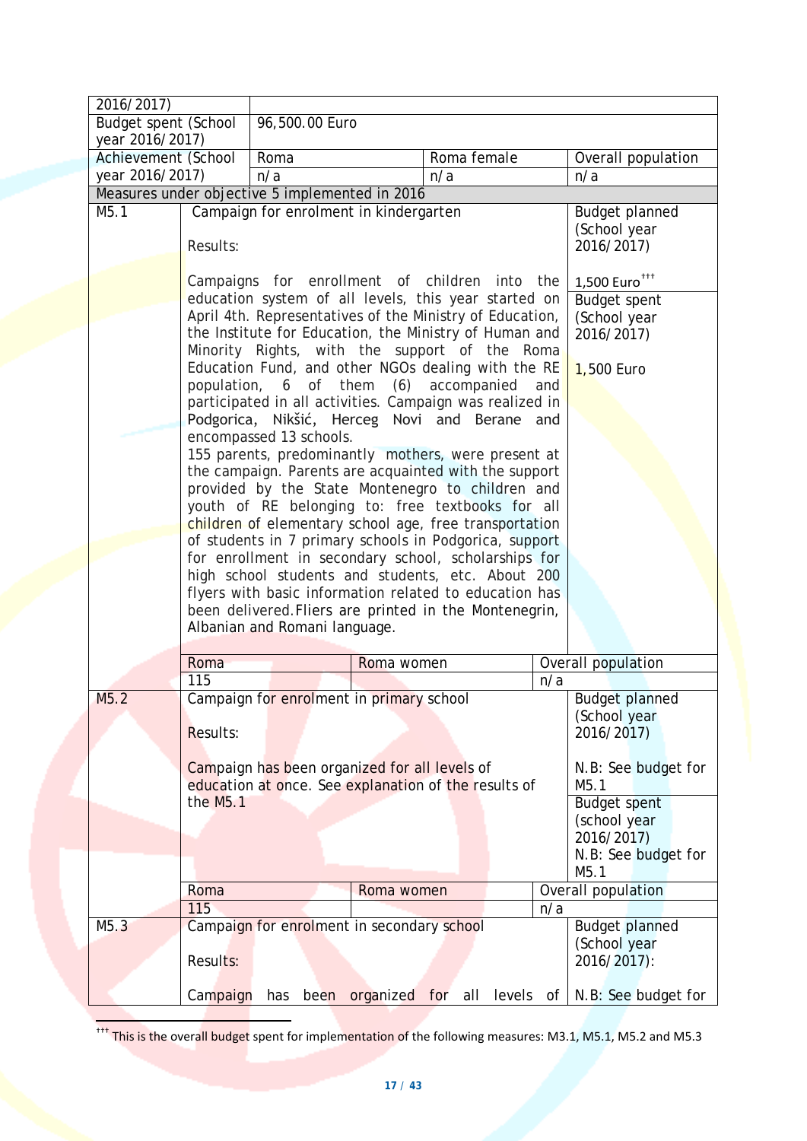| 2016/2017)                  |          |                                                                                                              |                                                                                                            |             |        |     |                             |
|-----------------------------|----------|--------------------------------------------------------------------------------------------------------------|------------------------------------------------------------------------------------------------------------|-------------|--------|-----|-----------------------------|
| <b>Budget spent (School</b> |          | 96,500.00 Euro                                                                                               |                                                                                                            |             |        |     |                             |
| year 2016/2017)             |          |                                                                                                              |                                                                                                            |             |        |     |                             |
| Achievement (School         |          | Roma                                                                                                         |                                                                                                            | Roma female |        |     | Overall population          |
| year 2016/2017)             |          | n/a                                                                                                          |                                                                                                            | n/a         |        |     | n/a                         |
|                             |          | Measures under objective 5 implemented in 2016                                                               |                                                                                                            |             |        |     |                             |
| M5.1                        |          | Campaign for enrolment in kindergarten                                                                       |                                                                                                            |             |        |     | <b>Budget planned</b>       |
|                             |          |                                                                                                              |                                                                                                            |             |        |     | (School year                |
|                             | Results: |                                                                                                              |                                                                                                            |             |        |     | 2016/2017)                  |
|                             |          |                                                                                                              |                                                                                                            |             |        |     |                             |
|                             |          | Campaigns for enrollment of children into the                                                                |                                                                                                            |             |        |     | 1,500 Euro <sup>+++</sup>   |
|                             |          | education system of all levels, this year started on                                                         |                                                                                                            |             |        |     | <b>Budget spent</b>         |
|                             |          | April 4th. Representatives of the Ministry of Education,                                                     |                                                                                                            |             |        |     | (School year                |
|                             |          | the Institute for Education, the Ministry of Human and                                                       |                                                                                                            |             |        |     | 2016/2017)                  |
|                             |          | Minority Rights, with the support of the Roma                                                                |                                                                                                            |             |        |     |                             |
|                             |          | Education Fund, and other NGOs dealing with the RE                                                           |                                                                                                            |             |        |     | 1,500 Euro                  |
|                             |          | population, 6 of them (6) accompanied                                                                        |                                                                                                            |             |        | and |                             |
|                             |          | participated in all activities. Campaign was realized in                                                     |                                                                                                            |             |        |     |                             |
|                             |          | Podgorica, Nikšić, Herceg Novi and Berane                                                                    |                                                                                                            |             |        | and |                             |
|                             |          | encompassed 13 schools.                                                                                      |                                                                                                            |             |        |     |                             |
|                             |          | 155 parents, predominantly mothers, were present at<br>the campaign. Parents are acquainted with the support |                                                                                                            |             |        |     |                             |
|                             |          | provided by the State Montenegro to children and                                                             |                                                                                                            |             |        |     |                             |
|                             |          |                                                                                                              |                                                                                                            |             |        |     |                             |
|                             |          |                                                                                                              | youth of RE belonging to: free textbooks for all<br>children of elementary school age, free transportation |             |        |     |                             |
|                             |          | of students in 7 primary schools in Podgorica, support                                                       |                                                                                                            |             |        |     |                             |
|                             |          | for enrollment in secondary school, scholarships for                                                         |                                                                                                            |             |        |     |                             |
|                             |          | high school students and students, etc. About 200                                                            |                                                                                                            |             |        |     |                             |
|                             |          | flyers with basic information related to education has                                                       |                                                                                                            |             |        |     |                             |
|                             |          | been delivered. Fliers are printed in the Montenegrin,                                                       |                                                                                                            |             |        |     |                             |
|                             |          | Albanian and Romani language.                                                                                |                                                                                                            |             |        |     |                             |
|                             |          |                                                                                                              |                                                                                                            |             |        |     |                             |
|                             | Roma     |                                                                                                              | Roma women                                                                                                 |             |        |     | Overall population          |
|                             | 115      |                                                                                                              |                                                                                                            |             |        | n/a |                             |
| M5.2                        |          | Campaign for enrolment in primary school                                                                     |                                                                                                            |             |        |     | <b>Budget planned</b>       |
|                             |          |                                                                                                              |                                                                                                            |             |        |     | (School year                |
|                             | Results: |                                                                                                              |                                                                                                            |             |        |     | 2016/2017)                  |
|                             |          |                                                                                                              |                                                                                                            |             |        |     |                             |
|                             |          |                                                                                                              | Campaign has been organized for all levels of                                                              |             |        |     | N.B: See budget for<br>M5.1 |
|                             | the M5.1 |                                                                                                              | education at once. See explanation of the results of                                                       |             |        |     | <b>Budget spent</b>         |
|                             |          |                                                                                                              |                                                                                                            |             |        |     | (school year                |
|                             |          |                                                                                                              |                                                                                                            |             |        |     | 2016/2017)                  |
|                             |          |                                                                                                              |                                                                                                            |             |        |     | N.B: See budget for         |
|                             |          |                                                                                                              |                                                                                                            |             |        |     | M5.1                        |
|                             | Roma     |                                                                                                              | Roma women                                                                                                 |             |        |     | Overall population          |
|                             | 115      |                                                                                                              |                                                                                                            |             |        | n/a |                             |
| M5.3                        |          | Campaign for enrolment in secondary school                                                                   |                                                                                                            |             |        |     | <b>Budget planned</b>       |
|                             |          |                                                                                                              |                                                                                                            |             |        |     | (School year                |
|                             | Results: |                                                                                                              |                                                                                                            |             |        |     | 2016/2017):                 |
|                             |          |                                                                                                              |                                                                                                            |             |        |     |                             |
|                             | Campaign | been<br>has                                                                                                  | organized for                                                                                              | all         | levels | of  | N.B: See budget for         |

<span id="page-16-0"></span><sup>†††</sup> This is the overall budget spent for implementation of the following measures: M3.1, M5.1, M5.2 and M5.3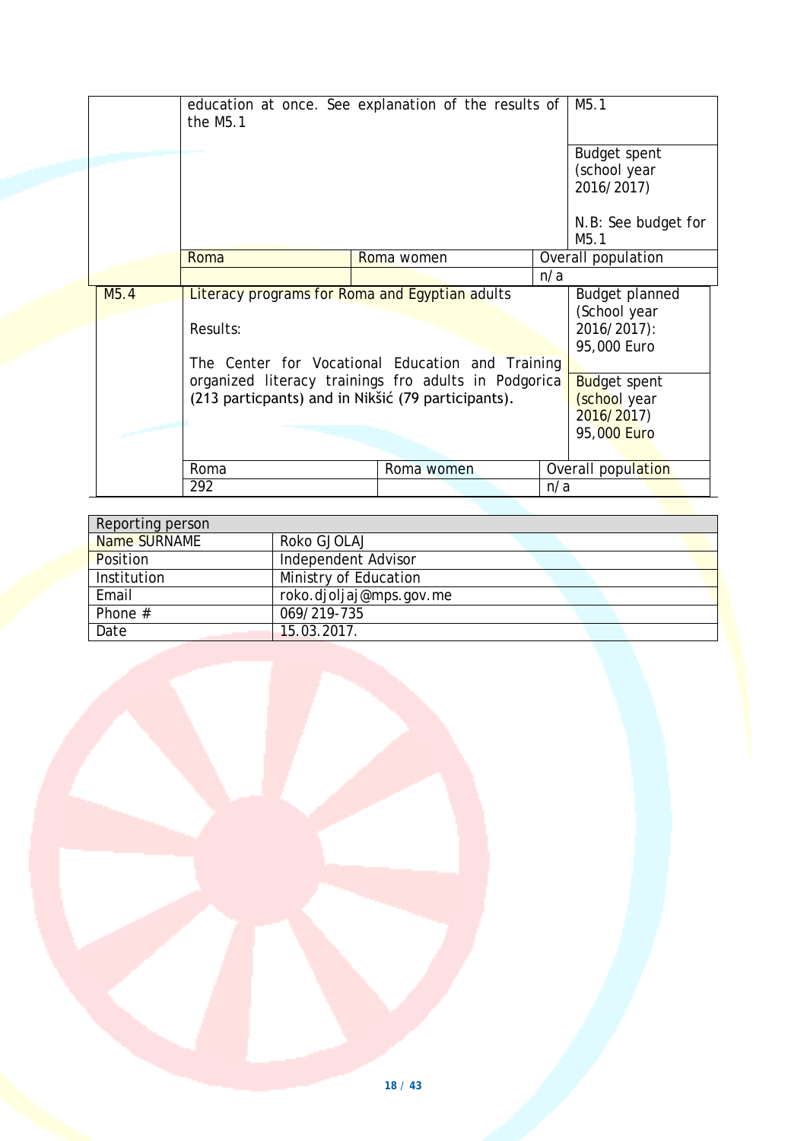|                   | the M <sub>5.1</sub>                                                                                                                                                                                                         | education at once. See explanation of the results of                                                                                    |     | M5.1                                                                     |
|-------------------|------------------------------------------------------------------------------------------------------------------------------------------------------------------------------------------------------------------------------|-----------------------------------------------------------------------------------------------------------------------------------------|-----|--------------------------------------------------------------------------|
|                   |                                                                                                                                                                                                                              |                                                                                                                                         |     | <b>Budget spent</b><br>(school year<br>2016/2017)<br>N.B: See budget for |
|                   |                                                                                                                                                                                                                              |                                                                                                                                         |     | M5.1                                                                     |
|                   | Roma                                                                                                                                                                                                                         | Roma women                                                                                                                              |     | Overall population                                                       |
|                   |                                                                                                                                                                                                                              |                                                                                                                                         | n/a |                                                                          |
| M <sub>5</sub> .4 | Literacy programs for Roma and Egyptian adults<br>Results:<br>The Center for Vocational Education and Training<br>organized literacy trainings fro adults in Podgorica<br>(213 particpants) and in Nikšić (79 participants). | <b>Budget planned</b><br>(School year<br>2016/2017):<br>95,000 Euro<br><b>Budget spent</b><br>(school year<br>2016/2017)<br>95,000 Euro |     |                                                                          |
|                   | Roma                                                                                                                                                                                                                         | Roma women                                                                                                                              |     | Overall population                                                       |
|                   | 292                                                                                                                                                                                                                          |                                                                                                                                         | n/a |                                                                          |

| Reporting person |                         |
|------------------|-------------------------|
| Name SURNAME     | Roko GJOLAJ             |
| Position         | Independent Advisor     |
| Institution      | Ministry of Education   |
| Email            | roko.djoljaj@mps.gov.me |
| Phone #          | 069/219-735             |
| Date             | 15.03.2017.             |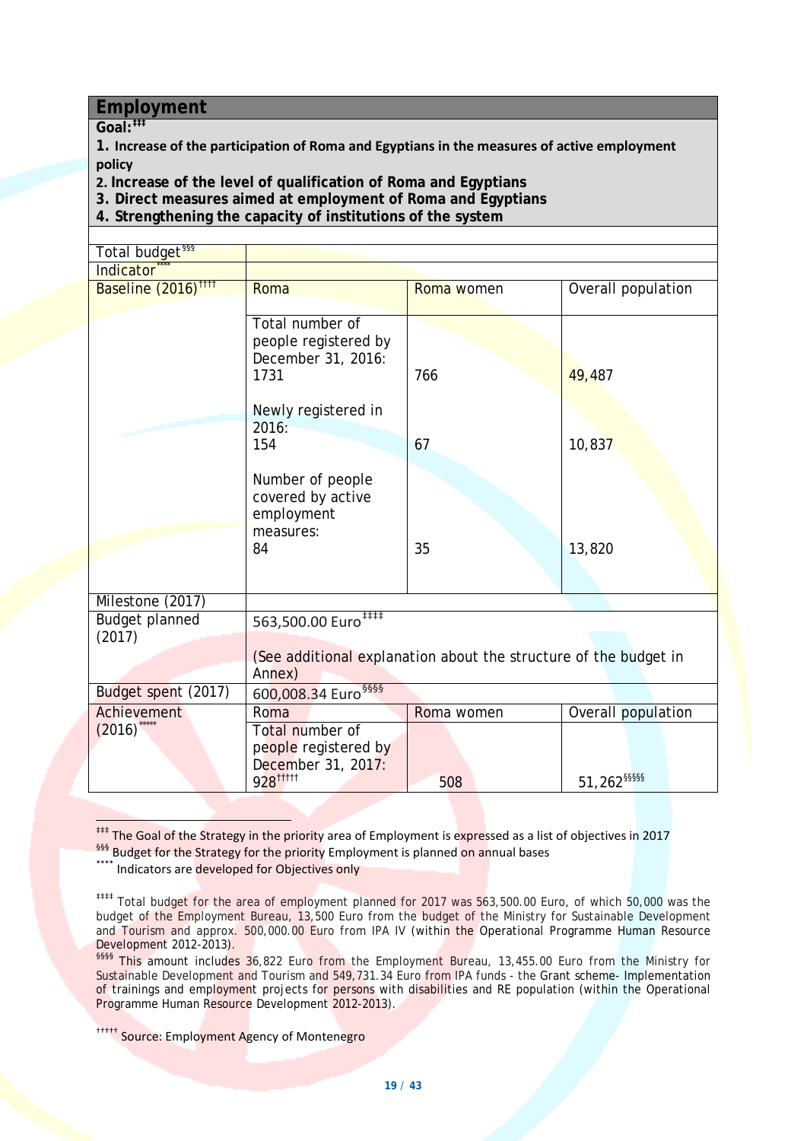#### <span id="page-18-0"></span>**Employment**

**Goal:[‡‡‡](#page-18-1)**

**1. Increase of the participation of Roma and Egyptians in the measures of active employment policy**

- **2. Increase of the level of qualification of Roma and Egyptians**
- **3. Direct measures aimed at employment of Roma and Egyptians**
- **4. Strengthening the capacity of institutions of the system**

| Total budget <sup>§§§</sup>     |                                                                                       |            |                    |  |  |
|---------------------------------|---------------------------------------------------------------------------------------|------------|--------------------|--|--|
| Indicator                       |                                                                                       |            |                    |  |  |
| Baseline (2016) <sup>1111</sup> | Roma                                                                                  | Roma women | Overall population |  |  |
|                                 | Total number of<br>people registered by<br>December 31, 2016:<br>1731                 | 766        | 49,487             |  |  |
|                                 | Newly registered in<br>2016:                                                          |            |                    |  |  |
|                                 | 154                                                                                   | 67         | 10,837             |  |  |
|                                 | Number of people<br>covered by active<br>employment<br>measures:                      |            |                    |  |  |
|                                 | 84                                                                                    | 35         | 13,820             |  |  |
| Milestone (2017)                |                                                                                       |            |                    |  |  |
| Budget planned                  | 563,500.00 Euro <sup>####</sup>                                                       |            |                    |  |  |
| (2017)                          | (See additional explanation about the structure of the budget in<br>Annex)            |            |                    |  |  |
| Budget spent (2017)             | 600,008.34 Euro \$\$\$\$                                                              |            |                    |  |  |
| Achievement                     | Roma                                                                                  | Roma women | Overall population |  |  |
| (2016)                          | Total number of<br>people registered by<br>December 31, 2017:<br>928 <sup>ttttt</sup> | 508        | 51,262 55555       |  |  |

<span id="page-18-1"></span><sup>&</sup>lt;sup>##</sup> The Goal of the Strategy in the priority area of Employment is expressed as a list of objectives in 2017

<span id="page-18-3"></span><span id="page-18-2"></span>**SSSE Budget for the Strategy for the priority Employment is planned on annual bases** \*\*\* Indicators are developed for Objectives only

<span id="page-18-5"></span><span id="page-18-4"></span><sup>‡‡‡‡</sup> Total budget for the area of employment planned for 2017 was 563,500.00 Euro, of which 50,000 was the budget of the Employment Bureau, 13,500 Euro from the budget of the Ministry for Sustainable Development and Tourism and approx. 500,000.00 Euro from IPA IV (within the Operational Programme Human Resource Development 2012-2013).

<span id="page-18-6"></span><sup>&</sup>lt;sup>§§§§</sup> This amount includes 36,822 Euro from the Employment Bureau, 13,455.00 Euro from the Ministry for Sustainable Development and Tourism and 549,731.34 Euro from IPA funds - the Grant scheme- Implementation of trainings and employment projects for persons with disabilities and RE population (within the Operational Programme Human Resource Development 2012-2013).

<span id="page-18-8"></span><span id="page-18-7"></span>Source: Employment Agency of Montenegro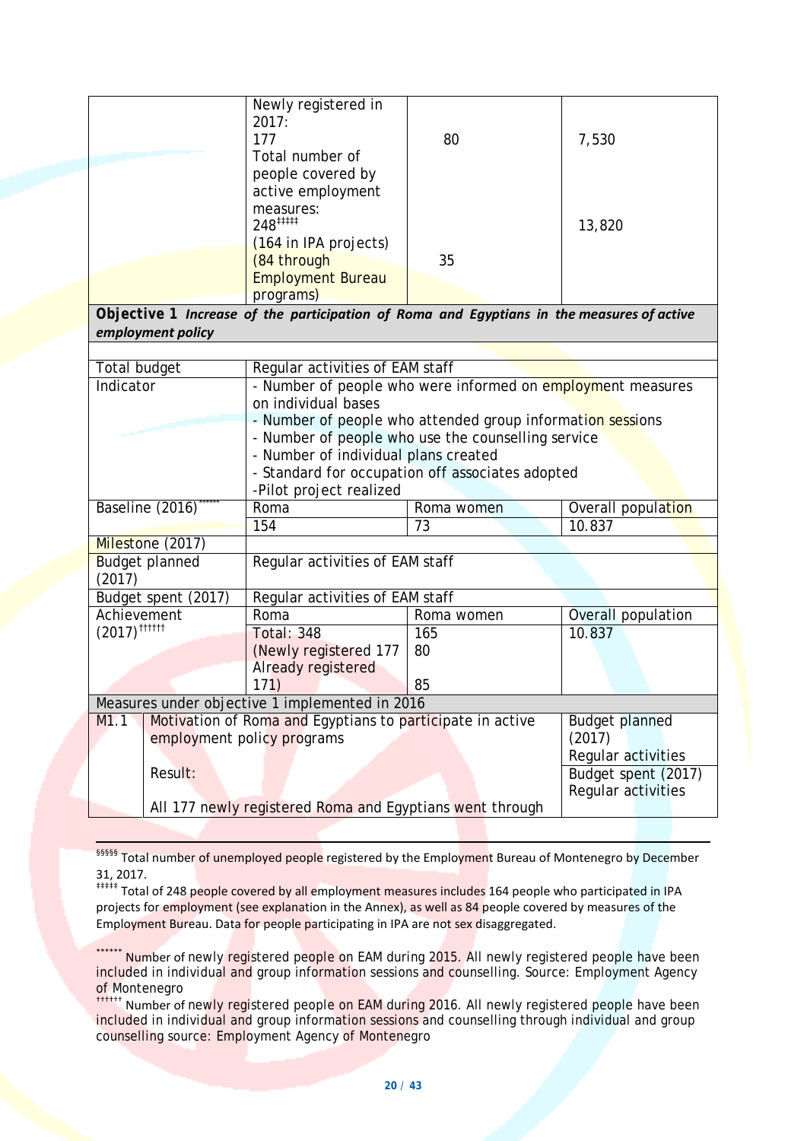| Newly registered in<br>2017:           |    |        |
|----------------------------------------|----|--------|
| 177                                    | 80 | 7,530  |
| Total number of                        |    |        |
| people covered by<br>active employment |    |        |
| measures:<br>248 ******                |    | 13,820 |
| (164 in IPA projects)                  |    |        |
| (84 through                            | 35 |        |
| <b>Employment Bureau</b>               |    |        |
| programs)                              |    |        |

*Objective 1 Increase of the participation of Roma and Egyptians in the measures of active employment policy*

| Total budget                    | Regular activities of EAM staff                                                    |            |                                 |  |  |
|---------------------------------|------------------------------------------------------------------------------------|------------|---------------------------------|--|--|
| Indicator                       | - Number of people who were informed on employment measures<br>on individual bases |            |                                 |  |  |
|                                 | - Number of people who attended group information sessions                         |            |                                 |  |  |
|                                 | - Number of people who use the counselling service                                 |            |                                 |  |  |
|                                 | - Number of individual plans created                                               |            |                                 |  |  |
|                                 | - Standard for occupation off associates adopted                                   |            |                                 |  |  |
|                                 | -Pilot project realized                                                            |            |                                 |  |  |
| Baseline (2016)                 | Roma                                                                               | Roma women | Overall population              |  |  |
|                                 | 154                                                                                | 73         | 10.837                          |  |  |
| Milestone (2017)                |                                                                                    |            |                                 |  |  |
| <b>Budget planned</b><br>(2017) | Regular activities of EAM staff                                                    |            |                                 |  |  |
| Budget spent (2017)             | Regular activities of EAM staff                                                    |            |                                 |  |  |
| Achievement                     | Roma                                                                               | Roma women | Overall population              |  |  |
| $(2017)$ <sup>††††††</sup>      | <b>Total: 348</b>                                                                  | 165        | 10.837                          |  |  |
|                                 | (Newly registered 177                                                              | 80         |                                 |  |  |
|                                 | Already registered                                                                 |            |                                 |  |  |
|                                 | 171)                                                                               | 85         |                                 |  |  |
|                                 | Measures under objective 1 implemented in 2016                                     |            |                                 |  |  |
| M <sub>1.1</sub>                | Motivation of Roma and Egyptians to participate in active                          |            | <b>Budget planned</b><br>(2017) |  |  |
|                                 | employment policy programs                                                         |            |                                 |  |  |
|                                 | Regular activities                                                                 |            |                                 |  |  |
| Result:                         |                                                                                    |            | Budget spent (2017)             |  |  |
|                                 |                                                                                    |            | Regular activities              |  |  |
|                                 | All 177 newly registered Roma and Egyptians went through                           |            |                                 |  |  |

 §§§§§ Total number of unemployed people registered by the Employment Bureau of Montenegro by December 31, 2017.

<span id="page-19-0"></span><sup>####</sup> Total of 248 people covered by all employment measures includes 164 people who participated in IPA projects for employment (see explanation in the Annex), as well as 84 people covered by measures of the Employment Bureau. Data for people participating in IPA are not sex disaggregated.

\*\*\*\*\*\*\* Number of newly registered people on EAM during 2015. All newly registered people have been included in individual and group information sessions and counselling. Source: Employment Agency of Montenegro

<span id="page-19-1"></span>†††††† Number of newly registered people on EAM during 2016. All newly registered people have been included in individual and group information sessions and counselling through individual and group counselling source: Employment Agency of Montenegro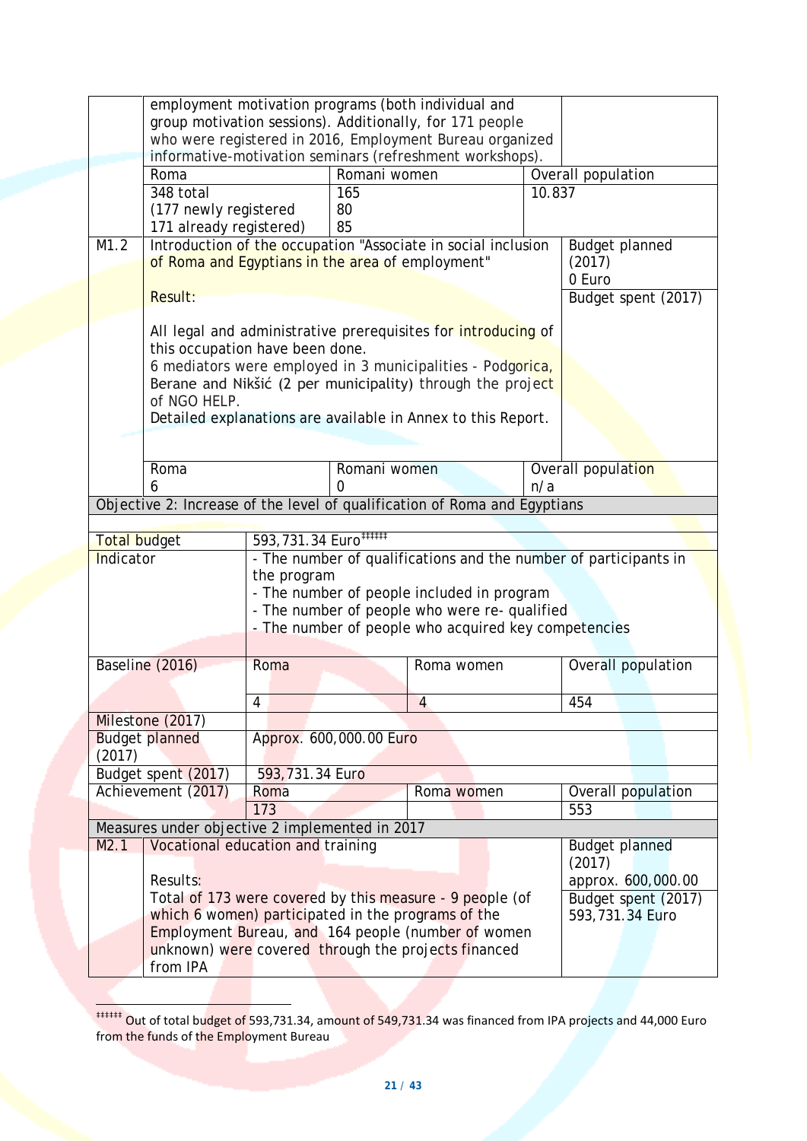|                     | employment motivation programs (both individual and<br>group motivation sessions). Additionally, for 171 people |                                                                                                                      |              |                                                                                                       |                    |                                                                  |  |
|---------------------|-----------------------------------------------------------------------------------------------------------------|----------------------------------------------------------------------------------------------------------------------|--------------|-------------------------------------------------------------------------------------------------------|--------------------|------------------------------------------------------------------|--|
|                     |                                                                                                                 | who were registered in 2016, Employment Bureau organized<br>informative-motivation seminars (refreshment workshops). |              |                                                                                                       |                    |                                                                  |  |
|                     | Roma                                                                                                            |                                                                                                                      | Romani women |                                                                                                       |                    | Overall population                                               |  |
|                     | 348 total                                                                                                       |                                                                                                                      | 165          |                                                                                                       | 10.837             |                                                                  |  |
|                     | (177 newly registered                                                                                           |                                                                                                                      | 80           |                                                                                                       |                    |                                                                  |  |
|                     | 171 already registered)                                                                                         |                                                                                                                      | 85           |                                                                                                       |                    |                                                                  |  |
| M1.2                |                                                                                                                 |                                                                                                                      |              | Introduction of the occupation "Associate in social inclusion                                         |                    | <b>Budget planned</b>                                            |  |
|                     | of Roma and Egyptians in the area of employment"                                                                |                                                                                                                      |              |                                                                                                       |                    | (2017)                                                           |  |
|                     |                                                                                                                 |                                                                                                                      |              |                                                                                                       |                    | 0 Euro                                                           |  |
|                     | Result:                                                                                                         |                                                                                                                      |              |                                                                                                       |                    | Budget spent (2017)                                              |  |
|                     |                                                                                                                 |                                                                                                                      |              | All legal and administrative prerequisites for introducing of                                         |                    |                                                                  |  |
|                     | this occupation have been done.                                                                                 |                                                                                                                      |              |                                                                                                       |                    |                                                                  |  |
|                     |                                                                                                                 |                                                                                                                      |              | 6 mediators were employed in 3 municipalities - Podgorica,                                            |                    |                                                                  |  |
|                     |                                                                                                                 |                                                                                                                      |              | Berane and Nikšić (2 per municipality) through the project                                            |                    |                                                                  |  |
|                     | of NGO HELP.                                                                                                    |                                                                                                                      |              |                                                                                                       |                    |                                                                  |  |
|                     |                                                                                                                 |                                                                                                                      |              | Detailed explanations are available in Annex to this Report.                                          |                    |                                                                  |  |
|                     |                                                                                                                 |                                                                                                                      |              |                                                                                                       |                    |                                                                  |  |
|                     | Roma                                                                                                            |                                                                                                                      | Romani women |                                                                                                       |                    | Overall population                                               |  |
|                     | 6                                                                                                               |                                                                                                                      | 0            |                                                                                                       | n/a                |                                                                  |  |
|                     |                                                                                                                 |                                                                                                                      |              | Objective 2: Increase of the level of qualification of Roma and Egyptians                             |                    |                                                                  |  |
|                     |                                                                                                                 |                                                                                                                      |              |                                                                                                       |                    |                                                                  |  |
| <b>Total budget</b> |                                                                                                                 | 593,731.34 Euro <sup>#####</sup>                                                                                     |              |                                                                                                       |                    |                                                                  |  |
| Indicator           |                                                                                                                 |                                                                                                                      |              |                                                                                                       |                    | - The number of qualifications and the number of participants in |  |
|                     |                                                                                                                 | the program                                                                                                          |              |                                                                                                       |                    |                                                                  |  |
|                     |                                                                                                                 |                                                                                                                      |              | - The number of people included in program                                                            |                    |                                                                  |  |
|                     |                                                                                                                 |                                                                                                                      |              | - The number of people who were re- qualified<br>- The number of people who acquired key competencies |                    |                                                                  |  |
|                     |                                                                                                                 |                                                                                                                      |              |                                                                                                       |                    |                                                                  |  |
|                     | Baseline (2016)                                                                                                 | Roma                                                                                                                 |              | Roma women                                                                                            |                    | Overall population                                               |  |
|                     |                                                                                                                 |                                                                                                                      |              |                                                                                                       |                    |                                                                  |  |
|                     |                                                                                                                 | 4                                                                                                                    |              | 4                                                                                                     |                    | 454                                                              |  |
|                     | Milestone (2017)                                                                                                |                                                                                                                      |              |                                                                                                       |                    |                                                                  |  |
|                     | <b>Budget planned</b>                                                                                           | Approx. 600,000.00 Euro                                                                                              |              |                                                                                                       |                    |                                                                  |  |
| (2017)              |                                                                                                                 |                                                                                                                      |              |                                                                                                       |                    |                                                                  |  |
|                     | Budget spent (2017)                                                                                             | 593,731.34 Euro                                                                                                      |              |                                                                                                       |                    |                                                                  |  |
|                     | Achievement (2017)<br>Roma<br>Roma women<br>173                                                                 |                                                                                                                      |              |                                                                                                       | Overall population |                                                                  |  |
|                     |                                                                                                                 |                                                                                                                      | 553          |                                                                                                       |                    |                                                                  |  |
| M2.1                | Measures under objective 2 implemented in 2017<br>Vocational education and training                             |                                                                                                                      |              |                                                                                                       |                    | <b>Budget planned</b>                                            |  |
|                     |                                                                                                                 |                                                                                                                      |              |                                                                                                       |                    | (2017)                                                           |  |
|                     | <b>Results:</b>                                                                                                 |                                                                                                                      |              |                                                                                                       |                    | approx. 600,000.00                                               |  |
|                     |                                                                                                                 |                                                                                                                      |              | Total of 173 were covered by this measure - 9 people (of                                              |                    | Budget spent (2017)                                              |  |
|                     |                                                                                                                 |                                                                                                                      |              | which 6 women) participated in the programs of the                                                    |                    | 593,731.34 Euro                                                  |  |
|                     |                                                                                                                 |                                                                                                                      |              | Employment Bureau, and 164 people (number of women                                                    |                    |                                                                  |  |
|                     |                                                                                                                 |                                                                                                                      |              |                                                                                                       |                    |                                                                  |  |
|                     | from IPA                                                                                                        |                                                                                                                      |              | unknown) were covered through the projects financed                                                   |                    |                                                                  |  |

<span id="page-20-0"></span>**<sup>1244</sup>**<br><sup>#####</sup> Out of total budget of 593,731.34, amount of 549,731.34 was financed from IPA projects and 44,000 Euro from the funds of the Employment Bureau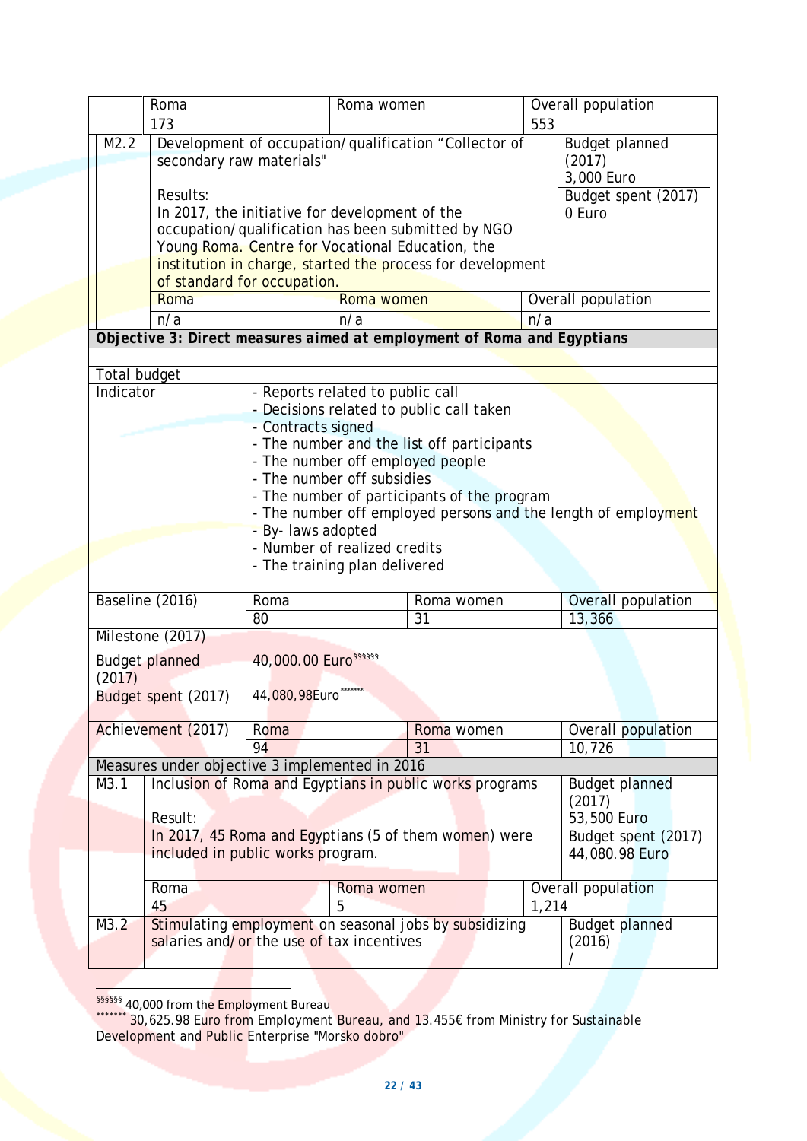|                                                                        | Roma                        |     | Roma women                                                 |     | Overall population    |  |  |
|------------------------------------------------------------------------|-----------------------------|-----|------------------------------------------------------------|-----|-----------------------|--|--|
|                                                                        | 173                         |     |                                                            | 553 |                       |  |  |
| M2.2                                                                   |                             |     | Development of occupation/qualification "Collector of      |     | <b>Budget planned</b> |  |  |
|                                                                        | secondary raw materials"    |     |                                                            |     | (2017)                |  |  |
|                                                                        |                             |     |                                                            |     | 3,000 Euro            |  |  |
|                                                                        | Results:                    |     |                                                            |     | Budget spent (2017)   |  |  |
|                                                                        |                             |     | In 2017, the initiative for development of the             |     | 0 Euro                |  |  |
|                                                                        |                             |     | occupation/qualification has been submitted by NGO         |     |                       |  |  |
|                                                                        |                             |     | Young Roma. Centre for Vocational Education, the           |     |                       |  |  |
|                                                                        |                             |     | institution in charge, started the process for development |     |                       |  |  |
|                                                                        | of standard for occupation. |     |                                                            |     |                       |  |  |
|                                                                        | Roma                        |     | Roma women                                                 |     | Overall population    |  |  |
|                                                                        | n/a                         | n/a | n/a                                                        |     |                       |  |  |
| Objective 3: Direct measures aimed at employment of Roma and Egyptians |                             |     |                                                            |     |                       |  |  |
|                                                                        |                             |     |                                                            |     |                       |  |  |
| Total budget                                                           |                             |     |                                                            |     |                       |  |  |
| Indicator                                                              |                             |     | - Reports related to public call                           |     |                       |  |  |

| Indicator | - Reports related to public call<br>- Decisions related to public call taken |                                                                |            |       |                       |  |  |  |  |  |
|-----------|------------------------------------------------------------------------------|----------------------------------------------------------------|------------|-------|-----------------------|--|--|--|--|--|
|           |                                                                              | - Contracts signed                                             |            |       |                       |  |  |  |  |  |
|           |                                                                              | - The number and the list off participants                     |            |       |                       |  |  |  |  |  |
|           |                                                                              | - The number off employed people                               |            |       |                       |  |  |  |  |  |
|           |                                                                              | - The number off subsidies                                     |            |       |                       |  |  |  |  |  |
|           |                                                                              | - The number of participants of the program                    |            |       |                       |  |  |  |  |  |
|           |                                                                              | - The number off employed persons and the length of employment |            |       |                       |  |  |  |  |  |
|           |                                                                              | - By- laws adopted                                             |            |       |                       |  |  |  |  |  |
|           |                                                                              | - Number of realized credits                                   |            |       |                       |  |  |  |  |  |
|           |                                                                              | - The training plan delivered                                  |            |       |                       |  |  |  |  |  |
|           |                                                                              |                                                                |            |       |                       |  |  |  |  |  |
|           | Baseline (2016)                                                              | Roma                                                           | Roma women |       | Overall population    |  |  |  |  |  |
|           |                                                                              | 80                                                             | 31         |       | 13,366                |  |  |  |  |  |
|           | Milestone (2017)                                                             |                                                                |            |       |                       |  |  |  |  |  |
|           | <b>Budget planned</b>                                                        | 40,000.00 Euro <sup>\$\$\$\$\$\$</sup>                         |            |       |                       |  |  |  |  |  |
| (2017)    |                                                                              |                                                                |            |       |                       |  |  |  |  |  |
|           | Budget spent (2017)                                                          | 44,080,98Euro                                                  |            |       |                       |  |  |  |  |  |
|           | Achievement (2017)                                                           | Roma                                                           | Roma women |       | Overall population    |  |  |  |  |  |
|           |                                                                              | 94                                                             | 31         |       | 10,726                |  |  |  |  |  |
|           |                                                                              | Measures under objective 3 implemented in 2016                 |            |       |                       |  |  |  |  |  |
| M3.1      |                                                                              | Inclusion of Roma and Egyptians in public works programs       |            |       | <b>Budget planned</b> |  |  |  |  |  |
|           |                                                                              |                                                                |            |       | (2017)                |  |  |  |  |  |
|           | Result:                                                                      |                                                                |            |       | 53,500 Euro           |  |  |  |  |  |
|           |                                                                              | In 2017, 45 Roma and Egyptians (5 of them women) were          |            |       | Budget spent (2017)   |  |  |  |  |  |
|           |                                                                              | included in public works program.                              |            |       | 44,080.98 Euro        |  |  |  |  |  |
|           |                                                                              |                                                                |            |       |                       |  |  |  |  |  |
|           | Roma                                                                         | Overall population                                             |            |       |                       |  |  |  |  |  |
|           | 45                                                                           |                                                                |            | 1,214 |                       |  |  |  |  |  |
| M3.2      |                                                                              | Stimulating employment on seasonal jobs by subsidizing         |            |       | <b>Budget planned</b> |  |  |  |  |  |
|           |                                                                              | salaries and/or the use of tax incentives                      |            |       | (2016)                |  |  |  |  |  |
|           |                                                                              |                                                                |            |       |                       |  |  |  |  |  |

<span id="page-21-0"></span>

<u>●●●●●</u><br>§§§§§§§ 40,000 from the Employment Bureau<br>\*\*\*\*\*\*\* 30,625.98 Euro from Employment Bureau, and 13.455€ from Ministry for Sustainable Development and Public Enterprise "Morsko dobro"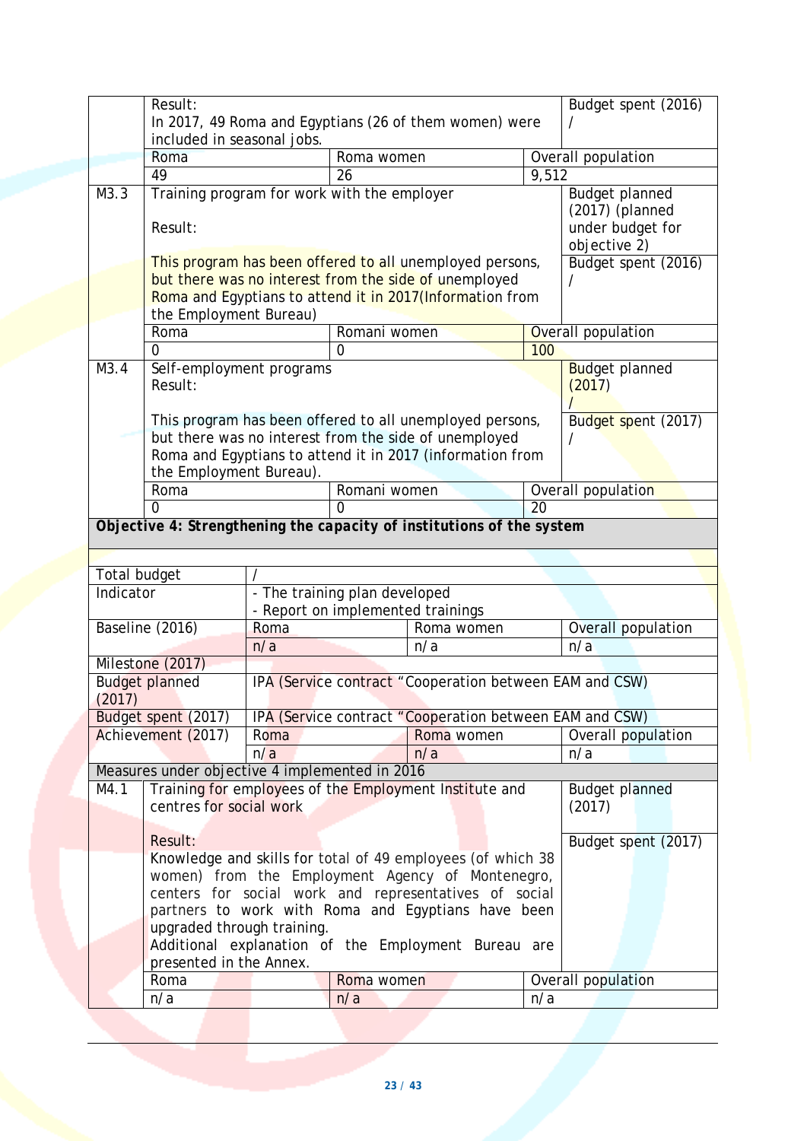|              | Result:                                                | Budget spent (2016) |                                   |                                                                       |       |                       |  |
|--------------|--------------------------------------------------------|---------------------|-----------------------------------|-----------------------------------------------------------------------|-------|-----------------------|--|
|              | In 2017, 49 Roma and Egyptians (26 of them women) were |                     |                                   |                                                                       |       |                       |  |
|              | included in seasonal jobs.                             |                     |                                   |                                                                       |       |                       |  |
|              | Roma                                                   |                     | Roma women                        |                                                                       |       | Overall population    |  |
|              | 49                                                     |                     | 26                                |                                                                       | 9,512 |                       |  |
| M3.3         | Training program for work with the employer            |                     |                                   |                                                                       |       | <b>Budget planned</b> |  |
|              |                                                        |                     |                                   |                                                                       |       | $(2017)$ (planned     |  |
|              | Result:                                                |                     |                                   |                                                                       |       | under budget for      |  |
|              |                                                        |                     |                                   |                                                                       |       | objective 2)          |  |
|              |                                                        |                     |                                   | This program has been offered to all unemployed persons,              |       | Budget spent (2016)   |  |
|              |                                                        |                     |                                   | but there was no interest from the side of unemployed                 |       |                       |  |
|              |                                                        |                     |                                   | Roma and Egyptians to attend it in 2017(Information from              |       |                       |  |
|              | the Employment Bureau)                                 |                     |                                   |                                                                       |       |                       |  |
|              | Roma                                                   |                     | Romani women                      |                                                                       |       | Overall population    |  |
|              | $\Omega$                                               |                     | $\overline{0}$                    |                                                                       | 100   |                       |  |
| M3.4         | Self-employment programs                               |                     |                                   |                                                                       |       | <b>Budget planned</b> |  |
|              | Result:                                                |                     |                                   |                                                                       |       | (2017)                |  |
|              |                                                        |                     |                                   |                                                                       |       |                       |  |
|              |                                                        |                     |                                   | This program has been offered to all unemployed persons,              |       | Budget spent (2017)   |  |
|              |                                                        |                     |                                   | but there was no interest from the side of unemployed                 |       |                       |  |
|              |                                                        |                     |                                   | Roma and Egyptians to attend it in 2017 (information from             |       |                       |  |
|              | the Employment Bureau).                                |                     |                                   |                                                                       |       |                       |  |
|              | Roma                                                   |                     | Romani women<br>0                 |                                                                       | 20    | Overall population    |  |
|              | 0                                                      |                     |                                   | Objective 4: Strengthening the capacity of institutions of the system |       |                       |  |
|              |                                                        |                     |                                   |                                                                       |       |                       |  |
|              |                                                        |                     |                                   |                                                                       |       |                       |  |
| Total budget |                                                        |                     |                                   |                                                                       |       |                       |  |
| Indicator    |                                                        |                     | - The training plan developed     |                                                                       |       |                       |  |
|              |                                                        |                     | - Report on implemented trainings |                                                                       |       |                       |  |
|              | Baseline (2016)                                        | Roma<br>Roma women  |                                   |                                                                       |       | Overall population    |  |
|              |                                                        | n/a                 | n/a                               |                                                                       |       | n/a                   |  |
|              | Milestone (2017)                                       |                     |                                   |                                                                       |       |                       |  |
|              | <b>Budget planned</b>                                  |                     |                                   | IPA (Service contract "Cooperation between EAM and CSW)               |       |                       |  |
| (2017)       |                                                        |                     |                                   |                                                                       |       |                       |  |
|              | Budget spent (2017)                                    |                     |                                   | IPA (Service contract "Cooperation between EAM and CSW)               |       |                       |  |
|              | Achievement (2017)                                     | Roma                |                                   | Roma women                                                            |       | Overall population    |  |
|              |                                                        | n/a                 |                                   | n/a                                                                   |       | n/a                   |  |
|              | Measures under objective 4 implemented in 2016         |                     |                                   |                                                                       |       |                       |  |
| M4.1         |                                                        |                     |                                   | Training for employees of the Employment Institute and                |       | <b>Budget planned</b> |  |
|              | centres for social work                                |                     |                                   |                                                                       |       | (2017)                |  |
|              |                                                        |                     |                                   |                                                                       |       |                       |  |
|              | Result:                                                |                     |                                   |                                                                       |       | Budget spent (2017)   |  |
|              |                                                        |                     |                                   | Knowledge and skills for total of 49 employees (of which 38           |       |                       |  |
|              |                                                        |                     |                                   | women) from the Employment Agency of Montenegro,                      |       |                       |  |
|              |                                                        |                     |                                   | centers for social work and representatives of social                 |       |                       |  |
|              |                                                        |                     |                                   | partners to work with Roma and Egyptians have been                    |       |                       |  |
|              | upgraded through training.                             |                     |                                   | Additional explanation of the Employment Bureau are                   |       |                       |  |
|              | presented in the Annex.                                |                     |                                   |                                                                       |       |                       |  |
|              | Roma                                                   |                     | Roma women                        |                                                                       |       | Overall population    |  |
|              | n/a                                                    |                     | n/a                               |                                                                       | n/a   |                       |  |
|              |                                                        |                     |                                   |                                                                       |       |                       |  |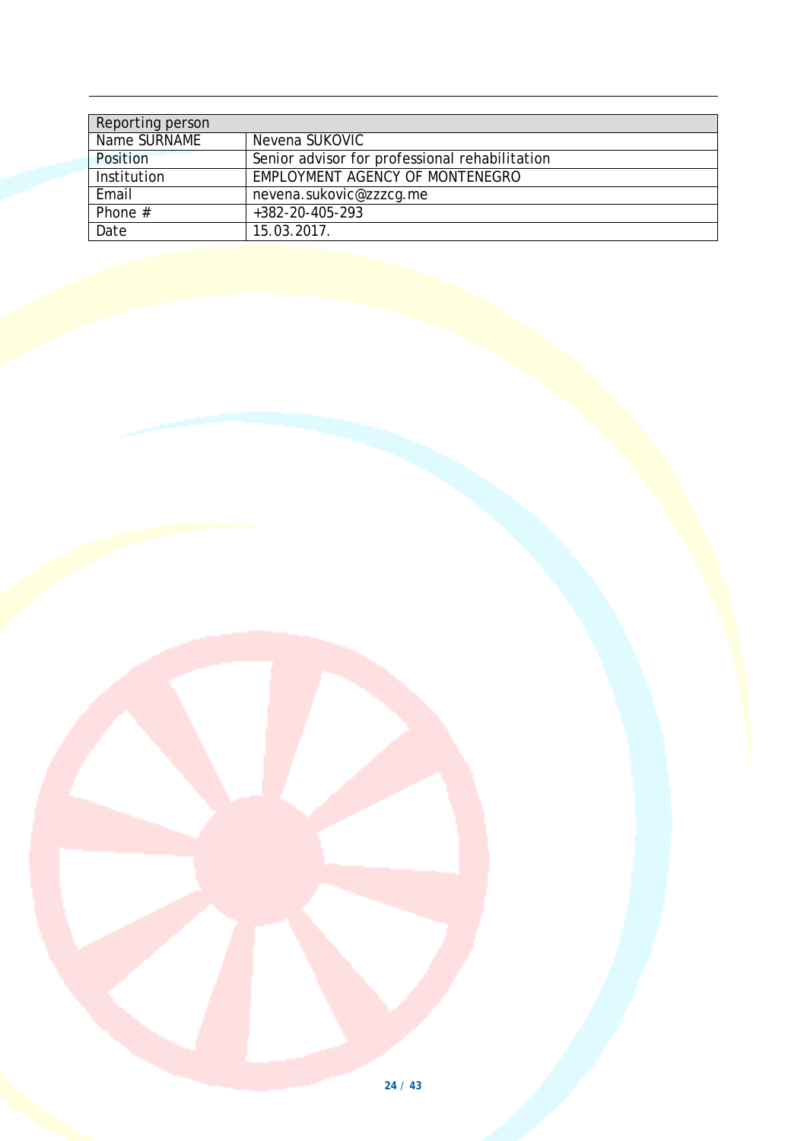| Reporting person |                                                |
|------------------|------------------------------------------------|
| Name SURNAME     | Nevena SUKOVIC                                 |
| Position         | Senior advisor for professional rehabilitation |
| Institution      | EMPLOYMENT AGENCY OF MONTENEGRO                |
| Email            | nevena.sukovic@zzzcg.me                        |
| Phone $#$        | +382-20-405-293                                |
| Date             | 15.03.2017.                                    |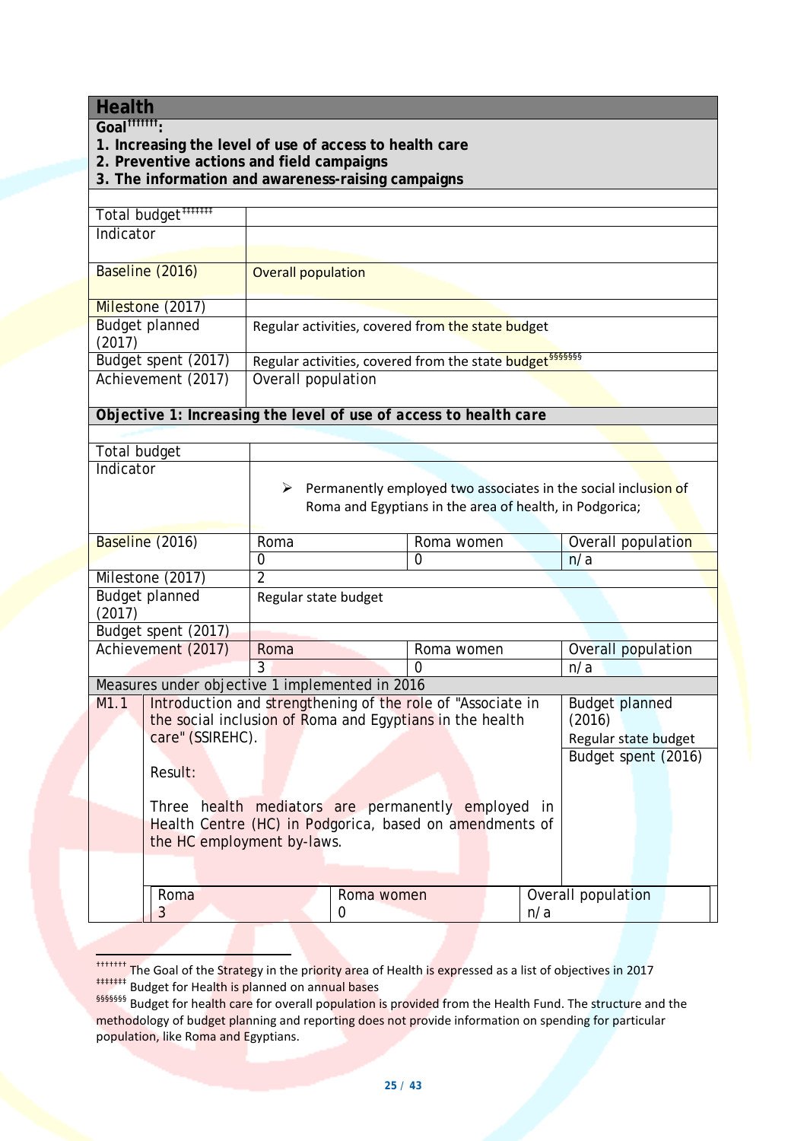<span id="page-24-0"></span>

| <b>Health</b>           |                                                                                                               |                                                                     |                 |                                                                                                                                |     |                                 |  |  |
|-------------------------|---------------------------------------------------------------------------------------------------------------|---------------------------------------------------------------------|-----------------|--------------------------------------------------------------------------------------------------------------------------------|-----|---------------------------------|--|--|
| Goal <sup>†††††††</sup> |                                                                                                               |                                                                     |                 |                                                                                                                                |     |                                 |  |  |
|                         | 1. Increasing the level of use of access to health care<br>2. Preventive actions and field campaigns          |                                                                     |                 |                                                                                                                                |     |                                 |  |  |
|                         | 3. The information and awareness-raising campaigns                                                            |                                                                     |                 |                                                                                                                                |     |                                 |  |  |
|                         |                                                                                                               |                                                                     |                 |                                                                                                                                |     |                                 |  |  |
|                         | Total budget <sup>#####</sup>                                                                                 |                                                                     |                 |                                                                                                                                |     |                                 |  |  |
| Indicator               |                                                                                                               |                                                                     |                 |                                                                                                                                |     |                                 |  |  |
|                         |                                                                                                               |                                                                     |                 |                                                                                                                                |     |                                 |  |  |
|                         | Baseline (2016)                                                                                               | <b>Overall population</b>                                           |                 |                                                                                                                                |     |                                 |  |  |
|                         | Milestone (2017)                                                                                              |                                                                     |                 |                                                                                                                                |     |                                 |  |  |
| (2017)                  | <b>Budget planned</b>                                                                                         |                                                                     |                 | Regular activities, covered from the state budget                                                                              |     |                                 |  |  |
|                         | Budget spent (2017)                                                                                           |                                                                     |                 | Regular activities, covered from the state budget <sup>5555555</sup>                                                           |     |                                 |  |  |
|                         | Achievement (2017)                                                                                            | Overall population                                                  |                 |                                                                                                                                |     |                                 |  |  |
|                         |                                                                                                               |                                                                     |                 | Objective 1: Increasing the level of use of access to health care                                                              |     |                                 |  |  |
|                         |                                                                                                               |                                                                     |                 |                                                                                                                                |     |                                 |  |  |
| Total budget            |                                                                                                               |                                                                     |                 |                                                                                                                                |     |                                 |  |  |
| Indicator               |                                                                                                               |                                                                     |                 |                                                                                                                                |     |                                 |  |  |
|                         |                                                                                                               | Permanently employed two associates in the social inclusion of<br>➤ |                 |                                                                                                                                |     |                                 |  |  |
|                         |                                                                                                               |                                                                     |                 | Roma and Egyptians in the area of health, in Podgorica;                                                                        |     |                                 |  |  |
|                         |                                                                                                               |                                                                     |                 | Roma women                                                                                                                     |     |                                 |  |  |
|                         | Baseline (2016)                                                                                               | Roma<br>$\overline{0}$                                              |                 | $\Omega$                                                                                                                       |     | Overall population<br>n/a       |  |  |
|                         | Milestone (2017)                                                                                              | $\overline{2}$                                                      |                 |                                                                                                                                |     |                                 |  |  |
|                         | <b>Budget planned</b>                                                                                         | Regular state budget                                                |                 |                                                                                                                                |     |                                 |  |  |
| (2017)                  |                                                                                                               |                                                                     |                 |                                                                                                                                |     |                                 |  |  |
|                         | Budget spent (2017)                                                                                           |                                                                     |                 |                                                                                                                                |     |                                 |  |  |
|                         | Achievement (2017)                                                                                            | Roma                                                                |                 | Roma women                                                                                                                     |     | Overall population              |  |  |
|                         |                                                                                                               | 3                                                                   |                 | 0                                                                                                                              |     | n/a                             |  |  |
|                         | Measures under objective 1 implemented in 2016                                                                |                                                                     |                 |                                                                                                                                |     |                                 |  |  |
|                         |                                                                                                               |                                                                     |                 | M1.1   Introduction and strengthening of the role of "Associate in<br>the social inclusion of Roma and Egyptians in the health |     | <b>Budget planned</b><br>(2016) |  |  |
|                         | care" (SSIREHC).                                                                                              |                                                                     |                 |                                                                                                                                |     | Regular state budget            |  |  |
|                         |                                                                                                               |                                                                     |                 |                                                                                                                                |     | Budget spent (2016)             |  |  |
|                         | Result:                                                                                                       |                                                                     |                 |                                                                                                                                |     |                                 |  |  |
|                         |                                                                                                               |                                                                     |                 |                                                                                                                                |     |                                 |  |  |
|                         | Three health mediators are permanently employed in<br>Health Centre (HC) in Podgorica, based on amendments of |                                                                     |                 |                                                                                                                                |     |                                 |  |  |
|                         | the HC employment by-laws.                                                                                    |                                                                     |                 |                                                                                                                                |     |                                 |  |  |
|                         |                                                                                                               |                                                                     |                 |                                                                                                                                |     |                                 |  |  |
|                         | Roma                                                                                                          |                                                                     |                 |                                                                                                                                |     | Overall population              |  |  |
|                         | 3                                                                                                             |                                                                     | Roma women<br>0 |                                                                                                                                | n/a |                                 |  |  |
|                         |                                                                                                               |                                                                     |                 |                                                                                                                                |     |                                 |  |  |

<span id="page-24-1"></span> <sup>†††††††</sup> The Goal of the Strategy in the priority area of Health is expressed as a list of objectives in 2017 ‡‡‡‡‡‡‡ Budget for Health is planned on annual bases

<span id="page-24-2"></span>ssession budget for health is planned on annual succes is provided from the Health Fund. The structure and the methodology of budget planning and reporting does not provide information on spending for particular population, like Roma and Egyptians.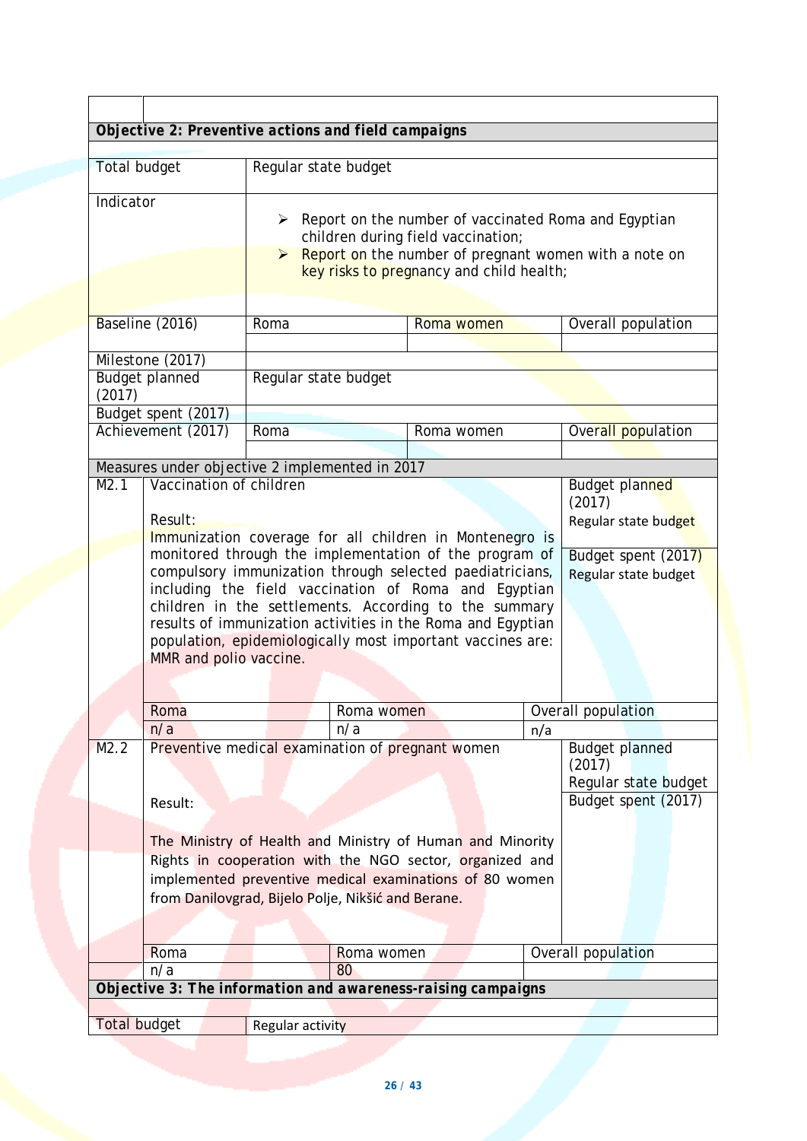|                     | Objective 2: Preventive actions and field campaigns                                                                   |                       |                   |                                                                                                                           |     |                                                       |  |
|---------------------|-----------------------------------------------------------------------------------------------------------------------|-----------------------|-------------------|---------------------------------------------------------------------------------------------------------------------------|-----|-------------------------------------------------------|--|
|                     |                                                                                                                       |                       |                   |                                                                                                                           |     |                                                       |  |
| <b>Total budget</b> |                                                                                                                       | Regular state budget  |                   |                                                                                                                           |     |                                                       |  |
| Indicator           |                                                                                                                       |                       |                   |                                                                                                                           |     |                                                       |  |
|                     |                                                                                                                       |                       |                   | $\triangleright$ Report on the number of vaccinated Roma and Egyptian                                                     |     |                                                       |  |
|                     |                                                                                                                       |                       |                   | children during field vaccination;                                                                                        |     |                                                       |  |
|                     |                                                                                                                       | $\blacktriangleright$ |                   | key risks to pregnancy and child health;                                                                                  |     | Report on the number of pregnant women with a note on |  |
|                     |                                                                                                                       |                       |                   |                                                                                                                           |     |                                                       |  |
|                     |                                                                                                                       |                       |                   |                                                                                                                           |     |                                                       |  |
|                     | Baseline (2016)                                                                                                       | Roma                  |                   | Roma women                                                                                                                |     | Overall population                                    |  |
|                     |                                                                                                                       |                       |                   |                                                                                                                           |     |                                                       |  |
|                     | Milestone (2017)<br><b>Budget planned</b>                                                                             | Regular state budget  |                   |                                                                                                                           |     |                                                       |  |
| (2017)              |                                                                                                                       |                       |                   |                                                                                                                           |     |                                                       |  |
|                     | Budget spent (2017)                                                                                                   |                       |                   |                                                                                                                           |     |                                                       |  |
|                     | Achievement (2017)                                                                                                    | Roma                  |                   | Roma women                                                                                                                |     | Overall population                                    |  |
|                     | Measures under objective 2 implemented in 2017                                                                        |                       |                   |                                                                                                                           |     |                                                       |  |
| M2.1                | Vaccination of children                                                                                               |                       |                   |                                                                                                                           |     | Budget planned                                        |  |
|                     |                                                                                                                       |                       |                   |                                                                                                                           |     | (2017)                                                |  |
|                     | Result:                                                                                                               |                       |                   |                                                                                                                           |     | Regular state budget                                  |  |
|                     |                                                                                                                       |                       |                   | Immunization coverage for all children in Montenegro is<br>monitored through the implementation of the program of         |     | Budget spent (2017)                                   |  |
|                     |                                                                                                                       |                       |                   | compulsory immunization through selected paediatricians,                                                                  |     | Regular state budget                                  |  |
|                     |                                                                                                                       |                       |                   | including the field vaccination of Roma and Egyptian                                                                      |     |                                                       |  |
|                     |                                                                                                                       |                       |                   | children in the settlements. According to the summary                                                                     |     |                                                       |  |
|                     |                                                                                                                       |                       |                   | results of immunization activities in the Roma and Egyptian<br>population, epidemiologically most important vaccines are: |     |                                                       |  |
|                     | MMR and polio vaccine.                                                                                                |                       |                   |                                                                                                                           |     |                                                       |  |
|                     |                                                                                                                       |                       |                   |                                                                                                                           |     |                                                       |  |
|                     |                                                                                                                       |                       |                   |                                                                                                                           |     |                                                       |  |
|                     | Roma<br>n/a                                                                                                           |                       | Roma women<br>n/a |                                                                                                                           | n/a | Overall population                                    |  |
| M2.2                |                                                                                                                       |                       |                   | Preventive medical examination of pregnant women                                                                          |     | <b>Budget planned</b>                                 |  |
|                     |                                                                                                                       |                       |                   |                                                                                                                           |     | (2017)                                                |  |
|                     |                                                                                                                       |                       |                   |                                                                                                                           |     | Regular state budget                                  |  |
|                     | Result:                                                                                                               |                       |                   |                                                                                                                           |     | Budget spent (2017)                                   |  |
|                     |                                                                                                                       |                       |                   |                                                                                                                           |     |                                                       |  |
|                     | The Ministry of Health and Ministry of Human and Minority<br>Rights in cooperation with the NGO sector, organized and |                       |                   |                                                                                                                           |     |                                                       |  |
|                     | implemented preventive medical examinations of 80 women                                                               |                       |                   |                                                                                                                           |     |                                                       |  |
|                     | from Danilovgrad, Bijelo Polje, Nikšić and Berane.                                                                    |                       |                   |                                                                                                                           |     |                                                       |  |
|                     |                                                                                                                       |                       |                   |                                                                                                                           |     |                                                       |  |
|                     |                                                                                                                       |                       |                   |                                                                                                                           |     |                                                       |  |
|                     | Roma<br>n/a                                                                                                           |                       | Roma women<br>80  |                                                                                                                           |     | Overall population                                    |  |
|                     |                                                                                                                       |                       |                   | Objective 3: The information and awareness-raising campaigns                                                              |     |                                                       |  |
|                     |                                                                                                                       |                       |                   |                                                                                                                           |     |                                                       |  |
|                     | <b>Total budget</b><br>Regular activity                                                                               |                       |                   |                                                                                                                           |     |                                                       |  |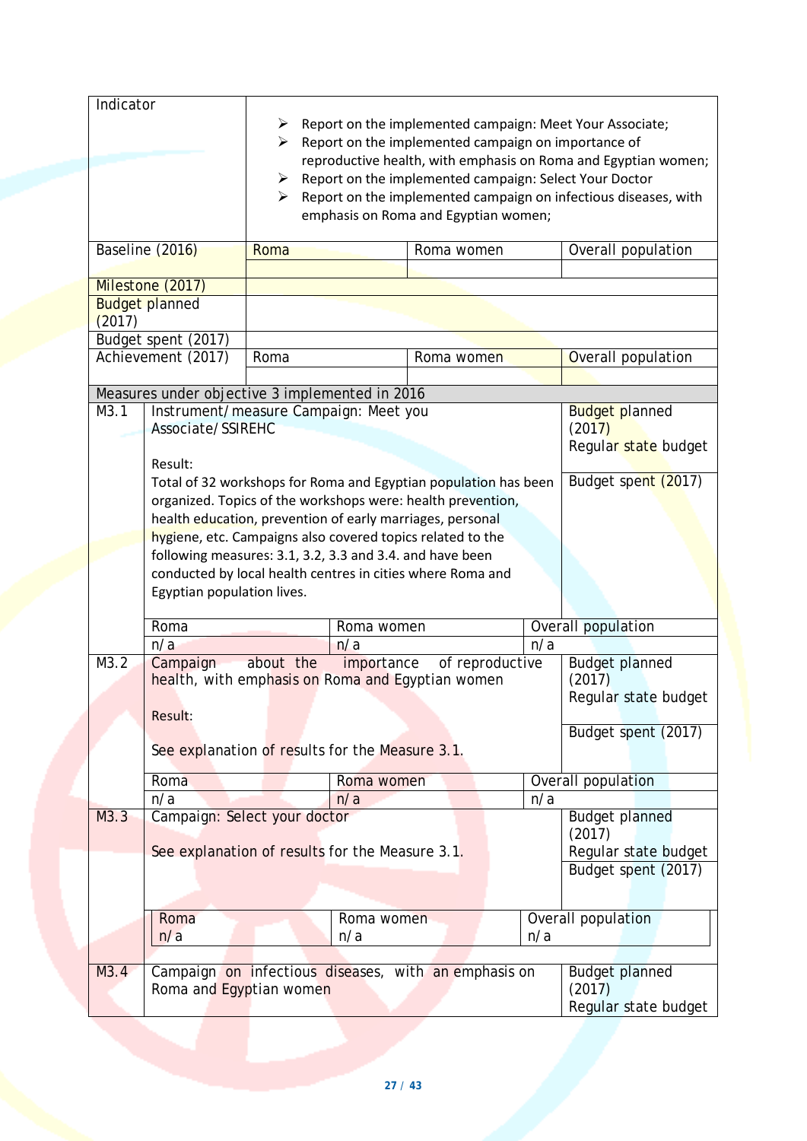| Indicator                       |                                                                                                                                                                                                                                                                                                                                                                                                                   |                                                                                                                                                                                                                                                                                                                                                        |                                                                                |                                                         |  |  |
|---------------------------------|-------------------------------------------------------------------------------------------------------------------------------------------------------------------------------------------------------------------------------------------------------------------------------------------------------------------------------------------------------------------------------------------------------------------|--------------------------------------------------------------------------------------------------------------------------------------------------------------------------------------------------------------------------------------------------------------------------------------------------------------------------------------------------------|--------------------------------------------------------------------------------|---------------------------------------------------------|--|--|
|                                 | ➤<br>$\blacktriangleright$<br>➤<br>$\blacktriangleright$                                                                                                                                                                                                                                                                                                                                                          | Report on the implemented campaign: Meet Your Associate;<br>Report on the implemented campaign on importance of<br>reproductive health, with emphasis on Roma and Egyptian women;<br>Report on the implemented campaign: Select Your Doctor<br>Report on the implemented campaign on infectious diseases, with<br>emphasis on Roma and Egyptian women; |                                                                                |                                                         |  |  |
| Baseline (2016)                 | Roma                                                                                                                                                                                                                                                                                                                                                                                                              | Roma women                                                                                                                                                                                                                                                                                                                                             |                                                                                | Overall population                                      |  |  |
| Milestone (2017)                |                                                                                                                                                                                                                                                                                                                                                                                                                   |                                                                                                                                                                                                                                                                                                                                                        |                                                                                |                                                         |  |  |
| <b>Budget planned</b><br>(2017) |                                                                                                                                                                                                                                                                                                                                                                                                                   |                                                                                                                                                                                                                                                                                                                                                        |                                                                                |                                                         |  |  |
| Budget spent (2017)             |                                                                                                                                                                                                                                                                                                                                                                                                                   |                                                                                                                                                                                                                                                                                                                                                        |                                                                                |                                                         |  |  |
| Achievement (2017)              | Roma                                                                                                                                                                                                                                                                                                                                                                                                              | Roma women                                                                                                                                                                                                                                                                                                                                             |                                                                                | Overall population                                      |  |  |
|                                 |                                                                                                                                                                                                                                                                                                                                                                                                                   |                                                                                                                                                                                                                                                                                                                                                        |                                                                                |                                                         |  |  |
|                                 | Measures under objective 3 implemented in 2016                                                                                                                                                                                                                                                                                                                                                                    |                                                                                                                                                                                                                                                                                                                                                        |                                                                                | <b>Budget planned</b>                                   |  |  |
| M3.1<br>Result:                 | Instrument/measure Campaign: Meet you<br>Associate/SSIREHC                                                                                                                                                                                                                                                                                                                                                        |                                                                                                                                                                                                                                                                                                                                                        |                                                                                |                                                         |  |  |
|                                 | Total of 32 workshops for Roma and Egyptian population has been<br>organized. Topics of the workshops were: health prevention,<br>health education, prevention of early marriages, personal<br>hygiene, etc. Campaigns also covered topics related to the<br>following measures: 3.1, 3.2, 3.3 and 3.4. and have been<br>conducted by local health centres in cities where Roma and<br>Egyptian population lives. |                                                                                                                                                                                                                                                                                                                                                        | Budget spent (2017)                                                            |                                                         |  |  |
| Roma                            | Roma women                                                                                                                                                                                                                                                                                                                                                                                                        |                                                                                                                                                                                                                                                                                                                                                        |                                                                                | Overall population                                      |  |  |
| n/a                             | n/a                                                                                                                                                                                                                                                                                                                                                                                                               |                                                                                                                                                                                                                                                                                                                                                        | n/a                                                                            |                                                         |  |  |
| M3.2<br>Campaign<br>Result:     | importance<br>about the<br>health, with emphasis on Roma and Egyptian women<br>See explanation of results for the Measure 3.1.                                                                                                                                                                                                                                                                                    | of reproductive                                                                                                                                                                                                                                                                                                                                        | <b>Budget planned</b><br>(2017)<br>Regular state budget<br>Budget spent (2017) |                                                         |  |  |
| Roma                            | Roma women                                                                                                                                                                                                                                                                                                                                                                                                        |                                                                                                                                                                                                                                                                                                                                                        |                                                                                | Overall population                                      |  |  |
| n/a                             | n/a                                                                                                                                                                                                                                                                                                                                                                                                               |                                                                                                                                                                                                                                                                                                                                                        | n/a                                                                            |                                                         |  |  |
| M3.3                            | Campaign: Select your doctor<br>See explanation of results for the Measure 3.1.                                                                                                                                                                                                                                                                                                                                   | <b>Budget planned</b><br>(2017)<br>Regular state budget<br>Budget spent (2017)                                                                                                                                                                                                                                                                         |                                                                                |                                                         |  |  |
| Roma<br>n/a                     | Roma women<br>n/a                                                                                                                                                                                                                                                                                                                                                                                                 |                                                                                                                                                                                                                                                                                                                                                        | n/a                                                                            | Overall population                                      |  |  |
| M3.4                            | Campaign on infectious diseases, with an emphasis on<br>Roma and Egyptian women                                                                                                                                                                                                                                                                                                                                   |                                                                                                                                                                                                                                                                                                                                                        |                                                                                | <b>Budget planned</b><br>(2017)<br>Regular state budget |  |  |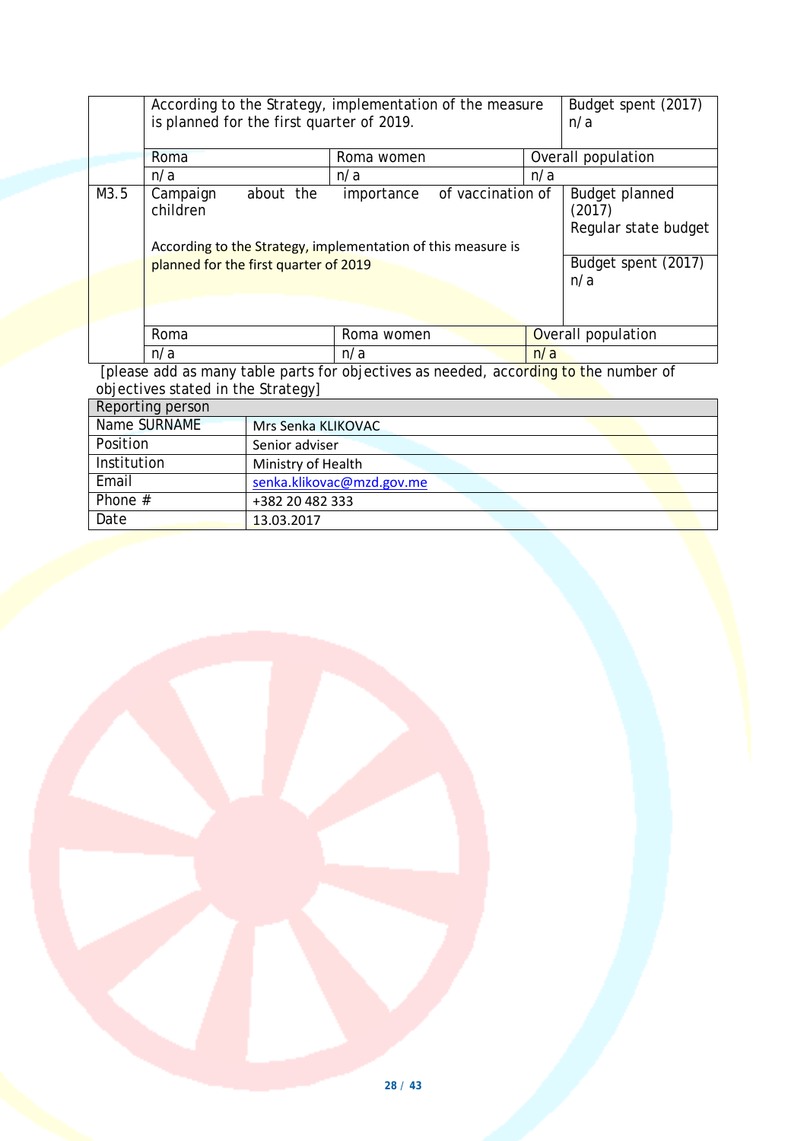|      | According to the Strategy, implementation of the measure<br>is planned for the first quarter of 2019.                                      | Budget spent (2017)<br>n/a                                                            |     |                                                 |
|------|--------------------------------------------------------------------------------------------------------------------------------------------|---------------------------------------------------------------------------------------|-----|-------------------------------------------------|
|      | Roma                                                                                                                                       | Roma women                                                                            |     | Overall population                              |
|      | n/a                                                                                                                                        | n/a                                                                                   | n/a |                                                 |
| M3.5 | about the<br>Campaign<br>children<br>According to the Strategy, implementation of this measure is<br>planned for the first quarter of 2019 | <b>Budget planned</b><br>(2017)<br>Regular state budget<br>Budget spent (2017)<br>n/a |     |                                                 |
|      |                                                                                                                                            |                                                                                       |     |                                                 |
|      | Roma                                                                                                                                       | Overall population                                                                    |     |                                                 |
|      | n/a<br>.<br>. .                                                                                                                            | n/a<br>$\sim$                                                                         | n/a | the contract of the contract of<br>$\mathbf{r}$ |

[please add as many table parts for objectives as needed, according to the number of objectives stated in the Strategy]

| Reporting person |                           |
|------------------|---------------------------|
| Name SURNAME     | Mrs Senka KLIKOVAC        |
| Position         | Senior adviser            |
| Institution      | Ministry of Health        |
| Email            | senka.klikovac@mzd.gov.me |
| Phone $#$        | +382 20 482 333           |
| Date             | 13.03.2017                |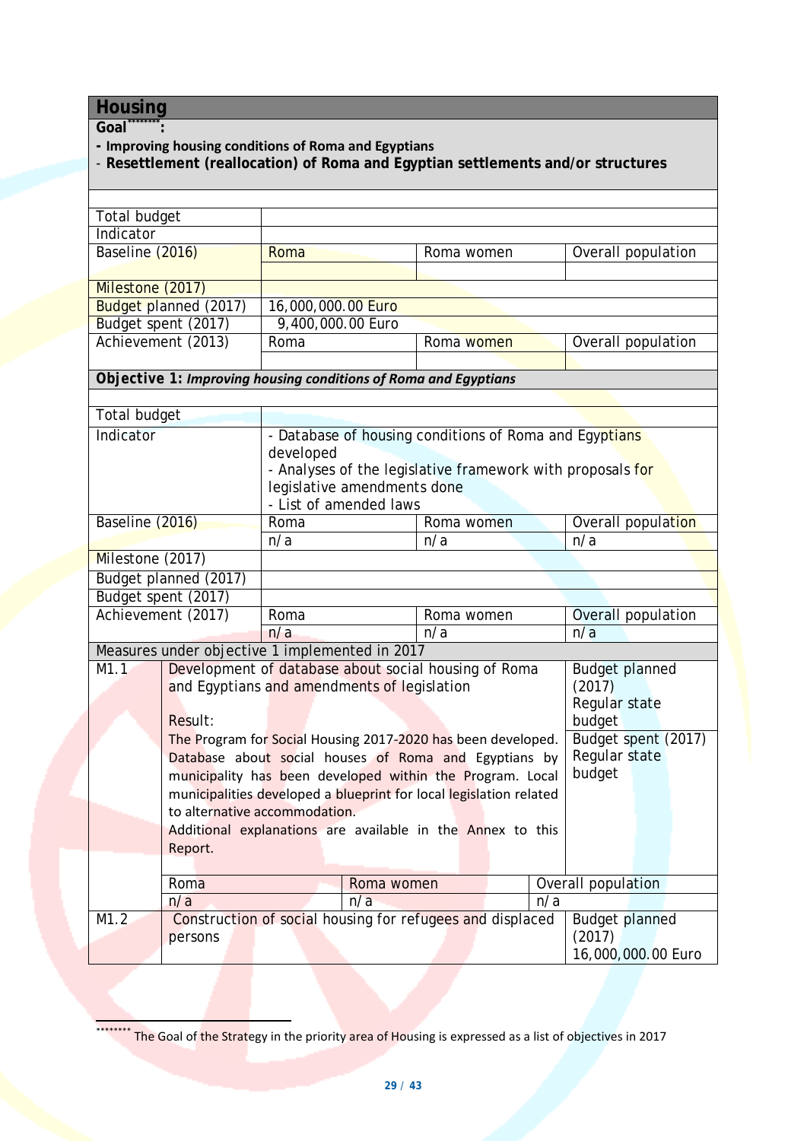### <span id="page-28-0"></span>**Housing**

#### **Goal\*\*\*\*\*\*\*[\\*:](#page-28-1)**

- **- Improving housing conditions of Roma and Egyptians**
- **Resettlement (reallocation) of Roma and Egyptian settlements and/or structures**

| Total budget     |                                                            |                                                                     |     |                                                                    |                       |                       |  |
|------------------|------------------------------------------------------------|---------------------------------------------------------------------|-----|--------------------------------------------------------------------|-----------------------|-----------------------|--|
| Indicator        |                                                            |                                                                     |     |                                                                    |                       |                       |  |
| Baseline (2016)  |                                                            | Roma                                                                |     | Roma women                                                         |                       | Overall population    |  |
|                  |                                                            |                                                                     |     |                                                                    |                       |                       |  |
| Milestone (2017) |                                                            |                                                                     |     |                                                                    |                       |                       |  |
|                  | <b>Budget planned (2017)</b>                               | 16,000,000.00 Euro                                                  |     |                                                                    |                       |                       |  |
|                  | Budget spent (2017)                                        | 9,400,000.00 Euro                                                   |     |                                                                    |                       |                       |  |
|                  | Achievement (2013)                                         | Roma                                                                |     | Roma women                                                         |                       | Overall population    |  |
|                  |                                                            |                                                                     |     |                                                                    |                       |                       |  |
|                  |                                                            |                                                                     |     | Objective 1: Improving housing conditions of Roma and Egyptians    |                       |                       |  |
|                  |                                                            |                                                                     |     |                                                                    |                       |                       |  |
| Total budget     |                                                            |                                                                     |     |                                                                    |                       |                       |  |
| Indicator        |                                                            |                                                                     |     | - Database of housing conditions of Roma and Egyptians             |                       |                       |  |
|                  |                                                            | developed                                                           |     |                                                                    |                       |                       |  |
|                  |                                                            |                                                                     |     | - Analyses of the legislative framework with proposals for         |                       |                       |  |
|                  |                                                            | legislative amendments done                                         |     |                                                                    |                       |                       |  |
|                  |                                                            | - List of amended laws                                              |     |                                                                    |                       |                       |  |
| Baseline (2016)  |                                                            | Roma                                                                |     | Roma women                                                         |                       | Overall population    |  |
|                  |                                                            | n/a                                                                 |     | n/a                                                                |                       | n/a                   |  |
| Milestone (2017) |                                                            |                                                                     |     |                                                                    |                       |                       |  |
|                  | Budget planned (2017)                                      |                                                                     |     |                                                                    |                       |                       |  |
|                  | Budget spent (2017)                                        |                                                                     |     |                                                                    |                       |                       |  |
|                  | Achievement (2017)                                         | Roma                                                                |     | Roma women                                                         |                       | Overall population    |  |
|                  |                                                            | n/a                                                                 |     | n/a                                                                |                       | n/a                   |  |
|                  | Measures under objective 1 implemented in 2017             |                                                                     |     |                                                                    |                       |                       |  |
| M1.1             |                                                            | Development of database about social housing of Roma                |     |                                                                    | <b>Budget planned</b> |                       |  |
|                  | and Egyptians and amendments of legislation                |                                                                     |     |                                                                    |                       | (2017)                |  |
|                  |                                                            |                                                                     |     |                                                                    |                       | Regular state         |  |
|                  | Result:                                                    |                                                                     |     |                                                                    |                       | budget                |  |
|                  |                                                            |                                                                     |     | The Program for Social Housing 2017-2020 has been developed.       |                       | Budget spent (2017)   |  |
|                  |                                                            |                                                                     |     | Database about social houses of Roma and Egyptians by              |                       | Regular state         |  |
|                  |                                                            | budget<br>municipality has been developed within the Program. Local |     |                                                                    |                       |                       |  |
|                  |                                                            |                                                                     |     | municipalities developed a blueprint for local legislation related |                       |                       |  |
|                  |                                                            | to alternative accommodation.                                       |     |                                                                    |                       |                       |  |
|                  | Additional explanations are available in the Annex to this |                                                                     |     |                                                                    |                       |                       |  |
|                  | Report.                                                    |                                                                     |     |                                                                    |                       |                       |  |
|                  |                                                            |                                                                     |     |                                                                    |                       |                       |  |
|                  | Roma                                                       | Roma women                                                          |     |                                                                    |                       | Overall population    |  |
|                  | n/a                                                        |                                                                     | n/a |                                                                    | n/a                   |                       |  |
| M1.2             |                                                            |                                                                     |     | Construction of social housing for refugees and displaced          |                       | <b>Budget planned</b> |  |
|                  | persons                                                    |                                                                     |     |                                                                    |                       | (2017)                |  |
|                  |                                                            |                                                                     |     |                                                                    |                       | 16,000,000.00 Euro    |  |

<span id="page-28-1"></span>\*\*\*\*\*\*\*\*\* The Goal of the Strategy in the priority area of Housing is expressed as a list of objectives in 2017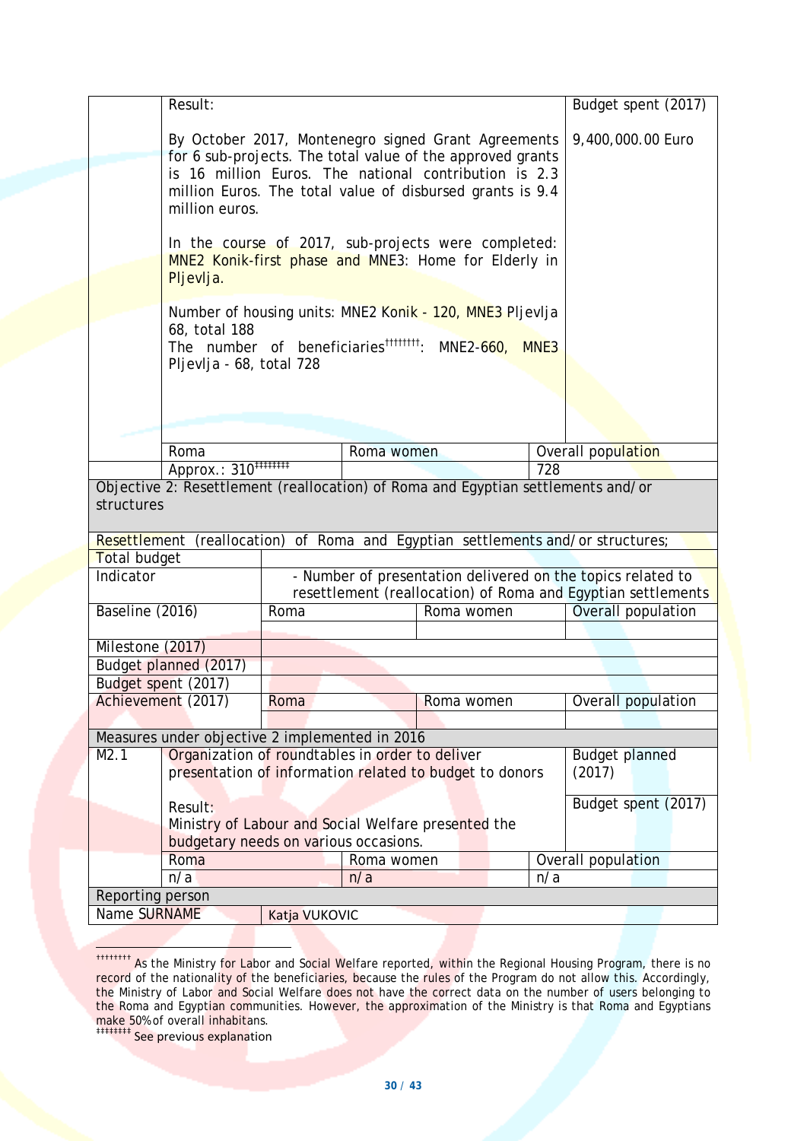|                           | Result:                                                                                                                                                                                                                                                                                                          |                     |                   |                                                                                  |     | Budget spent (2017)                                          |  |  |
|---------------------------|------------------------------------------------------------------------------------------------------------------------------------------------------------------------------------------------------------------------------------------------------------------------------------------------------------------|---------------------|-------------------|----------------------------------------------------------------------------------|-----|--------------------------------------------------------------|--|--|
|                           | By October 2017, Montenegro signed Grant Agreements<br>for 6 sub-projects. The total value of the approved grants<br>is 16 million Euros. The national contribution is 2.3<br>million Euros. The total value of disbursed grants is 9.4<br>million euros.<br>In the course of 2017, sub-projects were completed: |                     | 9,400,000.00 Euro |                                                                                  |     |                                                              |  |  |
|                           | Pljevlja.                                                                                                                                                                                                                                                                                                        |                     |                   | MNE2 Konik-first phase and MNE3: Home for Elderly in                             |     |                                                              |  |  |
|                           | Number of housing units: MNE2 Konik - 120, MNE3 Pljevlja<br>68, total 188<br>The number of beneficiaries <sup>††††††††</sup> : MNE2-660, MNE3<br>Pljevlja - 68, total 728                                                                                                                                        |                     |                   |                                                                                  |     |                                                              |  |  |
|                           |                                                                                                                                                                                                                                                                                                                  |                     |                   |                                                                                  |     |                                                              |  |  |
|                           | Roma                                                                                                                                                                                                                                                                                                             |                     | Roma women        |                                                                                  | 728 | Overall population                                           |  |  |
| structures                |                                                                                                                                                                                                                                                                                                                  |                     |                   | Objective 2: Resettlement (reallocation) of Roma and Egyptian settlements and/or |     |                                                              |  |  |
|                           |                                                                                                                                                                                                                                                                                                                  |                     |                   |                                                                                  |     |                                                              |  |  |
|                           |                                                                                                                                                                                                                                                                                                                  |                     |                   | Resettlement (reallocation) of Roma and Egyptian settlements and/or structures;  |     |                                                              |  |  |
| Total budget<br>Indicator |                                                                                                                                                                                                                                                                                                                  |                     |                   |                                                                                  |     | - Number of presentation delivered on the topics related to  |  |  |
|                           |                                                                                                                                                                                                                                                                                                                  |                     |                   |                                                                                  |     | resettlement (reallocation) of Roma and Egyptian settlements |  |  |
| Baseline (2016)           |                                                                                                                                                                                                                                                                                                                  | Roma                |                   | Roma women                                                                       |     | Overall population                                           |  |  |
|                           |                                                                                                                                                                                                                                                                                                                  |                     |                   |                                                                                  |     |                                                              |  |  |
| Milestone (2017)          |                                                                                                                                                                                                                                                                                                                  |                     |                   |                                                                                  |     |                                                              |  |  |
|                           | Budget planned (2017)                                                                                                                                                                                                                                                                                            |                     |                   |                                                                                  |     |                                                              |  |  |
|                           | Budget spent (2017)                                                                                                                                                                                                                                                                                              |                     |                   |                                                                                  |     |                                                              |  |  |
|                           | Achievement (2017)                                                                                                                                                                                                                                                                                               | koma                |                   | Roma women                                                                       |     | Overall population                                           |  |  |
|                           |                                                                                                                                                                                                                                                                                                                  |                     |                   |                                                                                  |     |                                                              |  |  |
|                           | Measures under objective 2 implemented in 2016                                                                                                                                                                                                                                                                   |                     |                   |                                                                                  |     |                                                              |  |  |
| M2.1                      | Organization of roundtables in order to deliver<br>presentation of information related to budget to donors                                                                                                                                                                                                       |                     |                   |                                                                                  |     | <b>Budget planned</b><br>(2017)                              |  |  |
|                           | Result:                                                                                                                                                                                                                                                                                                          | Budget spent (2017) |                   |                                                                                  |     |                                                              |  |  |
|                           |                                                                                                                                                                                                                                                                                                                  |                     |                   | Ministry of Labour and Social Welfare presented the                              |     |                                                              |  |  |
|                           | budgetary needs on various occasions.                                                                                                                                                                                                                                                                            |                     |                   |                                                                                  |     |                                                              |  |  |
|                           | Roma                                                                                                                                                                                                                                                                                                             |                     | Roma women        |                                                                                  |     | Overall population                                           |  |  |
|                           | n/a                                                                                                                                                                                                                                                                                                              |                     | n/a               |                                                                                  | n/a |                                                              |  |  |
| Reporting person          |                                                                                                                                                                                                                                                                                                                  |                     |                   |                                                                                  |     |                                                              |  |  |
| Name SURNAME              |                                                                                                                                                                                                                                                                                                                  | Katja VUKOVIC       |                   |                                                                                  |     |                                                              |  |  |
|                           |                                                                                                                                                                                                                                                                                                                  |                     |                   |                                                                                  |     |                                                              |  |  |

<sup>‡‡‡‡‡‡‡‡</sup> See previous explanation

<span id="page-29-0"></span> <sup>††††††††</sup> As the Ministry for Labor and Social Welfare reported, within the Regional Housing Program, there is no record of the nationality of the beneficiaries, because the rules of the Program do not allow this. Accordingly, the Ministry of Labor and Social Welfare does not have the correct data on the number of users belonging to the Roma and Egyptian communities. However, the approximation of the Ministry is that Roma and Egyptians make 50% of overall inhabitans.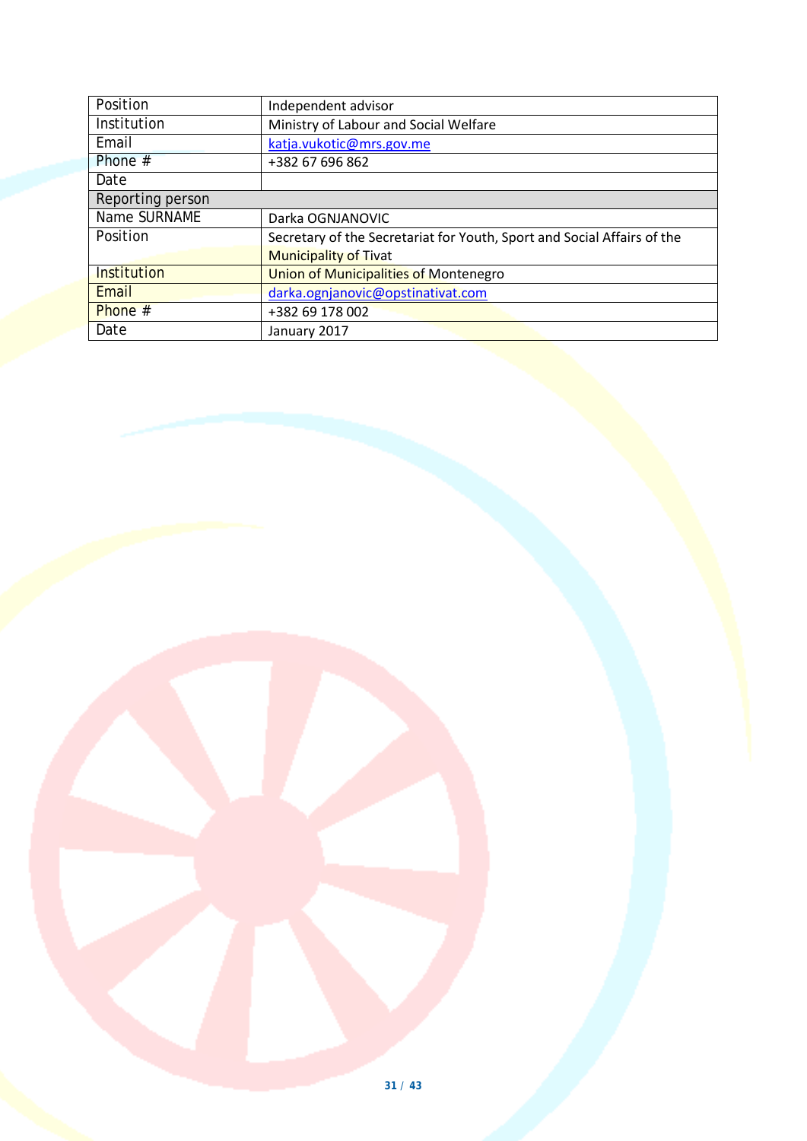| Position         | Independent advisor                                                     |  |  |  |  |  |
|------------------|-------------------------------------------------------------------------|--|--|--|--|--|
| Institution      | Ministry of Labour and Social Welfare                                   |  |  |  |  |  |
| Email            | katja.vukotic@mrs.gov.me                                                |  |  |  |  |  |
| Phone $#$        | +382 67 696 862                                                         |  |  |  |  |  |
| Date             |                                                                         |  |  |  |  |  |
| Reporting person |                                                                         |  |  |  |  |  |
| Name SURNAME     | Darka OGNJANOVIC                                                        |  |  |  |  |  |
| Position         | Secretary of the Secretariat for Youth, Sport and Social Affairs of the |  |  |  |  |  |
|                  | <b>Municipality of Tivat</b>                                            |  |  |  |  |  |
| Institution      | <b>Union of Municipalities of Montenegro</b>                            |  |  |  |  |  |
| Email            | darka.ognjanovic@opstinativat.com                                       |  |  |  |  |  |
| Phone #          | +382 69 178 002                                                         |  |  |  |  |  |
| Date             | January 2017                                                            |  |  |  |  |  |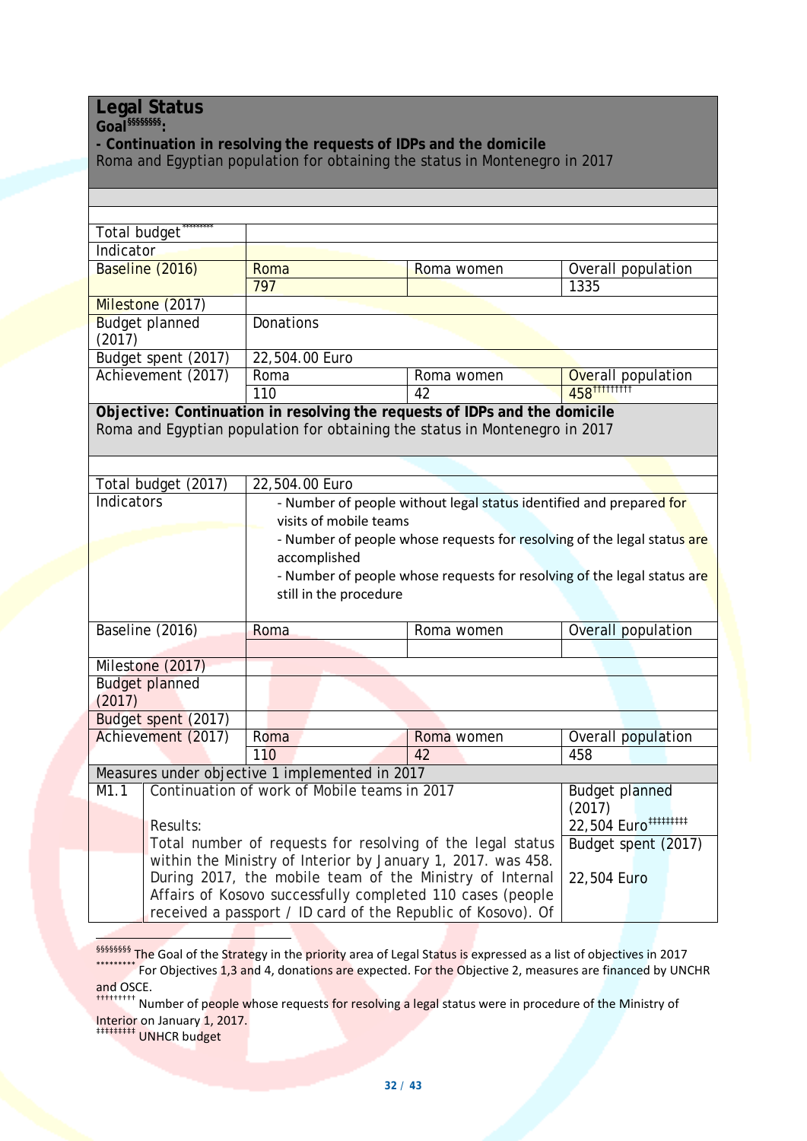### **Legal Status**

**Goal§§§§§§§[§:](#page-31-0)**

*-* **Continuation in resolving the requests of IDPs and the domicile** Roma and Egyptian population for obtaining the status in Montenegro in 2017

| Total budget                                                                                                                                              |                                                              |                                                                         |                                |                                     |  |  |  |  |
|-----------------------------------------------------------------------------------------------------------------------------------------------------------|--------------------------------------------------------------|-------------------------------------------------------------------------|--------------------------------|-------------------------------------|--|--|--|--|
| Indicator                                                                                                                                                 |                                                              |                                                                         |                                |                                     |  |  |  |  |
|                                                                                                                                                           | Baseline (2016)                                              | Roma                                                                    | Roma women                     | Overall population                  |  |  |  |  |
|                                                                                                                                                           |                                                              | 797                                                                     |                                | 1335                                |  |  |  |  |
|                                                                                                                                                           | Milestone (2017)                                             |                                                                         |                                |                                     |  |  |  |  |
| (2017)                                                                                                                                                    | <b>Budget planned</b>                                        | Donations                                                               |                                |                                     |  |  |  |  |
|                                                                                                                                                           | Budget spent (2017)                                          | 22,504.00 Euro                                                          |                                |                                     |  |  |  |  |
|                                                                                                                                                           | Achievement (2017)                                           | Roma                                                                    |                                |                                     |  |  |  |  |
|                                                                                                                                                           |                                                              | 110                                                                     | Roma women                     | Overall population<br>458 111111111 |  |  |  |  |
|                                                                                                                                                           |                                                              |                                                                         | 42                             |                                     |  |  |  |  |
| Objective: Continuation in resolving the requests of IDPs and the domicile<br>Roma and Egyptian population for obtaining the status in Montenegro in 2017 |                                                              |                                                                         |                                |                                     |  |  |  |  |
|                                                                                                                                                           | Total budget (2017)                                          | 22,504.00 Euro                                                          |                                |                                     |  |  |  |  |
| Indicators                                                                                                                                                |                                                              |                                                                         |                                |                                     |  |  |  |  |
|                                                                                                                                                           |                                                              | - Number of people without legal status identified and prepared for     |                                |                                     |  |  |  |  |
|                                                                                                                                                           |                                                              | visits of mobile teams                                                  |                                |                                     |  |  |  |  |
|                                                                                                                                                           |                                                              | - Number of people whose requests for resolving of the legal status are |                                |                                     |  |  |  |  |
|                                                                                                                                                           |                                                              | accomplished                                                            |                                |                                     |  |  |  |  |
|                                                                                                                                                           |                                                              | - Number of people whose requests for resolving of the legal status are |                                |                                     |  |  |  |  |
|                                                                                                                                                           |                                                              | still in the procedure                                                  |                                |                                     |  |  |  |  |
|                                                                                                                                                           | Baseline (2016)                                              | Roma                                                                    | Roma women                     | Overall population                  |  |  |  |  |
|                                                                                                                                                           |                                                              |                                                                         |                                |                                     |  |  |  |  |
|                                                                                                                                                           | Milestone (2017)                                             |                                                                         |                                |                                     |  |  |  |  |
|                                                                                                                                                           | <b>Budget planned</b>                                        |                                                                         |                                |                                     |  |  |  |  |
| (2017)                                                                                                                                                    |                                                              |                                                                         |                                |                                     |  |  |  |  |
|                                                                                                                                                           | Budget spent (2017)                                          |                                                                         |                                |                                     |  |  |  |  |
|                                                                                                                                                           | Achievement (2017)                                           | Roma                                                                    | Roma women                     | Overall population                  |  |  |  |  |
|                                                                                                                                                           |                                                              | 110                                                                     | 42                             | 458                                 |  |  |  |  |
|                                                                                                                                                           |                                                              | Measures under objective 1 implemented in 2017                          |                                |                                     |  |  |  |  |
| M1.1                                                                                                                                                      |                                                              | Continuation of work of Mobile teams in 2017                            |                                | <b>Budget planned</b>               |  |  |  |  |
|                                                                                                                                                           |                                                              |                                                                         |                                | (2017)                              |  |  |  |  |
|                                                                                                                                                           | Results:                                                     |                                                                         | 22,504 Euro <sup>#######</sup> |                                     |  |  |  |  |
|                                                                                                                                                           | Total number of requests for resolving of the legal status   | Budget spent (2017)                                                     |                                |                                     |  |  |  |  |
|                                                                                                                                                           |                                                              | within the Ministry of Interior by January 1, 2017. was 458.            |                                |                                     |  |  |  |  |
|                                                                                                                                                           |                                                              | During 2017, the mobile team of the Ministry of Internal                |                                | 22,504 Euro                         |  |  |  |  |
|                                                                                                                                                           |                                                              | Affairs of Kosovo successfully completed 110 cases (people              |                                |                                     |  |  |  |  |
|                                                                                                                                                           |                                                              |                                                                         |                                |                                     |  |  |  |  |
|                                                                                                                                                           | received a passport / ID card of the Republic of Kosovo). Of |                                                                         |                                |                                     |  |  |  |  |

<span id="page-31-1"></span><span id="page-31-0"></span><sup>555555555</sup> The Goal of the Strategy in the priority area of Legal Status is expressed as a list of objectives in 2017<br>For Objectives 1,3 and 4, donations are expected. For the Objective 2, measures are financed by UNCHR and OSCE.

††††††††† Number of people whose requests for resolving a legal status were in procedure of the Ministry of Interior on January 1, 2017.

‡‡‡‡‡‡‡‡‡ UNHCR budget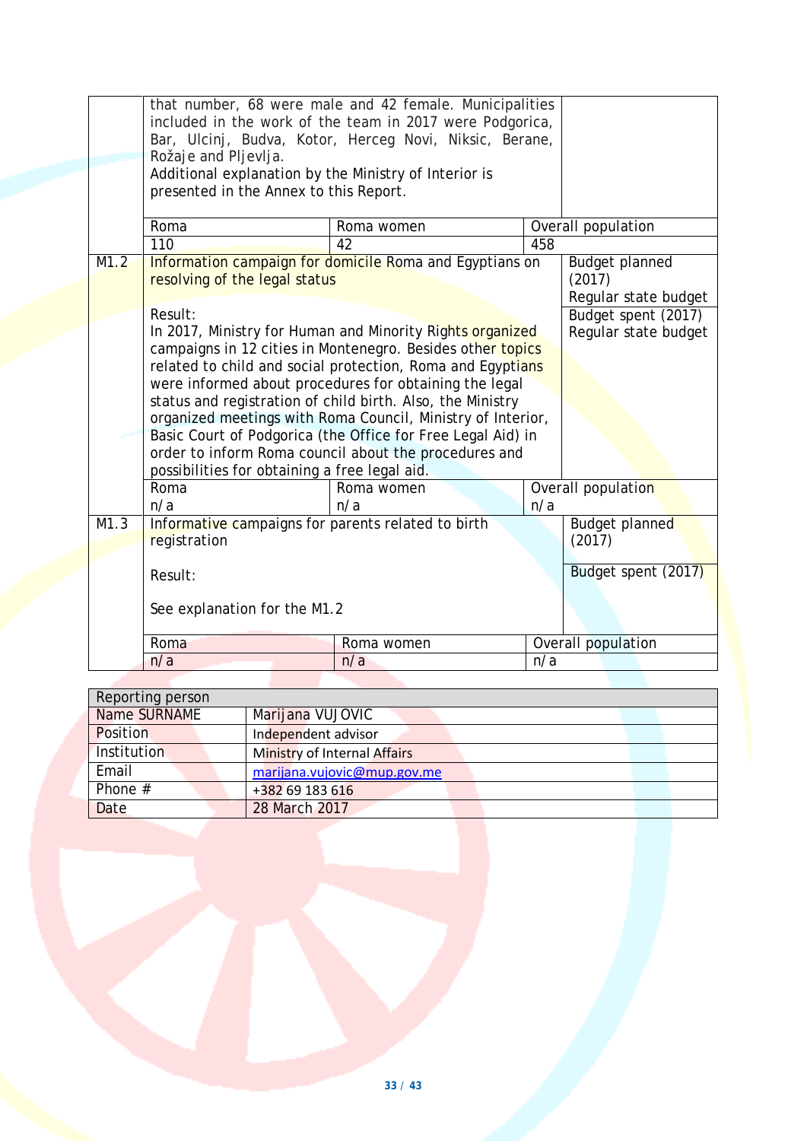|      | that number, 68 were male and 42 female. Municipalities<br>included in the work of the team in 2017 were Podgorica,<br>Bar, Ulcinj, Budva, Kotor, Herceg Novi, Niksic, Berane,<br>Rožaje and Pljevlja.<br>Additional explanation by the Ministry of Interior is                                                                                                                                                                                                                                                                                       |            |                                                         |                                                 |
|------|-------------------------------------------------------------------------------------------------------------------------------------------------------------------------------------------------------------------------------------------------------------------------------------------------------------------------------------------------------------------------------------------------------------------------------------------------------------------------------------------------------------------------------------------------------|------------|---------------------------------------------------------|-------------------------------------------------|
|      | presented in the Annex to this Report.                                                                                                                                                                                                                                                                                                                                                                                                                                                                                                                |            |                                                         |                                                 |
|      | Roma                                                                                                                                                                                                                                                                                                                                                                                                                                                                                                                                                  | Roma women |                                                         | Overall population                              |
|      | 110                                                                                                                                                                                                                                                                                                                                                                                                                                                                                                                                                   | 42         | 458                                                     |                                                 |
| M1.2 | Information campaign for domicile Roma and Egyptians on<br>resolving of the legal status                                                                                                                                                                                                                                                                                                                                                                                                                                                              |            | <b>Budget planned</b><br>(2017)<br>Regular state budget |                                                 |
|      | Result:                                                                                                                                                                                                                                                                                                                                                                                                                                                                                                                                               |            |                                                         | Budget spent (2017)                             |
|      | In 2017, Ministry for Human and Minority Rights organized<br>campaigns in 12 cities in Montenegro. Besides other topics<br>related to child and social protection, Roma and Egyptians<br>were informed about procedures for obtaining the legal<br>status and registration of child birth. Also, the Ministry<br>organized meetings with Roma Council, Ministry of Interior,<br>Basic Court of Podgorica (the Office for Free Legal Aid) in<br>order to inform Roma council about the procedures and<br>possibilities for obtaining a free legal aid. |            | Regular state budget                                    |                                                 |
|      | Roma                                                                                                                                                                                                                                                                                                                                                                                                                                                                                                                                                  | Roma women |                                                         | Overall population                              |
| M1.3 | n/a<br>Informative campaigns for parents related to birth<br>registration<br>Result:<br>See explanation for the M1.2                                                                                                                                                                                                                                                                                                                                                                                                                                  | n/a        | n/a                                                     | Budget planned<br>(2017)<br>Budget spent (2017) |
|      |                                                                                                                                                                                                                                                                                                                                                                                                                                                                                                                                                       |            |                                                         |                                                 |
|      | Roma                                                                                                                                                                                                                                                                                                                                                                                                                                                                                                                                                  | Roma women |                                                         | Overall population                              |
|      | n/a                                                                                                                                                                                                                                                                                                                                                                                                                                                                                                                                                   | n/a        | n/a                                                     |                                                 |

| Reporting person   |                              |
|--------------------|------------------------------|
| Name SURNAME       | Marijana VUJOVIC             |
| Position           | Independent advisor          |
| <b>Institution</b> | Ministry of Internal Affairs |
| Email              | marijana.vujovic@mup.gov.me  |
| Phone $#$          | +382 69 183 616              |
| Date               | 28 March 2017                |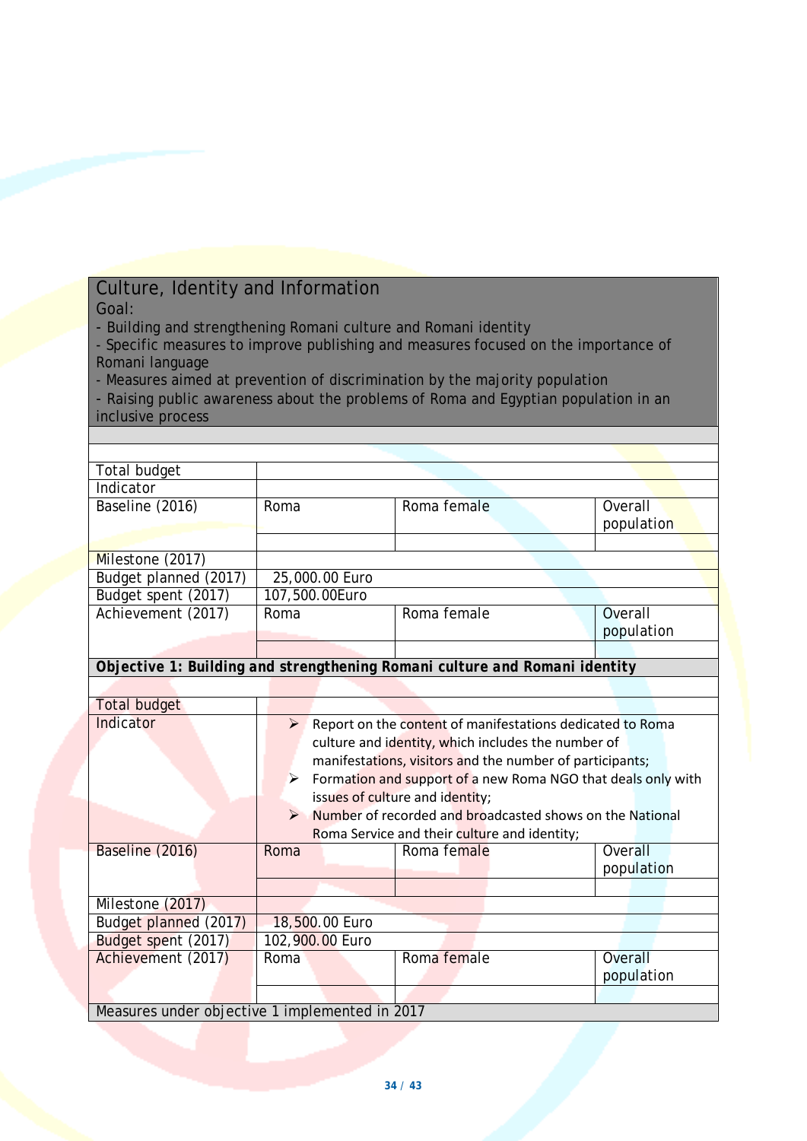## Culture, Identity and Information

#### Goal:

- Building and strengthening Romani culture and Romani identity
- Specific measures to improve publishing and measures focused on the importance of Romani language
- Measures aimed at prevention of discrimination by the majority population

- Raising public awareness about the problems of Roma and Egyptian population in an inclusive process

| Total budget                                                               |                                              |                                                                                                                                                                                                                                                                                                                                                                                                             |             |  |                       |  |  |  |
|----------------------------------------------------------------------------|----------------------------------------------|-------------------------------------------------------------------------------------------------------------------------------------------------------------------------------------------------------------------------------------------------------------------------------------------------------------------------------------------------------------------------------------------------------------|-------------|--|-----------------------|--|--|--|
| Indicator                                                                  |                                              |                                                                                                                                                                                                                                                                                                                                                                                                             |             |  |                       |  |  |  |
| Baseline (2016)                                                            | Roma                                         |                                                                                                                                                                                                                                                                                                                                                                                                             | Roma female |  | Overall<br>population |  |  |  |
|                                                                            |                                              |                                                                                                                                                                                                                                                                                                                                                                                                             |             |  |                       |  |  |  |
| Milestone (2017)                                                           |                                              |                                                                                                                                                                                                                                                                                                                                                                                                             |             |  |                       |  |  |  |
| Budget planned (2017)                                                      | 25,000.00 Euro                               |                                                                                                                                                                                                                                                                                                                                                                                                             |             |  |                       |  |  |  |
| Budget spent (2017)                                                        | 107,500.00Euro                               |                                                                                                                                                                                                                                                                                                                                                                                                             |             |  |                       |  |  |  |
| Achievement (2017)                                                         | Roma                                         |                                                                                                                                                                                                                                                                                                                                                                                                             | Roma female |  | Overall<br>population |  |  |  |
|                                                                            |                                              |                                                                                                                                                                                                                                                                                                                                                                                                             |             |  |                       |  |  |  |
| Objective 1: Building and strengthening Romani culture and Romani identity |                                              |                                                                                                                                                                                                                                                                                                                                                                                                             |             |  |                       |  |  |  |
|                                                                            |                                              |                                                                                                                                                                                                                                                                                                                                                                                                             |             |  |                       |  |  |  |
| <b>Total budget</b>                                                        |                                              |                                                                                                                                                                                                                                                                                                                                                                                                             |             |  |                       |  |  |  |
| Indicator                                                                  | ≻<br>$\blacktriangleright$                   | Report on the content of manifestations dedicated to Roma<br>culture and identity, which includes the number of<br>manifestations, visitors and the number of participants;<br>Formation and support of a new Roma NGO that deals only with<br>issues of culture and identity;<br>$\triangleright$ Number of recorded and broadcasted shows on the National<br>Roma Service and their culture and identity; |             |  |                       |  |  |  |
| Baseline (2016)                                                            | Roma                                         |                                                                                                                                                                                                                                                                                                                                                                                                             | Roma female |  | Overall               |  |  |  |
|                                                                            |                                              |                                                                                                                                                                                                                                                                                                                                                                                                             |             |  | population            |  |  |  |
|                                                                            |                                              |                                                                                                                                                                                                                                                                                                                                                                                                             |             |  |                       |  |  |  |
| Milestone (2017)                                                           |                                              |                                                                                                                                                                                                                                                                                                                                                                                                             |             |  |                       |  |  |  |
| Budget planned (2017)                                                      | 18,500.00 Euro                               |                                                                                                                                                                                                                                                                                                                                                                                                             |             |  |                       |  |  |  |
| Budget spent (2017)                                                        | 102,900.00 Euro                              |                                                                                                                                                                                                                                                                                                                                                                                                             |             |  |                       |  |  |  |
| Achievement (2017)                                                         | Roma female<br>Overall<br>Roma<br>population |                                                                                                                                                                                                                                                                                                                                                                                                             |             |  |                       |  |  |  |
|                                                                            |                                              |                                                                                                                                                                                                                                                                                                                                                                                                             |             |  |                       |  |  |  |
| Measures under objective 1 implemented in 2017                             |                                              |                                                                                                                                                                                                                                                                                                                                                                                                             |             |  |                       |  |  |  |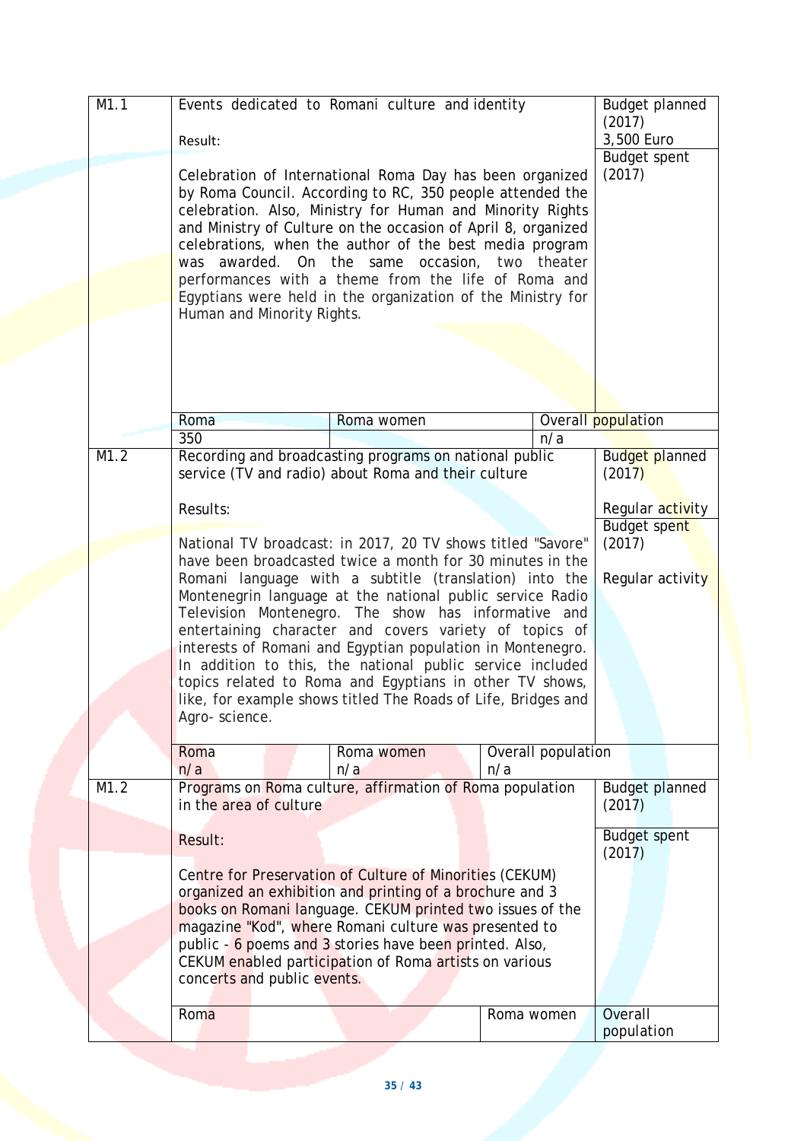| M1.1 | Events dedicated to Romani culture and identity<br>Result:<br>Celebration of International Roma Day has been organized<br>by Roma Council. According to RC, 350 people attended the<br>celebration. Also, Ministry for Human and Minority Rights<br>and Ministry of Culture on the occasion of April 8, organized<br>celebrations, when the author of the best media program<br>was awarded. On the same occasion, two theater<br>performances with a theme from the life of Roma and<br>Egyptians were held in the organization of the Ministry for<br>Human and Minority Rights. | <b>Budget planned</b><br>(2017)<br>3,500 Euro<br><b>Budget spent</b><br>(2017) |            |                    |                                 |  |
|------|------------------------------------------------------------------------------------------------------------------------------------------------------------------------------------------------------------------------------------------------------------------------------------------------------------------------------------------------------------------------------------------------------------------------------------------------------------------------------------------------------------------------------------------------------------------------------------|--------------------------------------------------------------------------------|------------|--------------------|---------------------------------|--|
|      | Roma                                                                                                                                                                                                                                                                                                                                                                                                                                                                                                                                                                               | Roma women                                                                     |            |                    | Overall population              |  |
|      | 350                                                                                                                                                                                                                                                                                                                                                                                                                                                                                                                                                                                |                                                                                |            | n/a                |                                 |  |
| M1.2 | Recording and broadcasting programs on national public<br>service (TV and radio) about Roma and their culture                                                                                                                                                                                                                                                                                                                                                                                                                                                                      |                                                                                |            |                    | <b>Budget planned</b><br>(2017) |  |
|      | Results:                                                                                                                                                                                                                                                                                                                                                                                                                                                                                                                                                                           |                                                                                |            |                    | Regular activity                |  |
|      |                                                                                                                                                                                                                                                                                                                                                                                                                                                                                                                                                                                    |                                                                                |            |                    | Budget spent                    |  |
|      | National TV broadcast: in 2017, 20 TV shows titled "Savore"<br>have been broadcasted twice a month for 30 minutes in the                                                                                                                                                                                                                                                                                                                                                                                                                                                           |                                                                                |            |                    | (2017)                          |  |
|      | Romani language with a subtitle (translation) into the<br>Montenegrin language at the national public service Radio<br>Television Montenegro. The show has informative and<br>entertaining character and covers variety of topics of<br>interests of Romani and Egyptian population in Montenegro.<br>In addition to this, the national public service included<br>topics related to Roma and Egyptians in other TV shows,<br>like, for example shows titled The Roads of Life, Bridges and<br>Agro-science.                                                                       | Regular activity                                                               |            |                    |                                 |  |
|      | Roma                                                                                                                                                                                                                                                                                                                                                                                                                                                                                                                                                                               | Roma women                                                                     |            | Overall population |                                 |  |
| M1.2 | n/a<br>Programs on Roma culture, affirmation of Roma population<br>in the area of culture                                                                                                                                                                                                                                                                                                                                                                                                                                                                                          | n/a                                                                            | n/a        |                    | <b>Budget planned</b><br>(2017) |  |
|      | Result:                                                                                                                                                                                                                                                                                                                                                                                                                                                                                                                                                                            |                                                                                |            |                    | Budget spent<br>(2017)          |  |
|      | Centre for Preservation of Culture of Minorities (CEKUM)<br>organized an exhibition and printing of a brochure and 3<br>books on Romani language. CEKUM printed two issues of the<br>magazine "Kod", where Romani culture was presented to<br>public - 6 poems and 3 stories have been printed. Also,<br>CEKUM enabled participation of Roma artists on various<br>concerts and public events.<br>Roma                                                                                                                                                                             |                                                                                | Roma women |                    | Overall                         |  |
|      |                                                                                                                                                                                                                                                                                                                                                                                                                                                                                                                                                                                    |                                                                                |            |                    | population                      |  |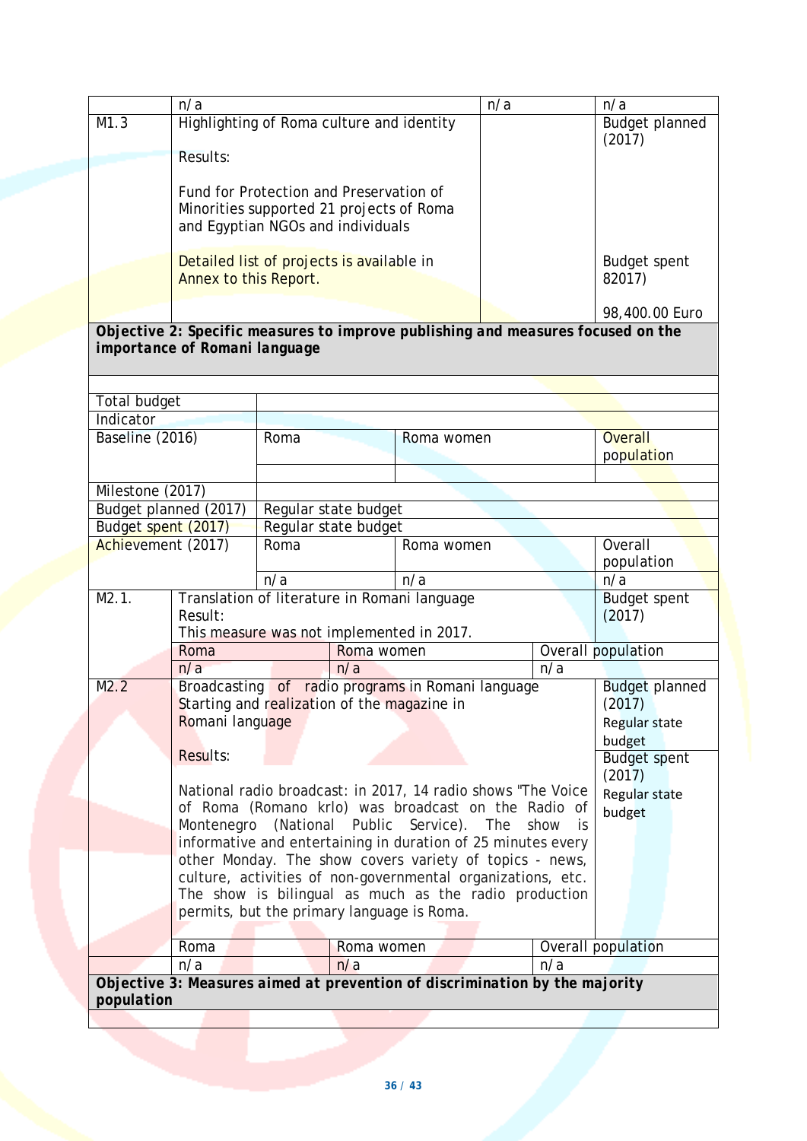|                     | n/a                                                                              |                                          |                | n/a<br>n/a                                                   |  |         |                       |  |  |  |  |
|---------------------|----------------------------------------------------------------------------------|------------------------------------------|----------------|--------------------------------------------------------------|--|---------|-----------------------|--|--|--|--|
| M1.3                | Highlighting of Roma culture and identity                                        |                                          |                |                                                              |  |         | <b>Budget planned</b> |  |  |  |  |
|                     |                                                                                  |                                          |                |                                                              |  |         | (2017)                |  |  |  |  |
|                     | <b>Results:</b>                                                                  |                                          |                |                                                              |  |         |                       |  |  |  |  |
|                     |                                                                                  |                                          |                |                                                              |  |         |                       |  |  |  |  |
|                     | Fund for Protection and Preservation of                                          |                                          |                |                                                              |  |         |                       |  |  |  |  |
|                     |                                                                                  | Minorities supported 21 projects of Roma |                |                                                              |  |         |                       |  |  |  |  |
|                     |                                                                                  | and Egyptian NGOs and individuals        |                |                                                              |  |         |                       |  |  |  |  |
|                     |                                                                                  |                                          |                |                                                              |  |         |                       |  |  |  |  |
|                     | Detailed list of projects is available in                                        |                                          |                |                                                              |  |         | <b>Budget spent</b>   |  |  |  |  |
|                     | Annex to this Report.                                                            |                                          | 82017)         |                                                              |  |         |                       |  |  |  |  |
|                     |                                                                                  |                                          |                |                                                              |  |         |                       |  |  |  |  |
|                     |                                                                                  |                                          | 98,400.00 Euro |                                                              |  |         |                       |  |  |  |  |
|                     | Objective 2: Specific measures to improve publishing and measures focused on the |                                          |                |                                                              |  |         |                       |  |  |  |  |
|                     |                                                                                  |                                          |                |                                                              |  |         |                       |  |  |  |  |
|                     | importance of Romani language                                                    |                                          |                |                                                              |  |         |                       |  |  |  |  |
|                     |                                                                                  |                                          |                |                                                              |  |         |                       |  |  |  |  |
|                     |                                                                                  |                                          |                |                                                              |  |         |                       |  |  |  |  |
| Total budget        |                                                                                  |                                          |                |                                                              |  |         |                       |  |  |  |  |
| Indicator           |                                                                                  |                                          |                |                                                              |  |         |                       |  |  |  |  |
| Baseline (2016)     |                                                                                  | Roma                                     |                | Roma women                                                   |  |         | <b>Overall</b>        |  |  |  |  |
|                     |                                                                                  |                                          |                |                                                              |  |         | population            |  |  |  |  |
|                     |                                                                                  |                                          |                |                                                              |  |         |                       |  |  |  |  |
| Milestone (2017)    |                                                                                  |                                          |                |                                                              |  |         |                       |  |  |  |  |
|                     | Budget planned (2017)                                                            | Regular state budget                     |                |                                                              |  |         |                       |  |  |  |  |
| Budget spent (2017) |                                                                                  | Regular state budget                     |                |                                                              |  |         |                       |  |  |  |  |
| Achievement (2017)  |                                                                                  | Roma<br>Roma women                       |                |                                                              |  |         | Overall               |  |  |  |  |
|                     |                                                                                  |                                          |                |                                                              |  |         | population            |  |  |  |  |
|                     |                                                                                  | n/a                                      |                | n/a                                                          |  |         | $\overline{n/a}$      |  |  |  |  |
| M2.1.               |                                                                                  |                                          |                | Translation of literature in Romani language                 |  |         | <b>Budget spent</b>   |  |  |  |  |
|                     | Result:                                                                          |                                          |                |                                                              |  |         | (2017)                |  |  |  |  |
|                     |                                                                                  |                                          |                | This measure was not implemented in 2017.                    |  |         |                       |  |  |  |  |
|                     | Roma                                                                             |                                          | Roma women     |                                                              |  |         | Overall population    |  |  |  |  |
|                     | n/a                                                                              |                                          | n/a            |                                                              |  | n/a     |                       |  |  |  |  |
| M2.2                |                                                                                  |                                          |                | Broadcasting of radio programs in Romani language            |  |         |                       |  |  |  |  |
|                     |                                                                                  |                                          |                |                                                              |  |         | <b>Budget planned</b> |  |  |  |  |
|                     | Starting and realization of the magazine in                                      |                                          |                |                                                              |  |         | (2017)                |  |  |  |  |
|                     | Romani language                                                                  |                                          |                |                                                              |  |         | Regular state         |  |  |  |  |
|                     |                                                                                  |                                          |                |                                                              |  |         | budget                |  |  |  |  |
|                     | <b>Results:</b>                                                                  |                                          |                |                                                              |  |         | <b>Budget spent</b>   |  |  |  |  |
|                     |                                                                                  |                                          |                |                                                              |  |         | (2017)                |  |  |  |  |
|                     |                                                                                  |                                          |                | National radio broadcast: in 2017, 14 radio shows "The Voice |  |         | Regular state         |  |  |  |  |
|                     |                                                                                  |                                          |                | of Roma (Romano krlo) was broadcast on the Radio of          |  |         | budget                |  |  |  |  |
|                     |                                                                                  |                                          |                | Montenegro (National Public Service). The                    |  | show is |                       |  |  |  |  |
|                     |                                                                                  |                                          |                | informative and entertaining in duration of 25 minutes every |  |         |                       |  |  |  |  |
|                     |                                                                                  |                                          |                | other Monday. The show covers variety of topics - news,      |  |         |                       |  |  |  |  |
|                     | culture, activities of non-governmental organizations, etc.                      |                                          |                |                                                              |  |         |                       |  |  |  |  |
|                     | The show is bilingual as much as the radio production                            |                                          |                |                                                              |  |         |                       |  |  |  |  |
|                     | permits, but the primary language is Roma.                                       |                                          |                |                                                              |  |         |                       |  |  |  |  |
|                     |                                                                                  |                                          |                |                                                              |  |         |                       |  |  |  |  |
|                     | Roma                                                                             |                                          | Roma women     |                                                              |  |         | Overall population    |  |  |  |  |
|                     | n/a                                                                              |                                          | n/a            |                                                              |  | n/a     |                       |  |  |  |  |
|                     | Objective 3: Measures aimed at prevention of discrimination by the majority      |                                          |                |                                                              |  |         |                       |  |  |  |  |
| population          |                                                                                  |                                          |                |                                                              |  |         |                       |  |  |  |  |
|                     |                                                                                  |                                          |                |                                                              |  |         |                       |  |  |  |  |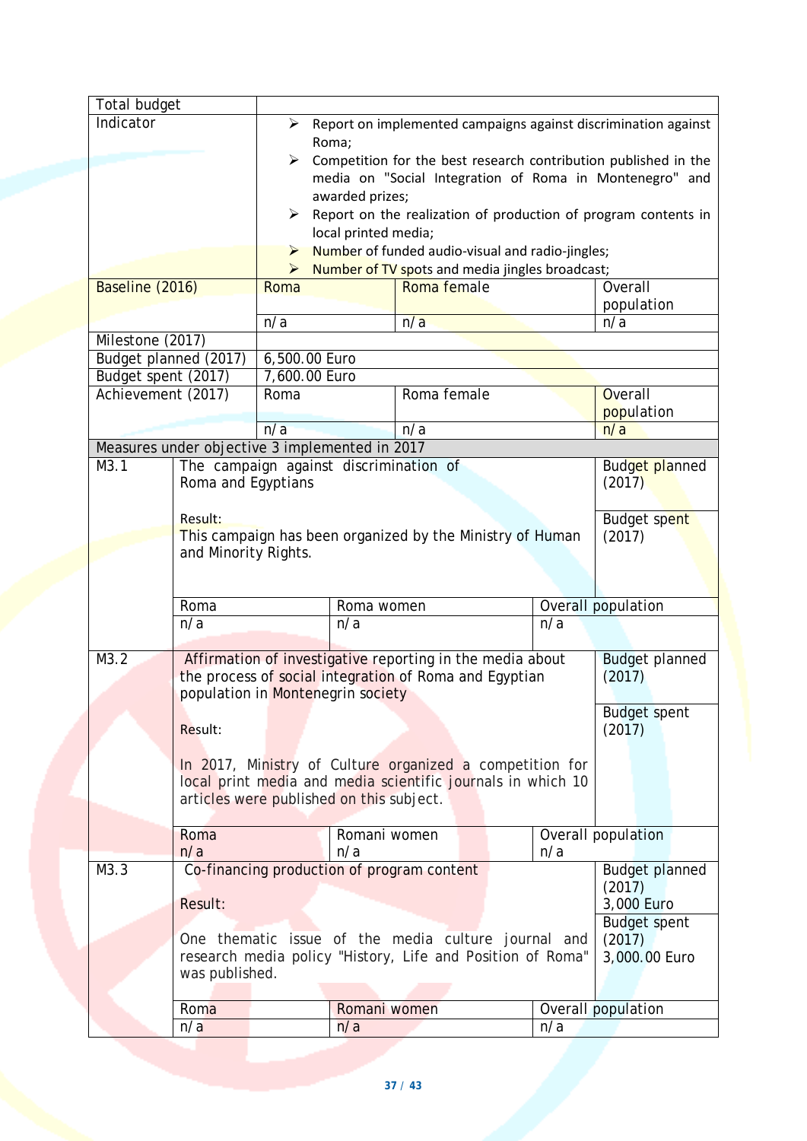| Total budget          |                                                           |                                                                            |                                                                |                       |                       |  |  |
|-----------------------|-----------------------------------------------------------|----------------------------------------------------------------------------|----------------------------------------------------------------|-----------------------|-----------------------|--|--|
| Indicator             | ≻                                                         | Report on implemented campaigns against discrimination against             |                                                                |                       |                       |  |  |
|                       |                                                           | Roma;                                                                      |                                                                |                       |                       |  |  |
|                       | ≻                                                         | Competition for the best research contribution published in the            |                                                                |                       |                       |  |  |
|                       |                                                           | media on "Social Integration of Roma in Montenegro" and                    |                                                                |                       |                       |  |  |
|                       |                                                           | awarded prizes;                                                            |                                                                |                       |                       |  |  |
|                       | ➤                                                         |                                                                            | Report on the realization of production of program contents in |                       |                       |  |  |
|                       |                                                           | local printed media;                                                       |                                                                |                       |                       |  |  |
|                       | $\blacktriangleright$                                     |                                                                            | Number of funded audio-visual and radio-jingles;               |                       |                       |  |  |
|                       | $\blacktriangleright$                                     |                                                                            | Number of TV spots and media jingles broadcast;                |                       |                       |  |  |
| Baseline (2016)       | Roma                                                      |                                                                            | Roma female                                                    |                       | Overall               |  |  |
|                       | n/a                                                       |                                                                            | n/a                                                            |                       | population<br>n/a     |  |  |
| Milestone (2017)      |                                                           |                                                                            |                                                                |                       |                       |  |  |
| Budget planned (2017) | 6,500.00 Euro                                             |                                                                            |                                                                |                       |                       |  |  |
| Budget spent (2017)   | 7,600.00 Euro                                             |                                                                            |                                                                |                       |                       |  |  |
| Achievement (2017)    | Roma                                                      |                                                                            | Roma female                                                    |                       | Overall               |  |  |
|                       |                                                           |                                                                            |                                                                |                       | population            |  |  |
|                       | n/a                                                       |                                                                            | n/a                                                            |                       | n/a                   |  |  |
|                       | Measures under objective 3 implemented in 2017            |                                                                            |                                                                |                       |                       |  |  |
| M3.1                  | The campaign against discrimination of                    |                                                                            |                                                                |                       | Budget planned        |  |  |
|                       | Roma and Egyptians                                        |                                                                            |                                                                |                       | (2017)                |  |  |
|                       |                                                           |                                                                            |                                                                |                       |                       |  |  |
| Result:               |                                                           |                                                                            |                                                                |                       | Budget spent          |  |  |
|                       | and Minority Rights.                                      |                                                                            | This campaign has been organized by the Ministry of Human      |                       | (2017)                |  |  |
|                       |                                                           |                                                                            |                                                                |                       |                       |  |  |
|                       |                                                           |                                                                            |                                                                |                       |                       |  |  |
| Roma                  |                                                           | Roma women                                                                 |                                                                |                       | Overall population    |  |  |
| n/a                   |                                                           | n/a                                                                        |                                                                | n/a                   |                       |  |  |
|                       |                                                           |                                                                            |                                                                |                       |                       |  |  |
| M3.2                  | Affirmation of investigative reporting in the media about |                                                                            |                                                                | <b>Budget planned</b> |                       |  |  |
|                       | the process of social integration of Roma and Egyptian    |                                                                            | (2017)                                                         |                       |                       |  |  |
|                       | population in Montenegrin society                         |                                                                            |                                                                |                       |                       |  |  |
|                       |                                                           |                                                                            |                                                                |                       | <b>Budget spent</b>   |  |  |
| Result:               |                                                           |                                                                            |                                                                |                       | (2017)                |  |  |
|                       |                                                           |                                                                            | In 2017, Ministry of Culture organized a competition for       |                       |                       |  |  |
|                       |                                                           |                                                                            | local print media and media scientific journals in which 10    |                       |                       |  |  |
|                       | articles were published on this subject.                  |                                                                            |                                                                |                       |                       |  |  |
|                       |                                                           |                                                                            |                                                                |                       |                       |  |  |
| Roma                  |                                                           | Romani women                                                               |                                                                |                       | Overall population    |  |  |
| n/a                   |                                                           | n/a                                                                        |                                                                | n/a                   |                       |  |  |
| M3.3                  | Co-financing production of program content                |                                                                            |                                                                |                       | <b>Budget planned</b> |  |  |
|                       |                                                           |                                                                            | (2017)<br>3,000 Euro                                           |                       |                       |  |  |
| Result:               |                                                           |                                                                            |                                                                |                       |                       |  |  |
|                       |                                                           | <b>Budget spent</b><br>One thematic issue of the media culture journal and |                                                                |                       |                       |  |  |
|                       |                                                           |                                                                            |                                                                |                       |                       |  |  |
|                       |                                                           |                                                                            |                                                                |                       | (2017)                |  |  |
|                       |                                                           |                                                                            | research media policy "History, Life and Position of Roma"     |                       | 3,000.00 Euro         |  |  |
|                       | was published.                                            |                                                                            |                                                                |                       |                       |  |  |
| Roma                  |                                                           | Romani women                                                               |                                                                |                       | Overall population    |  |  |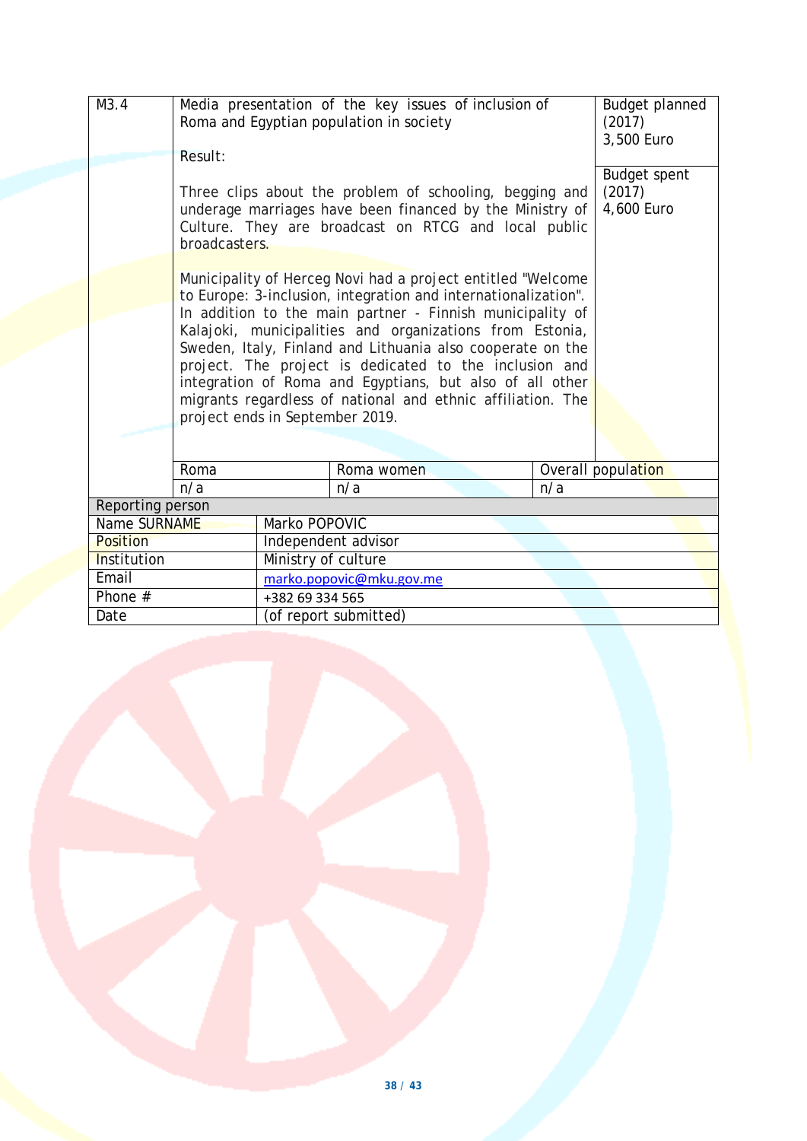<span id="page-37-0"></span>

| M3.4             | Media presentation of the key issues of inclusion of<br>Roma and Egyptian population in society                                                                                                                                                                                                                                                                                                                                                                                                                                              |                                                                                                                                                                                                                                             | <b>Budget planned</b><br>(2017)<br>3,500 Euro |     |                    |  |  |
|------------------|----------------------------------------------------------------------------------------------------------------------------------------------------------------------------------------------------------------------------------------------------------------------------------------------------------------------------------------------------------------------------------------------------------------------------------------------------------------------------------------------------------------------------------------------|---------------------------------------------------------------------------------------------------------------------------------------------------------------------------------------------------------------------------------------------|-----------------------------------------------|-----|--------------------|--|--|
|                  | Result:                                                                                                                                                                                                                                                                                                                                                                                                                                                                                                                                      | <b>Budget spent</b><br>(2017)<br>Three clips about the problem of schooling, begging and<br>underage marriages have been financed by the Ministry of<br>4,600 Euro<br>Culture. They are broadcast on RTCG and local public<br>broadcasters. |                                               |     |                    |  |  |
|                  | Municipality of Herceg Novi had a project entitled "Welcome<br>to Europe: 3-inclusion, integration and internationalization".<br>In addition to the main partner - Finnish municipality of<br>Kalajoki, municipalities and organizations from Estonia,<br>Sweden, Italy, Finland and Lithuania also cooperate on the<br>project. The project is dedicated to the inclusion and<br>integration of Roma and Egyptians, but also of all other<br>migrants regardless of national and ethnic affiliation. The<br>project ends in September 2019. |                                                                                                                                                                                                                                             |                                               |     |                    |  |  |
|                  | Roma                                                                                                                                                                                                                                                                                                                                                                                                                                                                                                                                         |                                                                                                                                                                                                                                             | Roma women                                    |     | Overall population |  |  |
|                  | $\overline{n/a}$                                                                                                                                                                                                                                                                                                                                                                                                                                                                                                                             |                                                                                                                                                                                                                                             | n/a                                           | n/a |                    |  |  |
| Reporting person |                                                                                                                                                                                                                                                                                                                                                                                                                                                                                                                                              |                                                                                                                                                                                                                                             |                                               |     |                    |  |  |
|                  | Name SURNAME<br>Marko POPOVIC                                                                                                                                                                                                                                                                                                                                                                                                                                                                                                                |                                                                                                                                                                                                                                             |                                               |     |                    |  |  |
| <b>Position</b>  |                                                                                                                                                                                                                                                                                                                                                                                                                                                                                                                                              |                                                                                                                                                                                                                                             | Independent advisor                           |     |                    |  |  |
| Institution      |                                                                                                                                                                                                                                                                                                                                                                                                                                                                                                                                              | Ministry of culture                                                                                                                                                                                                                         |                                               |     |                    |  |  |
| Email            |                                                                                                                                                                                                                                                                                                                                                                                                                                                                                                                                              | marko.popovic@mku.gov.me                                                                                                                                                                                                                    |                                               |     |                    |  |  |
| Phone $#$        |                                                                                                                                                                                                                                                                                                                                                                                                                                                                                                                                              | +382 69 334 565                                                                                                                                                                                                                             |                                               |     |                    |  |  |
| Date             |                                                                                                                                                                                                                                                                                                                                                                                                                                                                                                                                              | (of report submitted)                                                                                                                                                                                                                       |                                               |     |                    |  |  |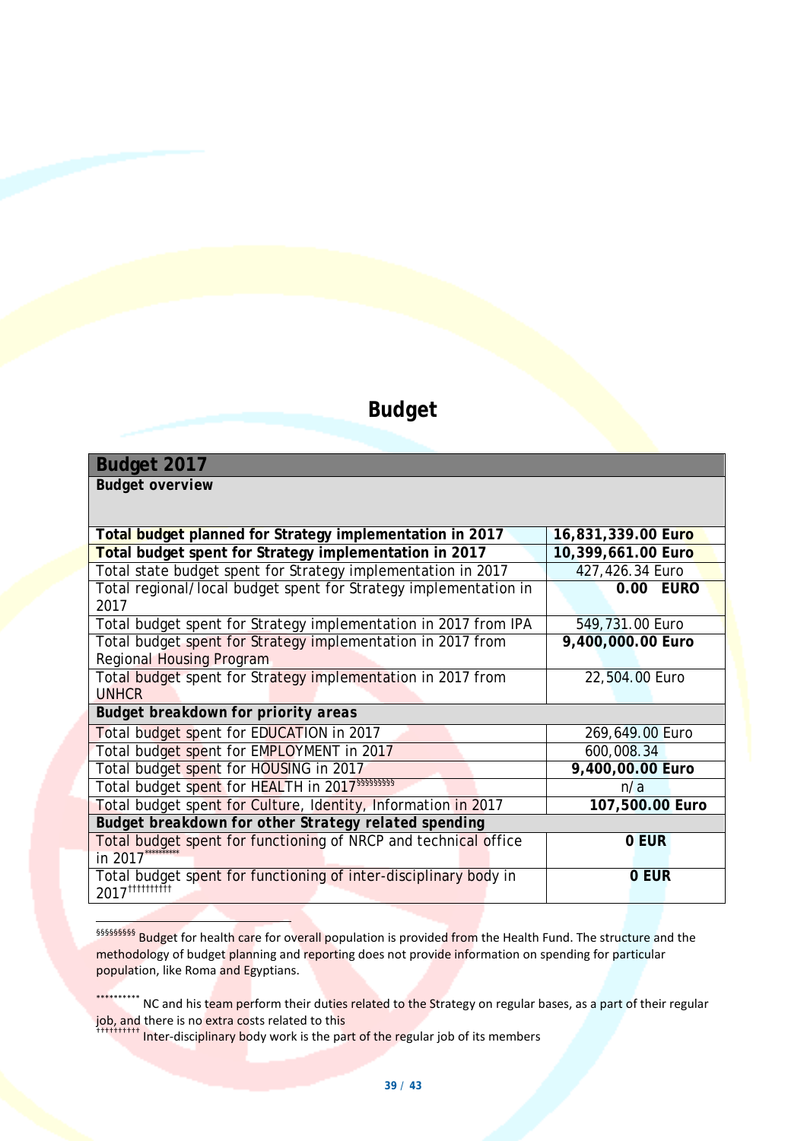# *Budget*

#### <span id="page-38-0"></span>**Budget 2017**

*Budget overview*

| Total budget planned for Strategy implementation in 2017         | 16,831,339.00 Euro |  |  |  |
|------------------------------------------------------------------|--------------------|--|--|--|
| Total budget spent for Strategy implementation in 2017           | 10,399,661.00 Euro |  |  |  |
| Total state budget spent for Strategy implementation in 2017     | 427,426.34 Euro    |  |  |  |
| Total regional/local budget spent for Strategy implementation in | 0.00 EURO          |  |  |  |
| 2017                                                             |                    |  |  |  |
| Total budget spent for Strategy implementation in 2017 from IPA  | 549,731.00 Euro    |  |  |  |
| Total budget spent for Strategy implementation in 2017 from      | 9,400,000.00 Euro  |  |  |  |
| <b>Regional Housing Program</b>                                  |                    |  |  |  |
| Total budget spent for Strategy implementation in 2017 from      | 22,504.00 Euro     |  |  |  |
| <b>UNHCR</b>                                                     |                    |  |  |  |
| Budget breakdown for priority areas                              |                    |  |  |  |
| Total budget spent for EDUCATION in 2017                         | 269,649.00 Euro    |  |  |  |
| Total budget spent for EMPLOYMENT in 2017                        | 600,008.34         |  |  |  |
| Total budget spent for HOUSING in 2017                           | 9,400,00.00 Euro   |  |  |  |
| Total budget spent for HEALTH in 2017 555555555                  | n/a                |  |  |  |
| Total budget spent for Culture, Identity, Information in 2017    | 107,500.00 Euro    |  |  |  |
| Budget breakdown for other Strategy related spending             |                    |  |  |  |
| Total budget spent for functioning of NRCP and technical office  | 0 EUR              |  |  |  |
| in 2017                                                          |                    |  |  |  |
| Total budget spent for functioning of inter-disciplinary body in | 0 EUR              |  |  |  |
| 2017 <sup>†††††††††</sup>                                        |                    |  |  |  |

<span id="page-38-1"></span> §§§§§§§§§ Budget for health care for overall population is provided from the Health Fund. The structure and the methodology of budget planning and reporting does not provide information on spending for particular population, like Roma and Egyptians.

<span id="page-38-2"></span>\*\*\*\*\*\*\*\*\*\* NC and his team perform their duties related to the Strategy on regular bases, as a part of their regular job, and there is no extra costs related to this

<span id="page-38-3"></span>†††††††††† Inter-disciplinary body work is the part of the regular job of its members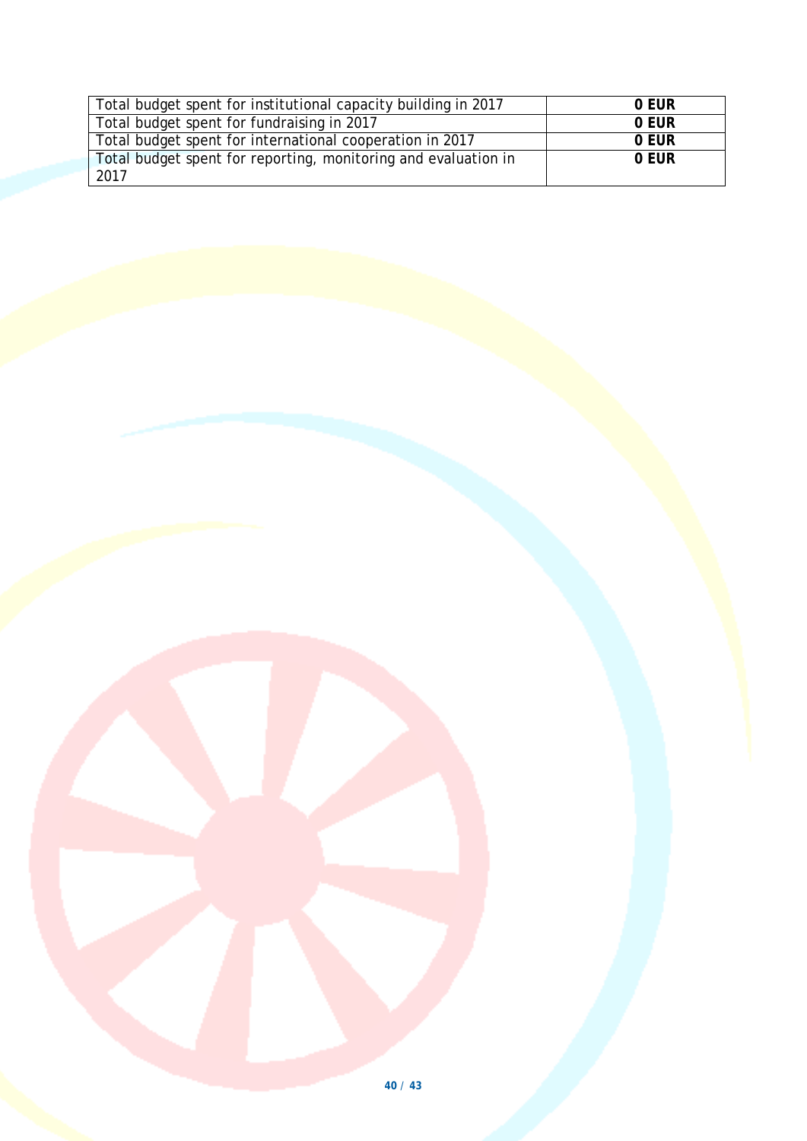| Total budget spent for institutional capacity building in 2017 | 0 EUR |
|----------------------------------------------------------------|-------|
| Total budget spent for fundraising in 2017                     | 0 EUR |
| Total budget spent for international cooperation in 2017       | 0 EUR |
| Total budget spent for reporting, monitoring and evaluation in | 0 EUR |
| 2017                                                           |       |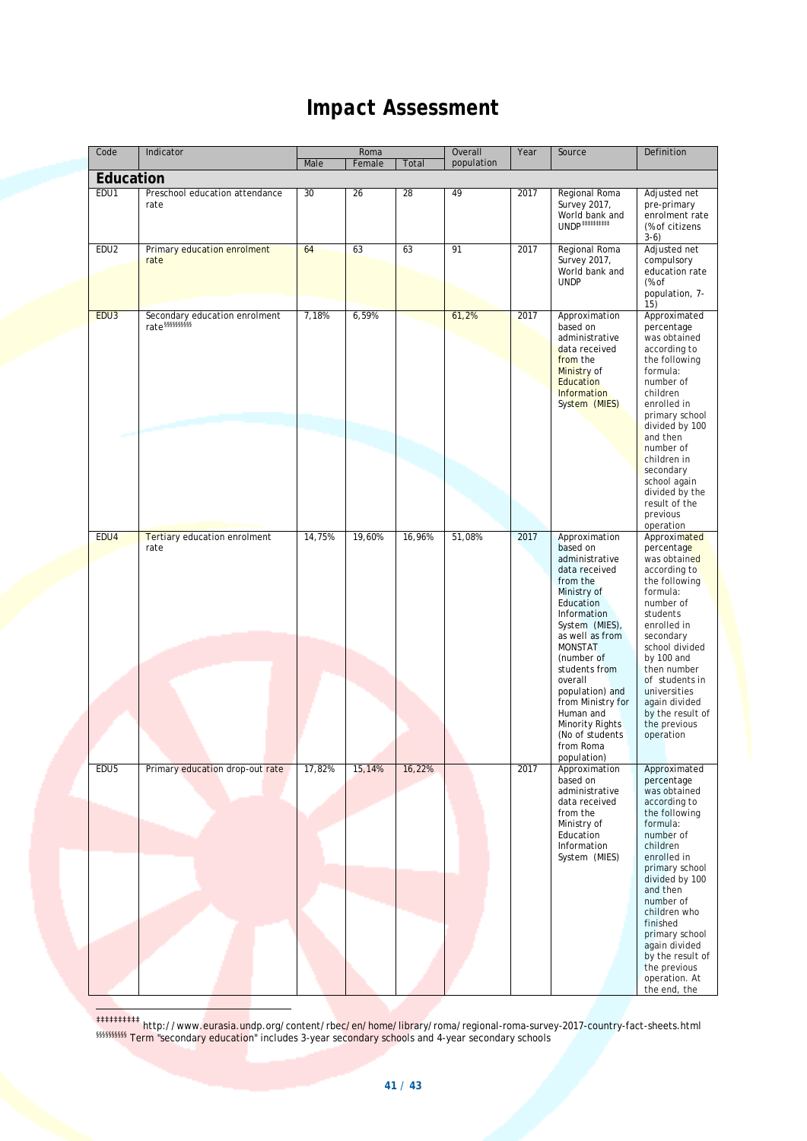# *Impact Assessment*

<span id="page-40-0"></span>

| Code             | Indicator                                                               |        | Roma   |        | Overall    | Year | Source                                                                                                                                                                                                                                                                                       | Definition                                                                                                                                                                                                                                                                                                       |
|------------------|-------------------------------------------------------------------------|--------|--------|--------|------------|------|----------------------------------------------------------------------------------------------------------------------------------------------------------------------------------------------------------------------------------------------------------------------------------------------|------------------------------------------------------------------------------------------------------------------------------------------------------------------------------------------------------------------------------------------------------------------------------------------------------------------|
|                  |                                                                         | Male   | Female | Total  | population |      |                                                                                                                                                                                                                                                                                              |                                                                                                                                                                                                                                                                                                                  |
| Education        |                                                                         |        |        |        |            |      |                                                                                                                                                                                                                                                                                              |                                                                                                                                                                                                                                                                                                                  |
| EDU1             | Preschool education attendance<br>rate                                  | 30     | 26     | 28     | 49         | 2017 | Regional Roma<br>Survey 2017,<br>World bank and<br>UNDP <sup>######</sup>                                                                                                                                                                                                                    | Adjusted net<br>pre-primary<br>enrolment rate<br>(% of citizens<br>$3-6)$                                                                                                                                                                                                                                        |
| EDU <sub>2</sub> | Primary education enrolment<br>rate                                     | 64     | 63     | 63     | 91         | 2017 | Regional Roma<br>Survey 2017,<br>World bank and<br><b>UNDP</b>                                                                                                                                                                                                                               | Adjusted net<br>compulsory<br>education rate<br>(% of<br>population, 7-<br>15)                                                                                                                                                                                                                                   |
| EDU3             | Secondary education enrolment<br>rate <sup>\$\$\$\$\$\$\$\$\$\$\$</sup> | 7,18%  | 6,59%  |        | 61,2%      | 2017 | Approximation<br>based on<br>administrative<br>data received<br>from the<br>Ministry of<br>Education<br>Information<br>System (MIES)                                                                                                                                                         | Approximated<br>percentage<br>was obtained<br>according to<br>the following<br>formula:<br>number of<br>children<br>enrolled in<br>primary school<br>divided by 100<br>and then                                                                                                                                  |
|                  |                                                                         |        |        |        |            |      |                                                                                                                                                                                                                                                                                              | number of<br>children in<br>secondary<br>school again<br>divided by the<br>result of the<br>previous<br>operation                                                                                                                                                                                                |
| EDU <sub>4</sub> | Tertiary education enrolment<br>rate                                    | 14,75% | 19,60% | 16,96% | 51,08%     | 2017 | Approximation<br>based on<br>administrative<br>data received<br>from the<br>Ministry of<br>Education<br>Information<br>System (MIES),<br>as well as from<br><b>MONSTAT</b><br>(number of<br>students from<br>overall<br>population) and<br>from Ministry for<br>Human and<br>Minority Rights | Approximated<br>percentage<br>was obtained<br>according to<br>the following<br>formula:<br>number of<br>students<br>enrolled in<br>secondary<br>school divided<br>by 100 and<br>then number<br>of students in<br>universities<br>again divided<br>by the result of<br>the previous                               |
| EDU5             | Primary education drop-out rate                                         | 17,82% | 15,14% | 16,22% |            | 2017 | (No of students<br>from Roma<br>population)<br>Approximation                                                                                                                                                                                                                                 | operation<br>Approximated                                                                                                                                                                                                                                                                                        |
|                  |                                                                         |        |        |        |            |      | based on<br>administrative<br>data received<br>from the<br>Ministry of<br>Education<br>Information<br>System (MIES)                                                                                                                                                                          | percentage<br>was obtained<br>according to<br>the following<br>formula:<br>number of<br>children<br>enrolled in<br>primary school<br>divided by 100<br>and then<br>number of<br>children who<br>finished<br>primary school<br>again divided<br>by the result of<br>the previous<br>operation. At<br>the end, the |

<span id="page-40-2"></span><span id="page-40-1"></span> ‡‡‡‡‡‡‡‡‡‡ http://www.eurasia.undp.org/content/rbec/en/home/library/roma/regional-roma-survey-2017-country-fact-sheets.html **\$\$\$\$\$\$\$\$\$\$** Term "secondary education" includes 3-year secondary schools and 4-year secondary schools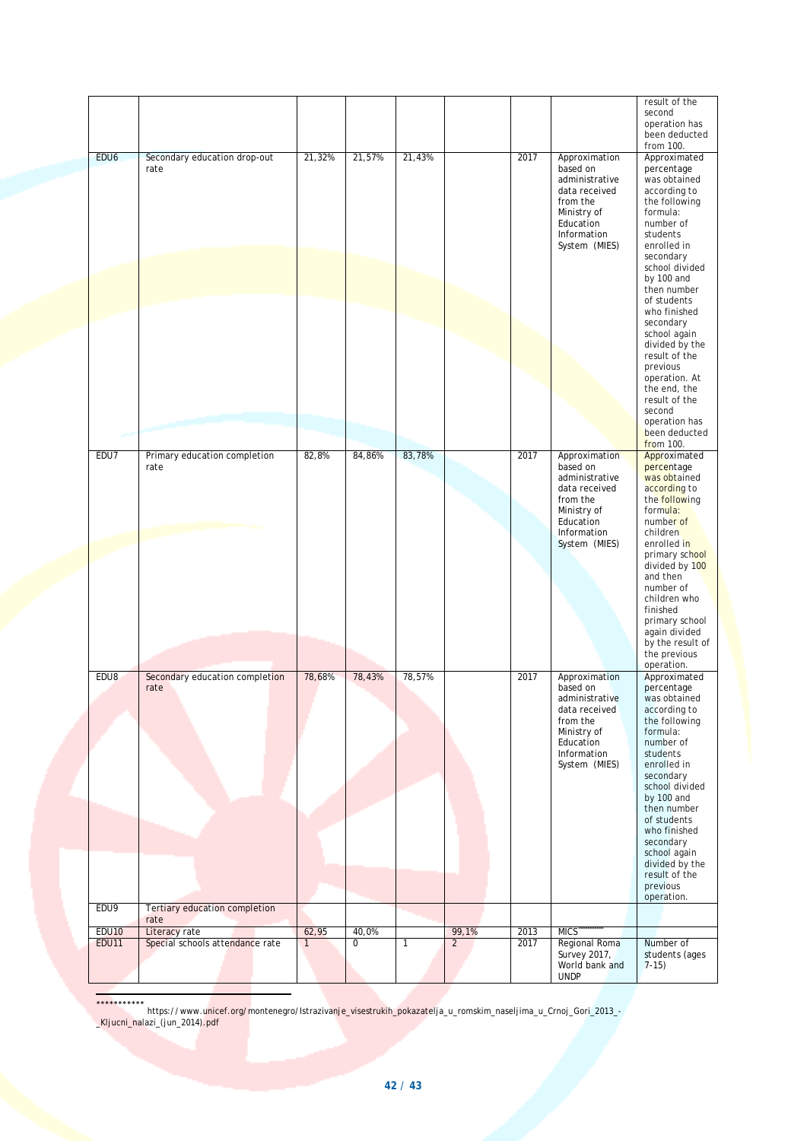|                  |                                        |              |        |              |                |      |                                                                          | result of the<br>second<br>operation has                                     |
|------------------|----------------------------------------|--------------|--------|--------------|----------------|------|--------------------------------------------------------------------------|------------------------------------------------------------------------------|
|                  |                                        |              |        |              |                |      |                                                                          | been deducted<br>from 100.                                                   |
| EDU <sub>6</sub> | Secondary education drop-out<br>rate   | 21,32%       | 21,57% | 21,43%       |                | 2017 | Approximation<br>based on<br>administrative<br>data received<br>from the | Approximated<br>percentage<br>was obtained<br>according to<br>the following  |
|                  |                                        |              |        |              |                |      | Ministry of<br>Education<br>Information<br>System (MIES)                 | formula:<br>number of<br>students<br>enrolled in<br>secondary                |
|                  |                                        |              |        |              |                |      |                                                                          | school divided<br>by 100 and<br>then number<br>of students                   |
|                  |                                        |              |        |              |                |      |                                                                          | who finished<br>secondary<br>school again                                    |
|                  |                                        |              |        |              |                |      |                                                                          | divided by the<br>result of the<br>previous<br>operation. At<br>the end, the |
|                  |                                        |              |        |              |                |      |                                                                          | result of the<br>second<br>operation has<br>been deducted<br>from 100.       |
| EDU7             | Primary education completion<br>rate   | 82,8%        | 84,86% | 83,78%       |                | 2017 | Approximation<br>based on<br>administrative<br>data received             | Approximated<br>percentage<br>was obtained<br>according to                   |
|                  |                                        |              |        |              |                |      | from the<br>Ministry of<br>Education<br>Information                      | the following<br>formula:<br>number of<br>children                           |
|                  |                                        |              |        |              |                |      | System (MIES)                                                            | enrolled in<br>primary school<br>divided by 100<br>and then                  |
|                  |                                        |              |        |              |                |      |                                                                          | number of<br>children who<br>finished<br>primary school<br>again divided     |
| EDU8             |                                        |              |        | 78,57%       |                |      |                                                                          | by the result of<br>the previous<br>operation.                               |
|                  | Secondary education completion<br>rate | 78,68%       | 78,43% |              |                | 2017 | Approximation<br>based on<br>administrative<br>data received             | Approximated<br>percentage<br>was obtained<br>according to                   |
|                  |                                        |              |        |              |                |      | from the<br>Ministry of<br>Education<br>Information<br>System (MIES)     | the following<br>formula:<br>number of<br>students<br>enrolled in            |
|                  |                                        |              |        |              |                |      |                                                                          | secondary<br>school divided<br>by 100 and<br>then number                     |
|                  |                                        |              |        |              |                |      |                                                                          | of students<br>who finished<br>secondary<br>school again                     |
|                  |                                        |              |        |              |                |      |                                                                          | divided by the<br>result of the<br>previous<br>operation.                    |
| EDU9             | Tertiary education completion<br>rate  |              |        |              |                |      |                                                                          |                                                                              |
| <b>EDU10</b>     | Literacy rate                          | 62,95        | 40,0%  |              | 99,1%          | 2013 | <b>MICS</b>                                                              |                                                                              |
| <b>EDU11</b>     | Special schools attendance rate        | $\mathbf{1}$ | 0      | $\mathbf{1}$ | $\overline{2}$ | 2017 | Regional Roma<br>Survey 2017,<br>World bank and<br><b>UNDP</b>           | Number of<br>students (ages<br>$7-15)$                                       |

<span id="page-41-0"></span>\*\*\*\*\*\*\*\*\*\*\*<br>\*\*\*\*\*\*\*\*\*\*\*<br>https://www.unicef.org/montenegro/Istrazivanje\_visestrukih\_pokazatelja\_u\_romskim\_naseljima\_u\_Crnoj\_Gori\_2013\_-\_Kljucni\_nalazi\_(jun\_2014).pdf